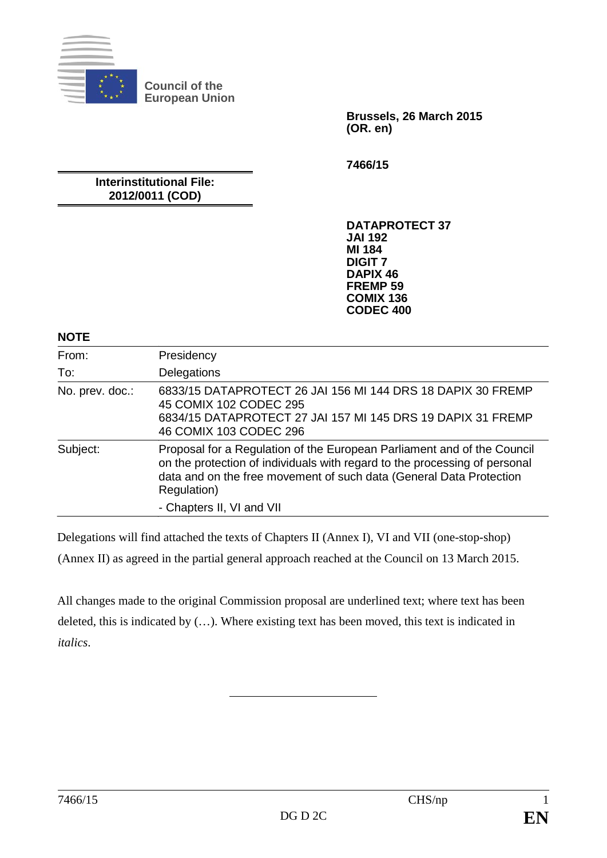

**Council of the European Union** 

> **Brussels, 26 March 2015 (OR. en)**

**7466/15** 

### **Interinstitutional File: 2012/0011 (COD)**

**DATAPROTECT 37 JAI 192 MI 184 DIGIT 7 DAPIX 46 FREMP 59 COMIX 136 CODEC 400**

#### **NOTE**

| Presidency                                                                                                                                                                                                                                  |
|---------------------------------------------------------------------------------------------------------------------------------------------------------------------------------------------------------------------------------------------|
| Delegations                                                                                                                                                                                                                                 |
| 6833/15 DATAPROTECT 26 JAI 156 MI 144 DRS 18 DAPIX 30 FREMP<br>45 COMIX 102 CODEC 295<br>6834/15 DATAPROTECT 27 JAI 157 MI 145 DRS 19 DAPIX 31 FREMP<br>46 COMIX 103 CODEC 296                                                              |
| Proposal for a Regulation of the European Parliament and of the Council<br>on the protection of individuals with regard to the processing of personal<br>data and on the free movement of such data (General Data Protection<br>Regulation) |
| - Chapters II, VI and VII                                                                                                                                                                                                                   |
|                                                                                                                                                                                                                                             |

Delegations will find attached the texts of Chapters II (Annex I), VI and VII (one-stop-shop)

(Annex II) as agreed in the partial general approach reached at the Council on 13 March 2015.

All changes made to the original Commission proposal are underlined text; where text has been deleted, this is indicated by (…). Where existing text has been moved, this text is indicated in *italics*.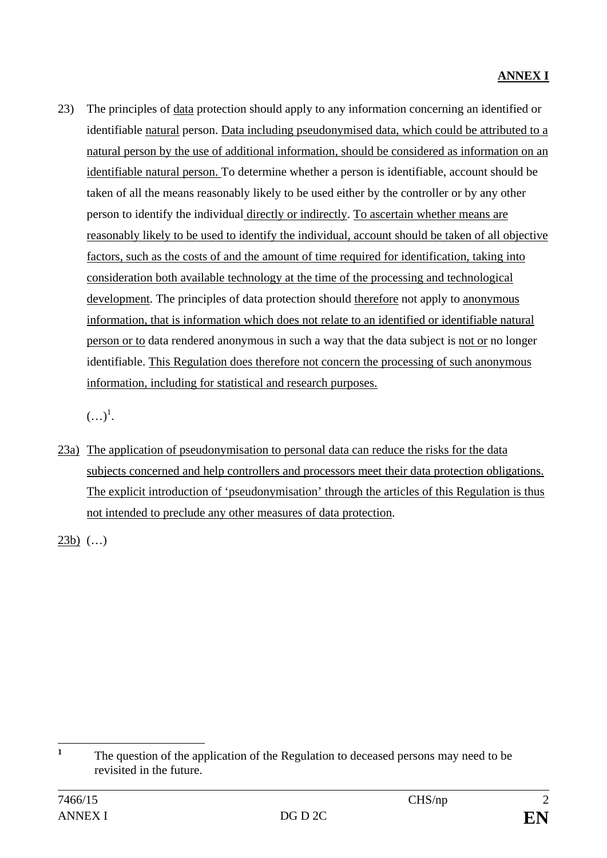### **ANNEX I**

23) The principles of data protection should apply to any information concerning an identified or identifiable natural person. Data including pseudonymised data, which could be attributed to a natural person by the use of additional information, should be considered as information on an identifiable natural person. To determine whether a person is identifiable, account should be taken of all the means reasonably likely to be used either by the controller or by any other person to identify the individual directly or indirectly. To ascertain whether means are reasonably likely to be used to identify the individual, account should be taken of all objective factors, such as the costs of and the amount of time required for identification, taking into consideration both available technology at the time of the processing and technological development. The principles of data protection should therefore not apply to anonymous information, that is information which does not relate to an identified or identifiable natural person or to data rendered anonymous in such a way that the data subject is not or no longer identifiable. This Regulation does therefore not concern the processing of such anonymous information, including for statistical and research purposes.

 $(\ldots)^1$ .

23a) The application of pseudonymisation to personal data can reduce the risks for the data subjects concerned and help controllers and processors meet their data protection obligations. The explicit introduction of 'pseudonymisation' through the articles of this Regulation is thus not intended to preclude any other measures of data protection.

23b) (…)

 **1** The question of the application of the Regulation to deceased persons may need to be revisited in the future.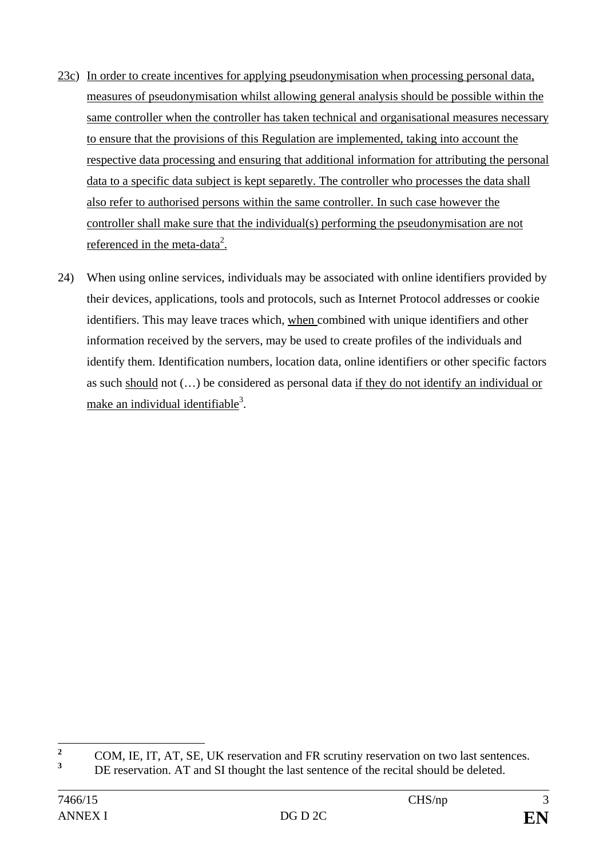- 23c) In order to create incentives for applying pseudonymisation when processing personal data, measures of pseudonymisation whilst allowing general analysis should be possible within the same controller when the controller has taken technical and organisational measures necessary to ensure that the provisions of this Regulation are implemented, taking into account the respective data processing and ensuring that additional information for attributing the personal data to a specific data subject is kept separetly. The controller who processes the data shall also refer to authorised persons within the same controller. In such case however the controller shall make sure that the individual(s) performing the pseudonymisation are not referenced in the meta-data<sup>2</sup>.
- 24) When using online services, individuals may be associated with online identifiers provided by their devices, applications, tools and protocols, such as Internet Protocol addresses or cookie identifiers. This may leave traces which, when combined with unique identifiers and other information received by the servers, may be used to create profiles of the individuals and identify them. Identification numbers, location data, online identifiers or other specific factors as such should not (…) be considered as personal data if they do not identify an individual or make an individual identifiable<sup>3</sup>.

 **2** COM, IE, IT, AT, SE, UK reservation and FR scrutiny reservation on two last sentences. **3**

DE reservation. AT and SI thought the last sentence of the recital should be deleted.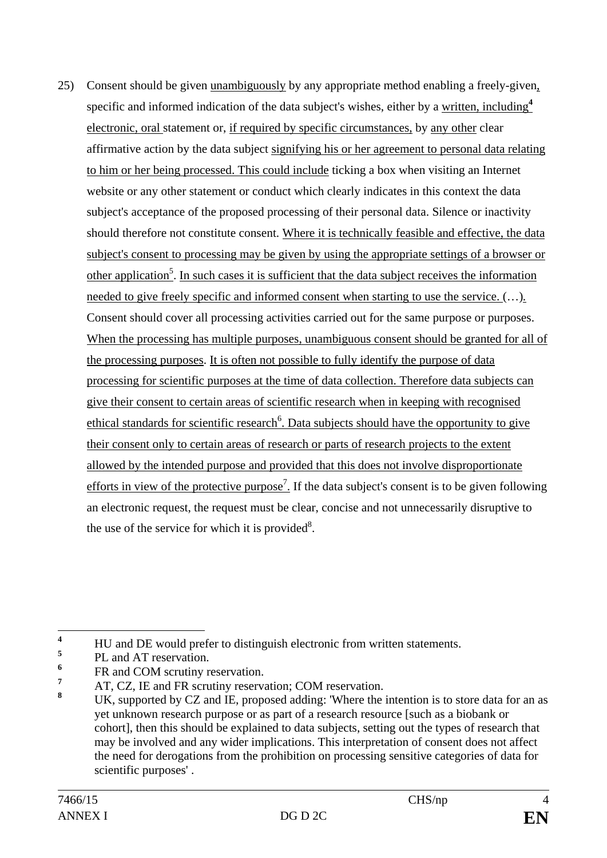25) Consent should be given unambiguously by any appropriate method enabling a freely-given, specific and informed indication of the data subject's wishes, either by a written, including**<sup>4</sup>** electronic, oral statement or, if required by specific circumstances, by any other clear affirmative action by the data subject signifying his or her agreement to personal data relating to him or her being processed. This could include ticking a box when visiting an Internet website or any other statement or conduct which clearly indicates in this context the data subject's acceptance of the proposed processing of their personal data. Silence or inactivity should therefore not constitute consent. Where it is technically feasible and effective, the data subject's consent to processing may be given by using the appropriate settings of a browser or other application<sup>5</sup>. In such cases it is sufficient that the data subject receives the information needed to give freely specific and informed consent when starting to use the service. (…)*.* Consent should cover all processing activities carried out for the same purpose or purposes. When the processing has multiple purposes, unambiguous consent should be granted for all of the processing purposes. It is often not possible to fully identify the purpose of data processing for scientific purposes at the time of data collection. Therefore data subjects can give their consent to certain areas of scientific research when in keeping with recognised ethical standards for scientific research<sup>6</sup>. Data subjects should have the opportunity to give their consent only to certain areas of research or parts of research projects to the extent allowed by the intended purpose and provided that this does not involve disproportionate efforts in view of the protective purpose<sup>7</sup>. If the data subject's consent is to be given following an electronic request, the request must be clear, concise and not unnecessarily disruptive to the use of the service for which it is provided<sup>8</sup>.

- **5** PL and AT reservation.
- **6** FR and COM scrutiny reservation.

 **4** HU and DE would prefer to distinguish electronic from written statements.

**<sup>7</sup>** AT, CZ, IE and FR scrutiny reservation; COM reservation.

**<sup>8</sup>** UK, supported by CZ and IE, proposed adding: 'Where the intention is to store data for an as yet unknown research purpose or as part of a research resource [such as a biobank or cohort], then this should be explained to data subjects, setting out the types of research that may be involved and any wider implications. This interpretation of consent does not affect the need for derogations from the prohibition on processing sensitive categories of data for scientific purposes' .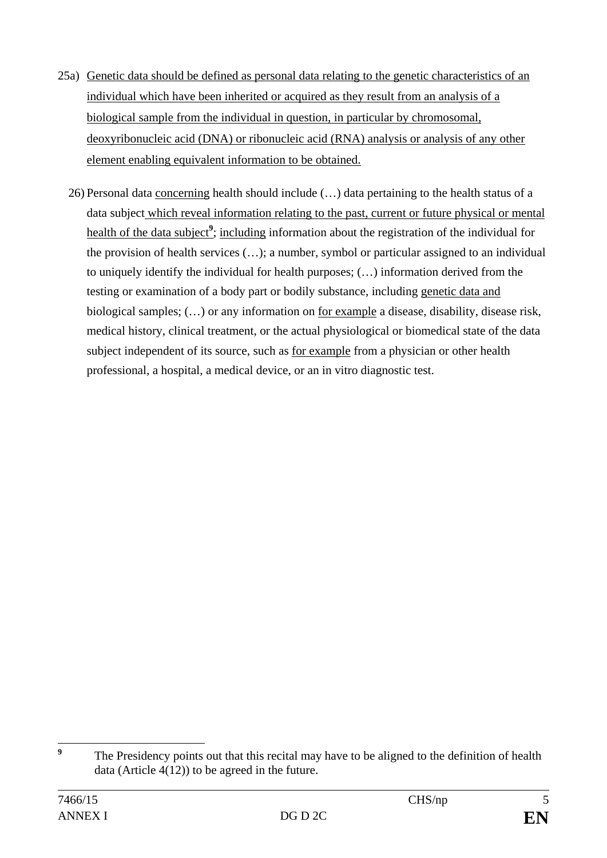- 25a) Genetic data should be defined as personal data relating to the genetic characteristics of an individual which have been inherited or acquired as they result from an analysis of a biological sample from the individual in question, in particular by chromosomal, deoxyribonucleic acid (DNA) or ribonucleic acid (RNA) analysis or analysis of any other element enabling equivalent information to be obtained.
	- 26) Personal data concerning health should include (…) data pertaining to the health status of a data subject which reveal information relating to the past, current or future physical or mental health of the data subject<sup>9</sup>; including information about the registration of the individual for the provision of health services (…); a number, symbol or particular assigned to an individual to uniquely identify the individual for health purposes; (…) information derived from the testing or examination of a body part or bodily substance, including genetic data and biological samples; (…) or any information on for example a disease, disability, disease risk, medical history, clinical treatment, or the actual physiological or biomedical state of the data subject independent of its source, such as for example from a physician or other health professional, a hospital, a medical device, or an in vitro diagnostic test.

 **9** The Presidency points out that this recital may have to be aligned to the definition of health data (Article 4(12)) to be agreed in the future.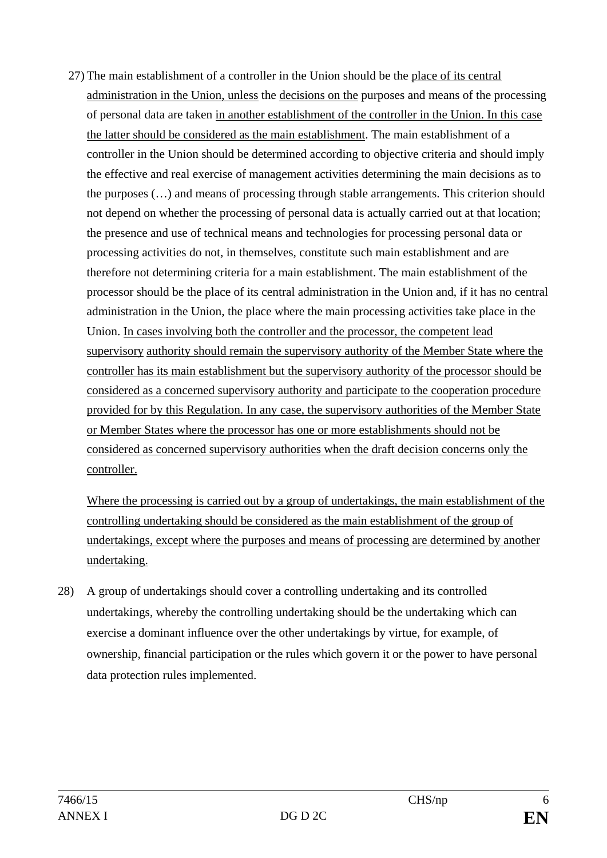27) The main establishment of a controller in the Union should be the place of its central administration in the Union, unless the decisions on the purposes and means of the processing of personal data are taken in another establishment of the controller in the Union. In this case the latter should be considered as the main establishment. The main establishment of a controller in the Union should be determined according to objective criteria and should imply the effective and real exercise of management activities determining the main decisions as to the purposes (…) and means of processing through stable arrangements. This criterion should not depend on whether the processing of personal data is actually carried out at that location; the presence and use of technical means and technologies for processing personal data or processing activities do not, in themselves, constitute such main establishment and are therefore not determining criteria for a main establishment. The main establishment of the processor should be the place of its central administration in the Union and, if it has no central administration in the Union, the place where the main processing activities take place in the Union. In cases involving both the controller and the processor, the competent lead supervisory authority should remain the supervisory authority of the Member State where the controller has its main establishment but the supervisory authority of the processor should be considered as a concerned supervisory authority and participate to the cooperation procedure provided for by this Regulation. In any case, the supervisory authorities of the Member State or Member States where the processor has one or more establishments should not be considered as concerned supervisory authorities when the draft decision concerns only the controller.

Where the processing is carried out by a group of undertakings, the main establishment of the controlling undertaking should be considered as the main establishment of the group of undertakings, except where the purposes and means of processing are determined by another undertaking.

28) A group of undertakings should cover a controlling undertaking and its controlled undertakings, whereby the controlling undertaking should be the undertaking which can exercise a dominant influence over the other undertakings by virtue, for example, of ownership, financial participation or the rules which govern it or the power to have personal data protection rules implemented.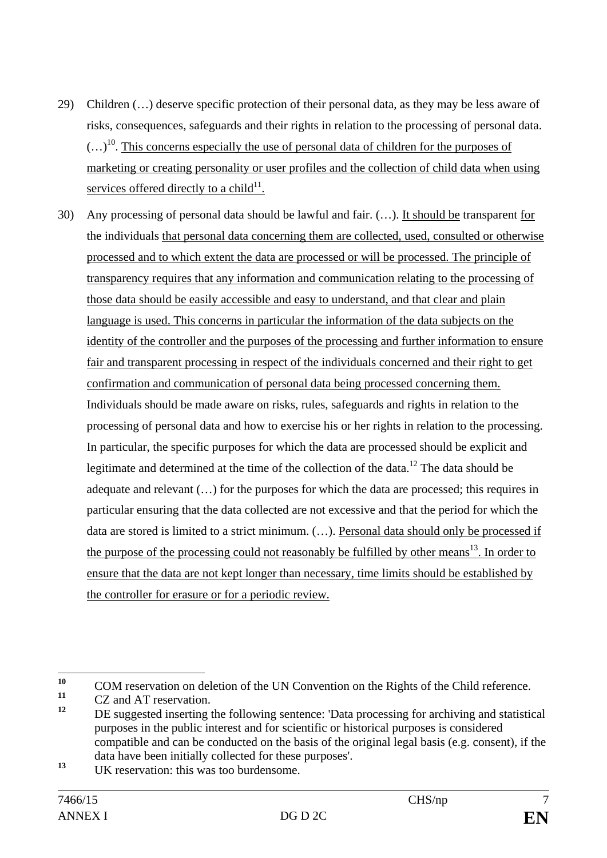- 29) Children (…) deserve specific protection of their personal data, as they may be less aware of risks, consequences, safeguards and their rights in relation to the processing of personal data.  $(...)^{10}$ . This concerns especially the use of personal data of children for the purposes of marketing or creating personality or user profiles and the collection of child data when using services offered directly to a child<sup>11</sup>.
- 30) Any processing of personal data should be lawful and fair.  $(...)$ . It should be transparent for the individuals that personal data concerning them are collected, used, consulted or otherwise processed and to which extent the data are processed or will be processed. The principle of transparency requires that any information and communication relating to the processing of those data should be easily accessible and easy to understand, and that clear and plain language is used. This concerns in particular the information of the data subjects on the identity of the controller and the purposes of the processing and further information to ensure fair and transparent processing in respect of the individuals concerned and their right to get confirmation and communication of personal data being processed concerning them. Individuals should be made aware on risks, rules, safeguards and rights in relation to the processing of personal data and how to exercise his or her rights in relation to the processing. In particular, the specific purposes for which the data are processed should be explicit and legitimate and determined at the time of the collection of the data.12 The data should be adequate and relevant  $(\ldots)$  for the purposes for which the data are processed; this requires in particular ensuring that the data collected are not excessive and that the period for which the data are stored is limited to a strict minimum. (…). Personal data should only be processed if the purpose of the processing could not reasonably be fulfilled by other means<sup>13</sup>. In order to ensure that the data are not kept longer than necessary, time limits should be established by the controller for erasure or for a periodic review.

<sup>10</sup> <sup>10</sup> COM reservation on deletion of the UN Convention on the Rights of the Child reference.

 $\frac{11}{12}$  CZ and AT reservation.

**<sup>12</sup>** DE suggested inserting the following sentence: 'Data processing for archiving and statistical purposes in the public interest and for scientific or historical purposes is considered compatible and can be conducted on the basis of the original legal basis (e.g. consent), if the data have been initially collected for these purposes'.

**<sup>13</sup>** UK reservation: this was too burdensome.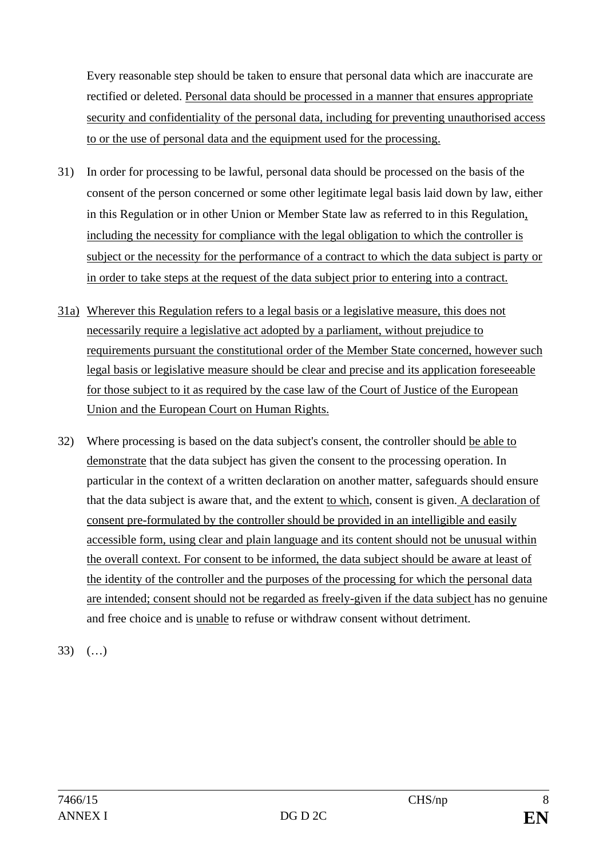Every reasonable step should be taken to ensure that personal data which are inaccurate are rectified or deleted. Personal data should be processed in a manner that ensures appropriate security and confidentiality of the personal data, including for preventing unauthorised access to or the use of personal data and the equipment used for the processing.

- 31) In order for processing to be lawful, personal data should be processed on the basis of the consent of the person concerned or some other legitimate legal basis laid down by law, either in this Regulation or in other Union or Member State law as referred to in this Regulation, including the necessity for compliance with the legal obligation to which the controller is subject or the necessity for the performance of a contract to which the data subject is party or in order to take steps at the request of the data subject prior to entering into a contract.
- 31a) Wherever this Regulation refers to a legal basis or a legislative measure, this does not necessarily require a legislative act adopted by a parliament, without prejudice to requirements pursuant the constitutional order of the Member State concerned, however such legal basis or legislative measure should be clear and precise and its application foreseeable for those subject to it as required by the case law of the Court of Justice of the European Union and the European Court on Human Rights.
- 32) Where processing is based on the data subject's consent, the controller should be able to demonstrate that the data subject has given the consent to the processing operation. In particular in the context of a written declaration on another matter, safeguards should ensure that the data subject is aware that, and the extent to which, consent is given. A declaration of consent pre-formulated by the controller should be provided in an intelligible and easily accessible form, using clear and plain language and its content should not be unusual within the overall context. For consent to be informed, the data subject should be aware at least of the identity of the controller and the purposes of the processing for which the personal data are intended; consent should not be regarded as freely-given if the data subject has no genuine and free choice and is unable to refuse or withdraw consent without detriment.

33) (…)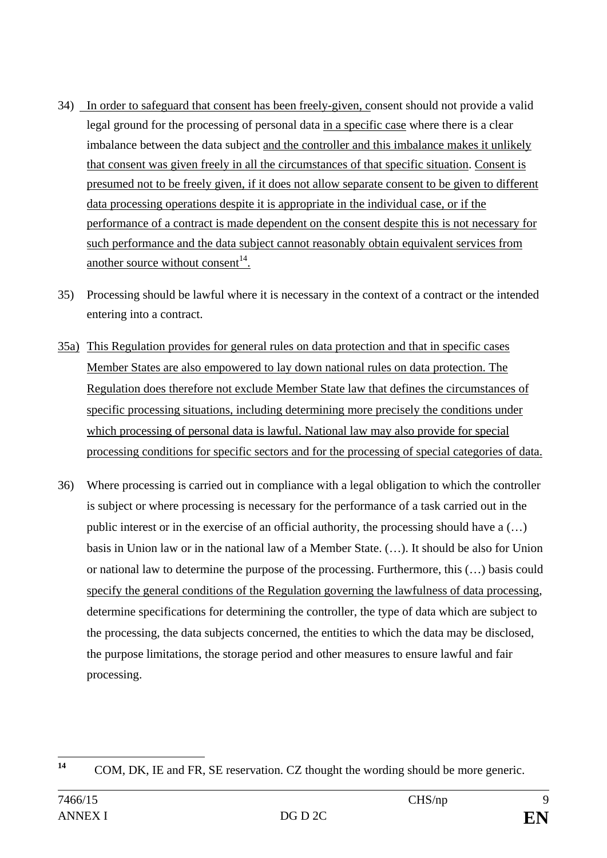- 34) In order to safeguard that consent has been freely-given, consent should not provide a valid legal ground for the processing of personal data in a specific case where there is a clear imbalance between the data subject and the controller and this imbalance makes it unlikely that consent was given freely in all the circumstances of that specific situation. Consent is presumed not to be freely given, if it does not allow separate consent to be given to different data processing operations despite it is appropriate in the individual case, or if the performance of a contract is made dependent on the consent despite this is not necessary for such performance and the data subject cannot reasonably obtain equivalent services from another source without consent<sup>14</sup>.
- 35) Processing should be lawful where it is necessary in the context of a contract or the intended entering into a contract.
- 35a) This Regulation provides for general rules on data protection and that in specific cases Member States are also empowered to lay down national rules on data protection. The Regulation does therefore not exclude Member State law that defines the circumstances of specific processing situations, including determining more precisely the conditions under which processing of personal data is lawful. National law may also provide for special processing conditions for specific sectors and for the processing of special categories of data.
- 36) Where processing is carried out in compliance with a legal obligation to which the controller is subject or where processing is necessary for the performance of a task carried out in the public interest or in the exercise of an official authority, the processing should have a (…) basis in Union law or in the national law of a Member State. (…). It should be also for Union or national law to determine the purpose of the processing. Furthermore, this (…) basis could specify the general conditions of the Regulation governing the lawfulness of data processing, determine specifications for determining the controller, the type of data which are subject to the processing, the data subjects concerned, the entities to which the data may be disclosed, the purpose limitations, the storage period and other measures to ensure lawful and fair processing.

 $14$ **<sup>14</sup>** COM, DK, IE and FR, SE reservation. CZ thought the wording should be more generic.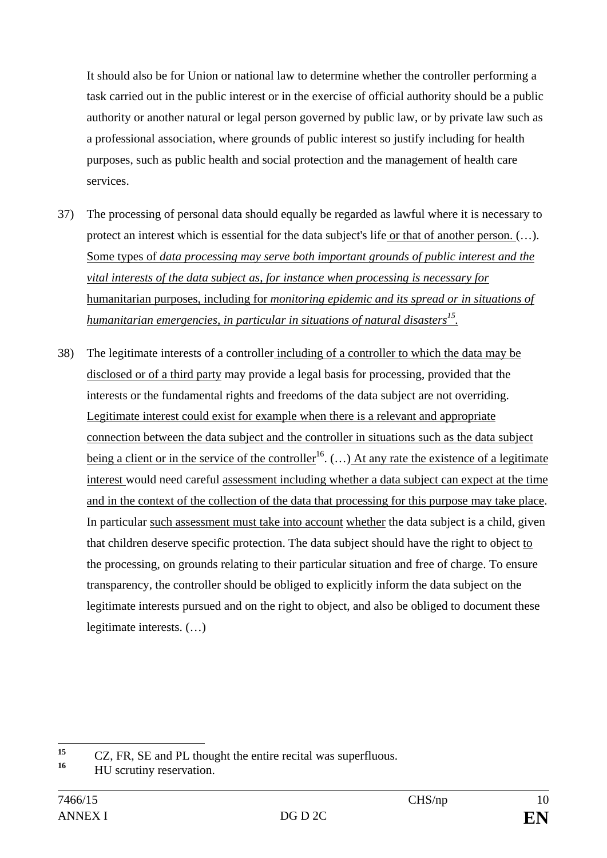It should also be for Union or national law to determine whether the controller performing a task carried out in the public interest or in the exercise of official authority should be a public authority or another natural or legal person governed by public law, or by private law such as a professional association, where grounds of public interest so justify including for health purposes, such as public health and social protection and the management of health care services.

- 37) The processing of personal data should equally be regarded as lawful where it is necessary to protect an interest which is essential for the data subject's life or that of another person. (…). Some types of *data processing may serve both important grounds of public interest and the vital interests of the data subject as, for instance when processing is necessary for*  humanitarian purposes, including for *monitoring epidemic and its spread or in situations of humanitarian emergencies, in particular in situations of natural disasters*<sup>15</sup>.
- 38) The legitimate interests of a controller including of a controller to which the data may be disclosed or of a third party may provide a legal basis for processing, provided that the interests or the fundamental rights and freedoms of the data subject are not overriding. Legitimate interest could exist for example when there is a relevant and appropriate connection between the data subject and the controller in situations such as the data subject being a client or in the service of the controller<sup>16</sup>.  $(...)$  At any rate the existence of a legitimate interest would need careful assessment including whether a data subject can expect at the time and in the context of the collection of the data that processing for this purpose may take place. In particular such assessment must take into account whether the data subject is a child, given that children deserve specific protection. The data subject should have the right to object to the processing, on grounds relating to their particular situation and free of charge. To ensure transparency, the controller should be obliged to explicitly inform the data subject on the legitimate interests pursued and on the right to object, and also be obliged to document these legitimate interests. (…)

 $15$ <sup>15</sup> CZ, FR, SE and PL thought the entire recital was superfluous.

**<sup>16</sup>** HU scrutiny reservation.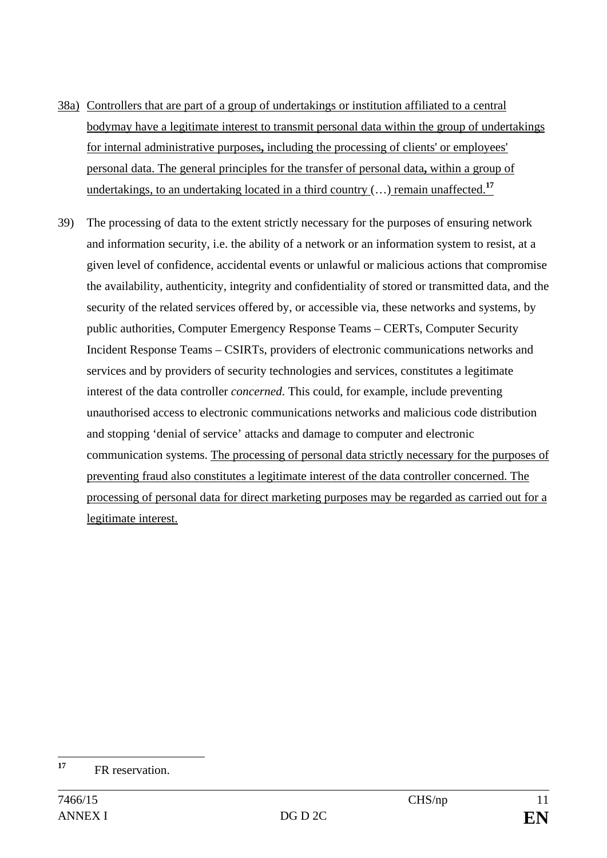- 38a) Controllers that are part of a group of undertakings or institution affiliated to a central bodymay have a legitimate interest to transmit personal data within the group of undertakings for internal administrative purposes**,** including the processing of clients' or employees' personal data. The general principles for the transfer of personal data**,** within a group of undertakings, to an undertaking located in a third country (…) remain unaffected.**<sup>17</sup>**
- 39) The processing of data to the extent strictly necessary for the purposes of ensuring network and information security, i.e. the ability of a network or an information system to resist, at a given level of confidence, accidental events or unlawful or malicious actions that compromise the availability, authenticity, integrity and confidentiality of stored or transmitted data, and the security of the related services offered by, or accessible via, these networks and systems, by public authorities, Computer Emergency Response Teams – CERTs, Computer Security Incident Response Teams – CSIRTs, providers of electronic communications networks and services and by providers of security technologies and services, constitutes a legitimate interest of the data controller *concerned*. This could, for example, include preventing unauthorised access to electronic communications networks and malicious code distribution and stopping 'denial of service' attacks and damage to computer and electronic communication systems. The processing of personal data strictly necessary for the purposes of preventing fraud also constitutes a legitimate interest of the data controller concerned. The processing of personal data for direct marketing purposes may be regarded as carried out for a legitimate interest.

 $17$ **<sup>17</sup>** FR reservation.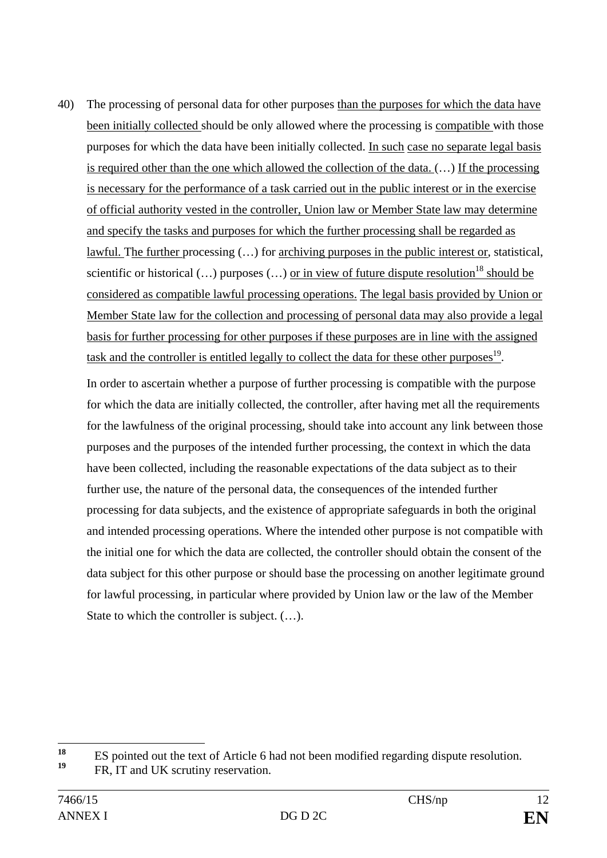40) The processing of personal data for other purposes than the purposes for which the data have been initially collected should be only allowed where the processing is compatible with those purposes for which the data have been initially collected. In such case no separate legal basis is required other than the one which allowed the collection of the data. (…) If the processing is necessary for the performance of a task carried out in the public interest or in the exercise of official authority vested in the controller, Union law or Member State law may determine and specify the tasks and purposes for which the further processing shall be regarded as lawful. The further processing (…) for archiving purposes in the public interest or, statistical, scientific or historical  $(...)$  purposes  $(...)$  or in view of future dispute resolution<sup>18</sup> should be considered as compatible lawful processing operations. The legal basis provided by Union or Member State law for the collection and processing of personal data may also provide a legal basis for further processing for other purposes if these purposes are in line with the assigned task and the controller is entitled legally to collect the data for these other purposes $19$ .

In order to ascertain whether a purpose of further processing is compatible with the purpose for which the data are initially collected, the controller, after having met all the requirements for the lawfulness of the original processing, should take into account any link between those purposes and the purposes of the intended further processing, the context in which the data have been collected, including the reasonable expectations of the data subject as to their further use, the nature of the personal data, the consequences of the intended further processing for data subjects, and the existence of appropriate safeguards in both the original and intended processing operations. Where the intended other purpose is not compatible with the initial one for which the data are collected, the controller should obtain the consent of the data subject for this other purpose or should base the processing on another legitimate ground for lawful processing, in particular where provided by Union law or the law of the Member State to which the controller is subject. (…).

<sup>18</sup> <sup>18</sup> ES pointed out the text of Article 6 had not been modified regarding dispute resolution.

FR, IT and UK scrutiny reservation.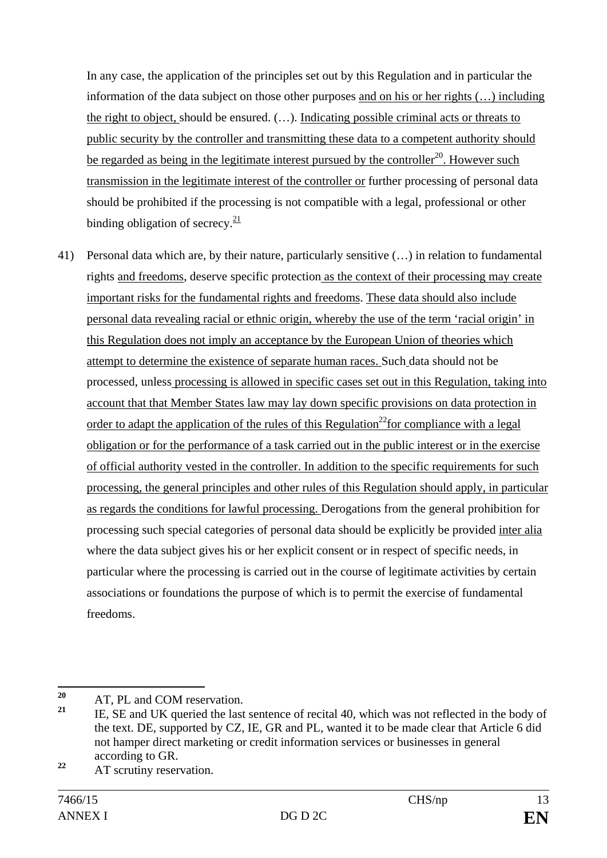In any case, the application of the principles set out by this Regulation and in particular the information of the data subject on those other purposes and on his or her rights (…) including the right to object, should be ensured. (…). Indicating possible criminal acts or threats to public security by the controller and transmitting these data to a competent authority should be regarded as being in the legitimate interest pursued by the controller<sup>20</sup>. However such transmission in the legitimate interest of the controller or further processing of personal data should be prohibited if the processing is not compatible with a legal, professional or other binding obligation of secrecy. $\frac{21}{2}$ 

41) Personal data which are, by their nature, particularly sensitive (…) in relation to fundamental rights and freedoms, deserve specific protection as the context of their processing may create important risks for the fundamental rights and freedoms. These data should also include personal data revealing racial or ethnic origin, whereby the use of the term 'racial origin' in this Regulation does not imply an acceptance by the European Union of theories which attempt to determine the existence of separate human races. Such data should not be processed, unless processing is allowed in specific cases set out in this Regulation, taking into account that that Member States law may lay down specific provisions on data protection in order to adapt the application of the rules of this Regulation<sup>22</sup> for compliance with a legal obligation or for the performance of a task carried out in the public interest or in the exercise of official authority vested in the controller. In addition to the specific requirements for such processing, the general principles and other rules of this Regulation should apply, in particular as regards the conditions for lawful processing. Derogations from the general prohibition for processing such special categories of personal data should be explicitly be provided inter alia where the data subject gives his or her explicit consent or in respect of specific needs, in particular where the processing is carried out in the course of legitimate activities by certain associations or foundations the purpose of which is to permit the exercise of fundamental freedoms.

 $20\,$ <sup>20</sup> AT, PL and COM reservation.

**<sup>21</sup>** IE, SE and UK queried the last sentence of recital 40, which was not reflected in the body of the text. DE, supported by CZ, IE, GR and PL, wanted it to be made clear that Article 6 did not hamper direct marketing or credit information services or businesses in general according to GR.

<sup>&</sup>lt;sup>22</sup> AT scrutiny reservation.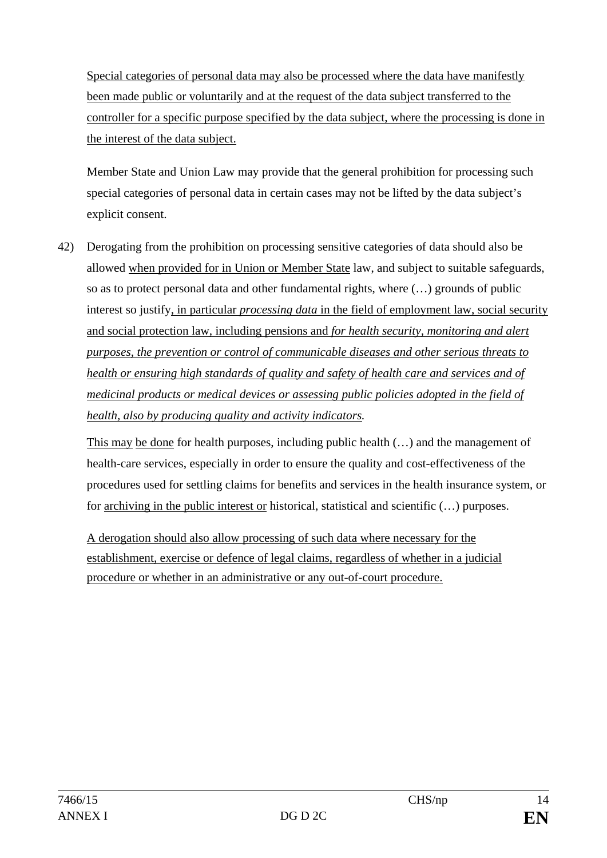Special categories of personal data may also be processed where the data have manifestly been made public or voluntarily and at the request of the data subject transferred to the controller for a specific purpose specified by the data subject, where the processing is done in the interest of the data subject.

Member State and Union Law may provide that the general prohibition for processing such special categories of personal data in certain cases may not be lifted by the data subject's explicit consent.

42) Derogating from the prohibition on processing sensitive categories of data should also be allowed when provided for in Union or Member State law, and subject to suitable safeguards, so as to protect personal data and other fundamental rights, where (…) grounds of public interest so justify, in particular *processing data* in the field of employment law, social security and social protection law, including pensions and *for health security, monitoring and alert purposes, the prevention or control of communicable diseases and other serious threats to health or ensuring high standards of quality and safety of health care and services and of medicinal products or medical devices or assessing public policies adopted in the field of health, also by producing quality and activity indicators.* 

This may be done for health purposes, including public health (…) and the management of health-care services, especially in order to ensure the quality and cost-effectiveness of the procedures used for settling claims for benefits and services in the health insurance system, or for archiving in the public interest or historical, statistical and scientific (…) purposes.

 A derogation should also allow processing of such data where necessary for the establishment, exercise or defence of legal claims, regardless of whether in a judicial procedure or whether in an administrative or any out-of-court procedure.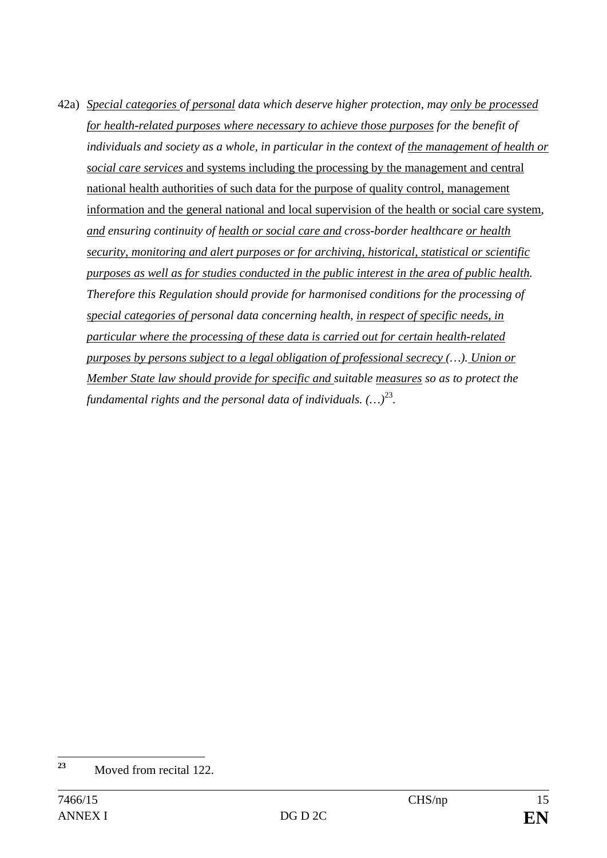42a) *Special categories of personal data which deserve higher protection, may only be processed for health-related purposes where necessary to achieve those purposes for the benefit of individuals and society as a whole, in particular in the context of the management of health or social care services* and systems including the processing by the management and central national health authorities of such data for the purpose of quality control, management information and the general national and local supervision of the health or social care system, *and ensuring continuity of health or social care and cross-border healthcare or health security, monitoring and alert purposes or for archiving, historical, statistical or scientific purposes as well as for studies conducted in the public interest in the area of public health. Therefore this Regulation should provide for harmonised conditions for the processing of special categories of personal data concerning health, in respect of specific needs, in particular where the processing of these data is carried out for certain health-related purposes by persons subject to a legal obligation of professional secrecy (…). Union or Member State law should provide for specific and suitable measures so as to protect the fundamental rights and the personal data of individuals. (…)*<sup>23</sup>*.* 

 $23$ **<sup>23</sup>** Moved from recital 122.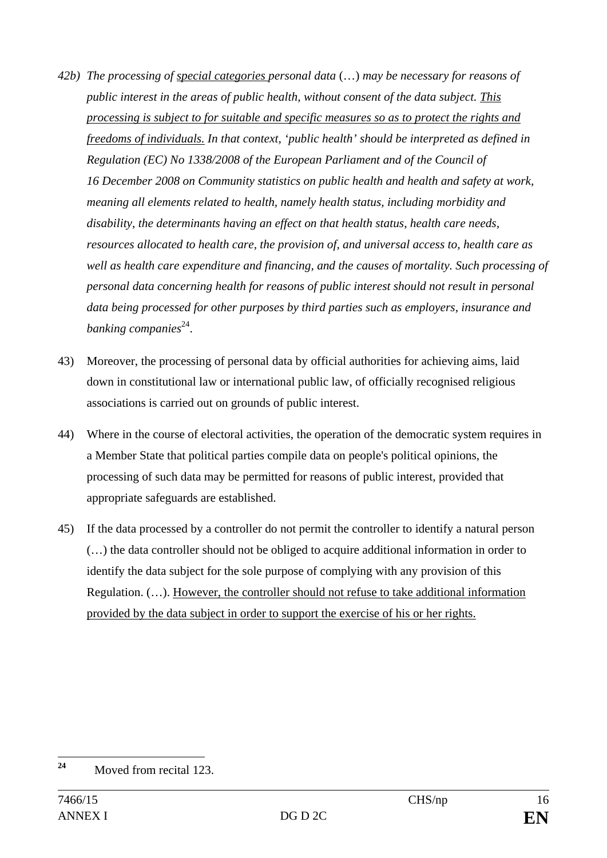- *42b) The processing of special categories personal data* (…) *may be necessary for reasons of public interest in the areas of public health, without consent of the data subject. This processing is subject to for suitable and specific measures so as to protect the rights and freedoms of individuals. In that context, 'public health' should be interpreted as defined in Regulation (EC) No 1338/2008 of the European Parliament and of the Council of 16 December 2008 on Community statistics on public health and health and safety at work, meaning all elements related to health, namely health status, including morbidity and disability, the determinants having an effect on that health status, health care needs, resources allocated to health care, the provision of, and universal access to, health care as well as health care expenditure and financing, and the causes of mortality. Such processing of personal data concerning health for reasons of public interest should not result in personal data being processed for other purposes by third parties such as employers, insurance and banking companies*<sup>24</sup>.
- 43) Moreover, the processing of personal data by official authorities for achieving aims, laid down in constitutional law or international public law, of officially recognised religious associations is carried out on grounds of public interest.
- 44) Where in the course of electoral activities, the operation of the democratic system requires in a Member State that political parties compile data on people's political opinions, the processing of such data may be permitted for reasons of public interest, provided that appropriate safeguards are established.
- 45) If the data processed by a controller do not permit the controller to identify a natural person (…) the data controller should not be obliged to acquire additional information in order to identify the data subject for the sole purpose of complying with any provision of this Regulation. (…). However, the controller should not refuse to take additional information provided by the data subject in order to support the exercise of his or her rights.

 $24$ **<sup>24</sup>** Moved from recital 123.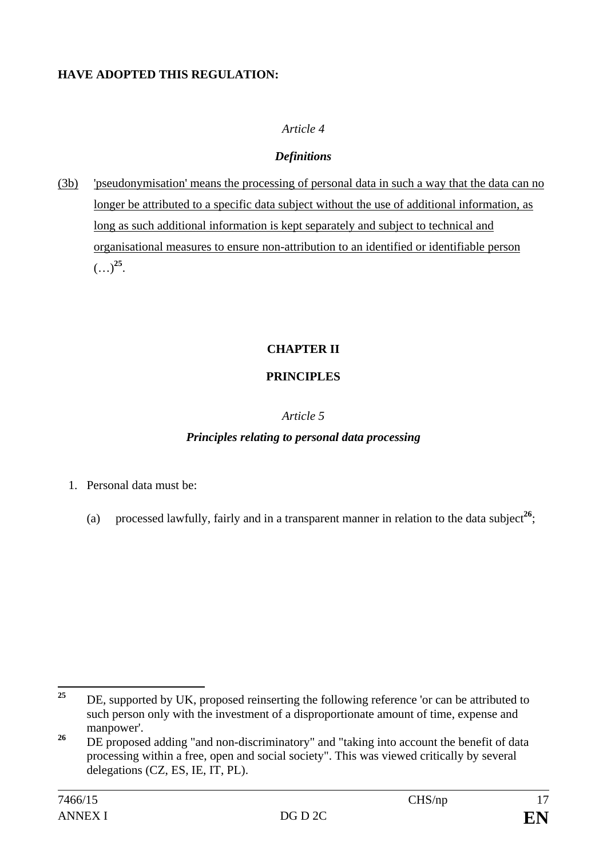### **HAVE ADOPTED THIS REGULATION:**

### *Article 4*

#### *Definitions*

(3b) 'pseudonymisation' means the processing of personal data in such a way that the data can no longer be attributed to a specific data subject without the use of additional information, as long as such additional information is kept separately and subject to technical and organisational measures to ensure non-attribution to an identified or identifiable person  $(...)^{25}$ .

### **CHAPTER II**

### **PRINCIPLES**

#### *Article 5*

### *Principles relating to personal data processing*

- 1. Personal data must be:
	- (a) processed lawfully, fairly and in a transparent manner in relation to the data subject<sup>26</sup>;

<sup>25</sup> **<sup>25</sup>** DE, supported by UK, proposed reinserting the following reference 'or can be attributed to such person only with the investment of a disproportionate amount of time, expense and manpower'.

<sup>&</sup>lt;sup>26</sup> DE proposed adding "and non-discriminatory" and "taking into account the benefit of data processing within a free, open and social society". This was viewed critically by several delegations (CZ, ES, IE, IT, PL).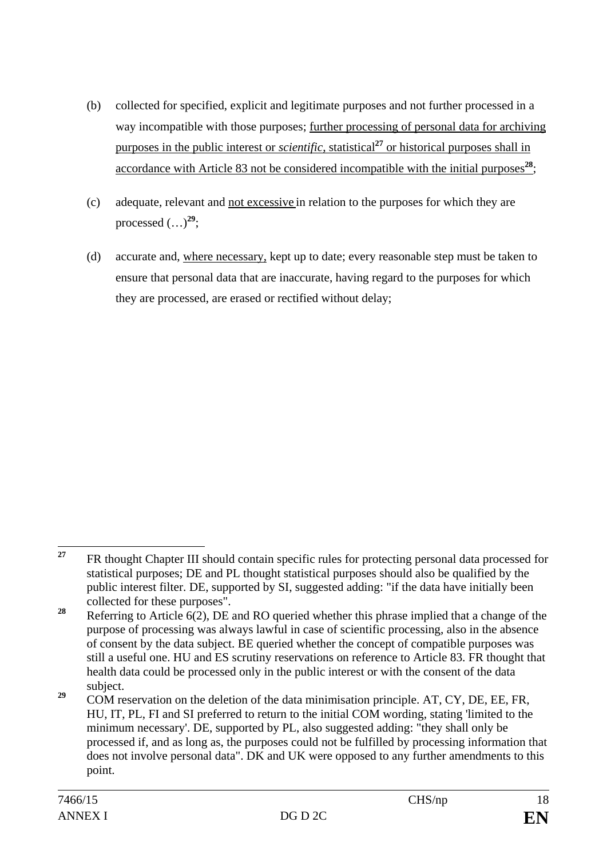- (b) collected for specified, explicit and legitimate purposes and not further processed in a way incompatible with those purposes; further processing of personal data for archiving purposes in the public interest or *scientific*, statistical**<sup>27</sup>** or historical purposes shall in accordance with Article 83 not be considered incompatible with the initial purposes<sup>28</sup>:
- (c) adequate, relevant and not excessive in relation to the purposes for which they are processed  $(\ldots)^{29}$ ;
- (d) accurate and, where necessary, kept up to date; every reasonable step must be taken to ensure that personal data that are inaccurate, having regard to the purposes for which they are processed, are erased or rectified without delay;

<sup>27</sup> **<sup>27</sup>** FR thought Chapter III should contain specific rules for protecting personal data processed for statistical purposes; DE and PL thought statistical purposes should also be qualified by the public interest filter. DE, supported by SI, suggested adding: "if the data have initially been collected for these purposes".

<sup>&</sup>lt;sup>28</sup> Referring to Article 6(2), DE and RO queried whether this phrase implied that a change of the purpose of processing was always lawful in case of scientific processing, also in the absence of consent by the data subject. BE queried whether the concept of compatible purposes was still a useful one. HU and ES scrutiny reservations on reference to Article 83. FR thought that health data could be processed only in the public interest or with the consent of the data subject.

**<sup>29</sup>** COM reservation on the deletion of the data minimisation principle. AT, CY, DE, EE, FR, HU, IT, PL, FI and SI preferred to return to the initial COM wording, stating 'limited to the minimum necessary'. DE, supported by PL, also suggested adding: "they shall only be processed if, and as long as, the purposes could not be fulfilled by processing information that does not involve personal data". DK and UK were opposed to any further amendments to this point.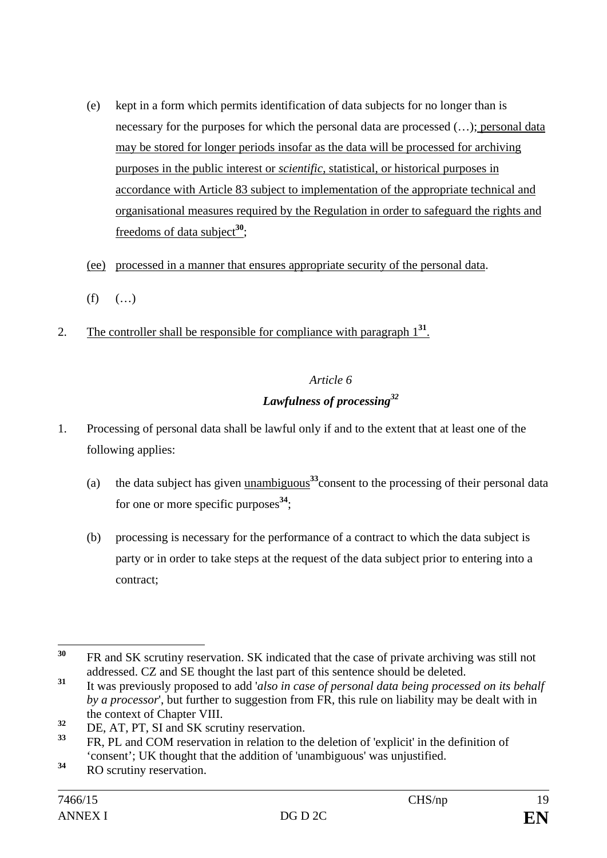- (e) kept in a form which permits identification of data subjects for no longer than is necessary for the purposes for which the personal data are processed (…); personal data may be stored for longer periods insofar as the data will be processed for archiving purposes in the public interest or *scientific*, statistical, or historical purposes in accordance with Article 83 subject to implementation of the appropriate technical and organisational measures required by the Regulation in order to safeguard the rights and freedoms of data subject**<sup>30</sup>**;
- (ee) processed in a manner that ensures appropriate security of the personal data.
- $(f)$   $($ ...)
- 2. The controller shall be responsible for compliance with paragraph 1**<sup>31</sup>**.

### *Article 6*

### *Lawfulness of processing<sup>32</sup>*

- 1. Processing of personal data shall be lawful only if and to the extent that at least one of the following applies:
	- (a) the data subject has given unambiguous**<sup>33</sup>**consent to the processing of their personal data for one or more specific purposes**<sup>34</sup>**;
	- (b) processing is necessary for the performance of a contract to which the data subject is party or in order to take steps at the request of the data subject prior to entering into a contract;

 $30$ **<sup>30</sup>** FR and SK scrutiny reservation. SK indicated that the case of private archiving was still not addressed. CZ and SE thought the last part of this sentence should be deleted.

**<sup>31</sup>** It was previously proposed to add '*also in case of personal data being processed on its behalf by a processor*', but further to suggestion from FR, this rule on liability may be dealt with in the context of Chapter VIII.

 $\frac{32}{33}$  DE, AT, PT, SI and SK scrutiny reservation.

**<sup>33</sup>** FR, PL and COM reservation in relation to the deletion of 'explicit' in the definition of 'consent'; UK thought that the addition of 'unambiguous' was unjustified.

**<sup>34</sup>** RO scrutiny reservation.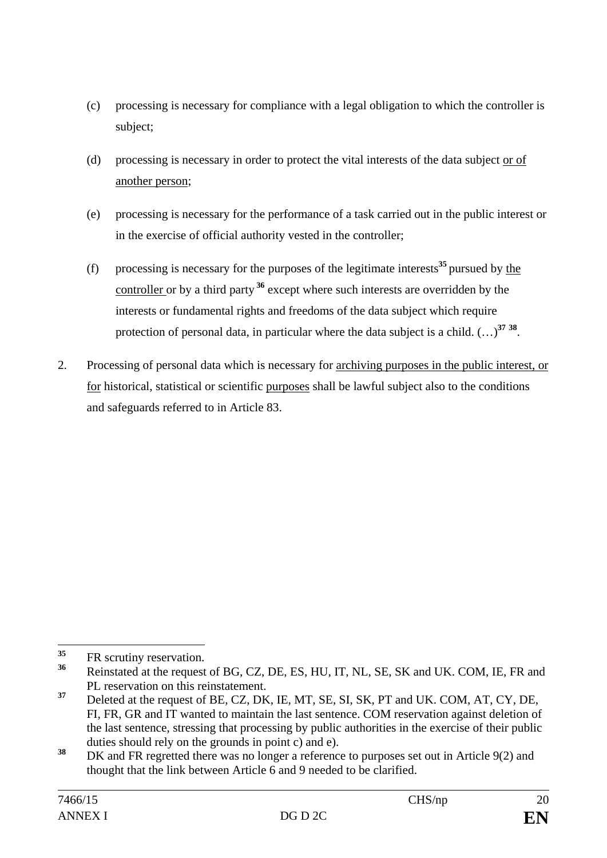- (c) processing is necessary for compliance with a legal obligation to which the controller is subject;
- (d) processing is necessary in order to protect the vital interests of the data subject or of another person;
- (e) processing is necessary for the performance of a task carried out in the public interest or in the exercise of official authority vested in the controller;
- (f) processing is necessary for the purposes of the legitimate interests**<sup>35</sup>** pursued by the controller or by a third party**<sup>36</sup>** except where such interests are overridden by the interests or fundamental rights and freedoms of the data subject which require protection of personal data, in particular where the data subject is a child. (…)**<sup>37</sup> <sup>38</sup>**.
- 2. Processing of personal data which is necessary for archiving purposes in the public interest, or for historical, statistical or scientific purposes shall be lawful subject also to the conditions and safeguards referred to in Article 83.

 $35$ <sup>35</sup> FR scrutiny reservation.

**<sup>36</sup>** Reinstated at the request of BG, CZ, DE, ES, HU, IT, NL, SE, SK and UK. COM, IE, FR and PL reservation on this reinstatement.

**<sup>37</sup>** Deleted at the request of BE, CZ, DK, IE, MT, SE, SI, SK, PT and UK. COM, AT, CY, DE, FI, FR, GR and IT wanted to maintain the last sentence. COM reservation against deletion of the last sentence, stressing that processing by public authorities in the exercise of their public duties should rely on the grounds in point c) and e).

<sup>&</sup>lt;sup>38</sup> DK and FR regretted there was no longer a reference to purposes set out in Article 9(2) and thought that the link between Article 6 and 9 needed to be clarified.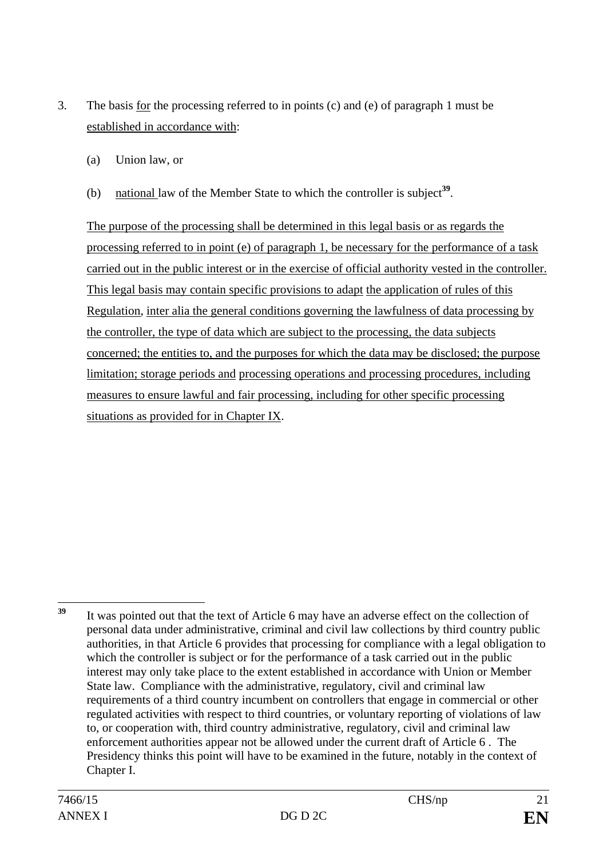- 3. The basis for the processing referred to in points (c) and (e) of paragraph 1 must be established in accordance with:
	- (a) Union law, or
	- (b) national law of the Member State to which the controller is subject**<sup>39</sup>**.

The purpose of the processing shall be determined in this legal basis or as regards the processing referred to in point (e) of paragraph 1, be necessary for the performance of a task carried out in the public interest or in the exercise of official authority vested in the controller. This legal basis may contain specific provisions to adapt the application of rules of this Regulation, inter alia the general conditions governing the lawfulness of data processing by the controller, the type of data which are subject to the processing, the data subjects concerned; the entities to, and the purposes for which the data may be disclosed; the purpose limitation; storage periods and processing operations and processing procedures, including measures to ensure lawful and fair processing, including for other specific processing situations as provided for in Chapter IX.

 $39$ **<sup>39</sup>**It was pointed out that the text of Article 6 may have an adverse effect on the collection of personal data under administrative, criminal and civil law collections by third country public authorities, in that Article 6 provides that processing for compliance with a legal obligation to which the controller is subject or for the performance of a task carried out in the public interest may only take place to the extent established in accordance with Union or Member State law. Compliance with the administrative, regulatory, civil and criminal law requirements of a third country incumbent on controllers that engage in commercial or other regulated activities with respect to third countries, or voluntary reporting of violations of law to, or cooperation with, third country administrative, regulatory, civil and criminal law enforcement authorities appear not be allowed under the current draft of Article 6 . The Presidency thinks this point will have to be examined in the future, notably in the context of Chapter I.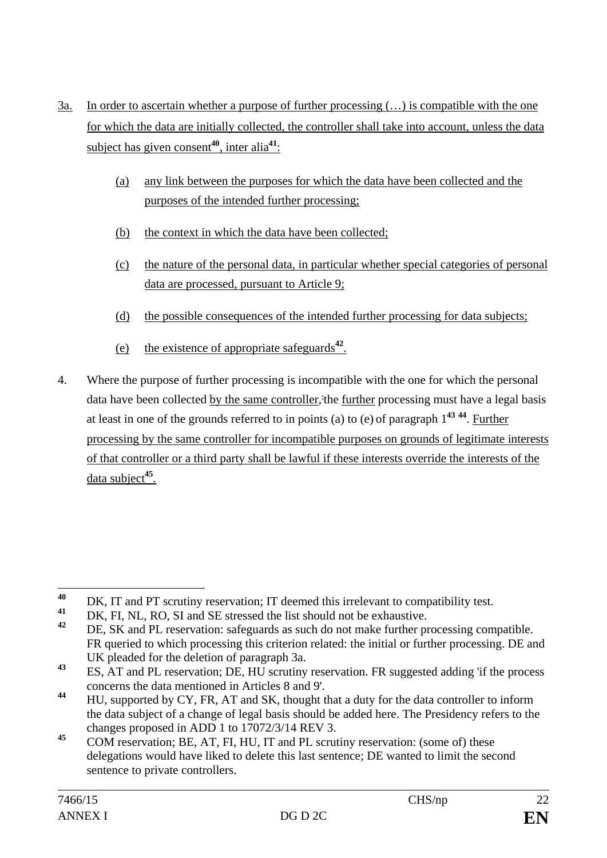- 3a. In order to ascertain whether a purpose of further processing (…) is compatible with the one for which the data are initially collected, the controller shall take into account, unless the data subject has given consent<sup>40</sup>, inter alia<sup>41</sup>:
	- (a) any link between the purposes for which the data have been collected and the purposes of the intended further processing;
	- (b) the context in which the data have been collected;
	- (c) the nature of the personal data, in particular whether special categories of personal data are processed, pursuant to Article 9;
	- (d) the possible consequences of the intended further processing for data subjects;
	- (e) the existence of appropriate safeguards**<sup>42</sup>**.
- 4. Where the purpose of further processing is incompatible with the one for which the personal data have been collected by the same controller, the further processing must have a legal basis at least in one of the grounds referred to in points (a) to (e) of paragraph 1**<sup>43</sup> <sup>44</sup>**. Further processing by the same controller for incompatible purposes on grounds of legitimate interests of that controller or a third party shall be lawful if these interests override the interests of the data subject**<sup>45</sup>**.

<sup>40</sup> **40** DK, IT and PT scrutiny reservation; IT deemed this irrelevant to compatibility test.

<sup>&</sup>lt;sup>41</sup> DK, FI, NL, RO, SI and SE stressed the list should not be exhaustive.

DE, SK and PL reservation: safeguards as such do not make further processing compatible. FR queried to which processing this criterion related: the initial or further processing. DE and UK pleaded for the deletion of paragraph 3a.

**<sup>43</sup>** ES, AT and PL reservation; DE, HU scrutiny reservation. FR suggested adding 'if the process concerns the data mentioned in Articles 8 and 9'.

**<sup>44</sup>** HU, supported by CY, FR, AT and SK, thought that a duty for the data controller to inform the data subject of a change of legal basis should be added here. The Presidency refers to the changes proposed in ADD 1 to 17072/3/14 REV 3.

**<sup>45</sup>** COM reservation; BE, AT, FI, HU, IT and PL scrutiny reservation: (some of) these delegations would have liked to delete this last sentence; DE wanted to limit the second sentence to private controllers.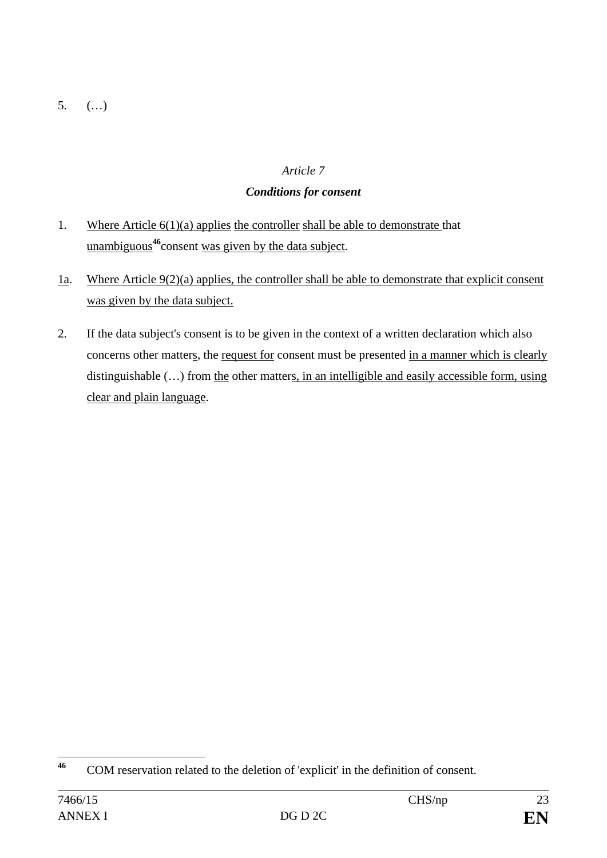5. (…)

### *Article 7*

### *Conditions for consent*

- 1. Where Article 6(1)(a) applies the controller shall be able to demonstrate that unambiguous**<sup>46</sup>**consent was given by the data subject.
- 1a. Where Article 9(2)(a) applies, the controller shall be able to demonstrate that explicit consent was given by the data subject.
- 2. If the data subject's consent is to be given in the context of a written declaration which also concerns other matters, the request for consent must be presented in a manner which is clearly distinguishable (…) from the other matters, in an intelligible and easily accessible form, using clear and plain language.

 $46$ **<sup>46</sup>** COM reservation related to the deletion of 'explicit' in the definition of consent.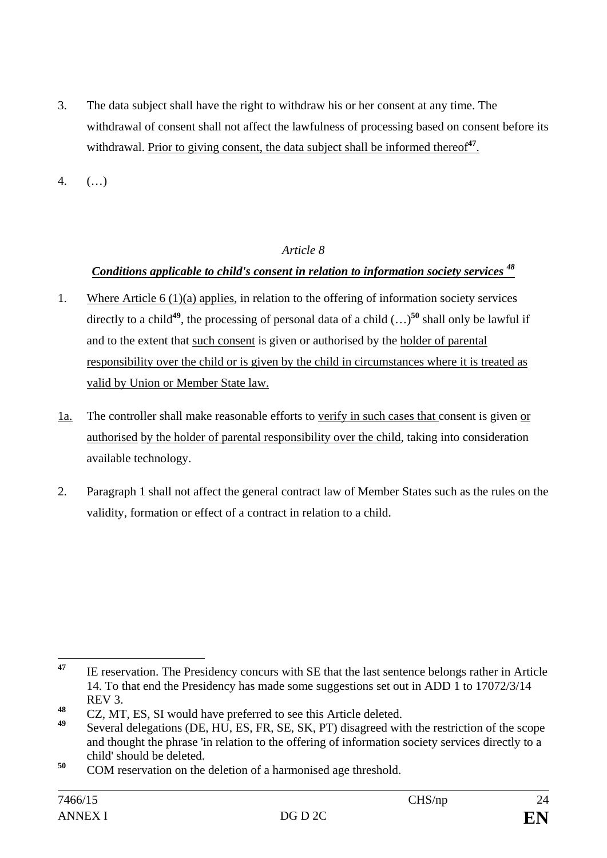- 3. The data subject shall have the right to withdraw his or her consent at any time. The withdrawal of consent shall not affect the lawfulness of processing based on consent before its withdrawal. Prior to giving consent, the data subject shall be informed thereof<sup>47</sup>.
- 4. (…)

### *Article 8*

### *Conditions applicable to child's consent in relation to information society services 48*

- 1. Where Article 6 (1)(a) applies, in relation to the offering of information society services directly to a child**<sup>49</sup>**, the processing of personal data of a child (…)**<sup>50</sup>** shall only be lawful if and to the extent that such consent is given or authorised by the holder of parental responsibility over the child or is given by the child in circumstances where it is treated as valid by Union or Member State law.
- 1a. The controller shall make reasonable efforts to verify in such cases that consent is given or authorised by the holder of parental responsibility over the child, taking into consideration available technology.
- 2. Paragraph 1 shall not affect the general contract law of Member States such as the rules on the validity, formation or effect of a contract in relation to a child.

 $47$ **<sup>47</sup>** IE reservation. The Presidency concurs with SE that the last sentence belongs rather in Article 14. To that end the Presidency has made some suggestions set out in ADD 1 to 17072/3/14 REV 3.

<sup>&</sup>lt;sup>48</sup> CZ, MT, ES, SI would have preferred to see this Article deleted.

Several delegations (DE, HU, ES, FR, SE, SK, PT) disagreed with the restriction of the scope and thought the phrase 'in relation to the offering of information society services directly to a child' should be deleted.

**<sup>50</sup>** COM reservation on the deletion of a harmonised age threshold.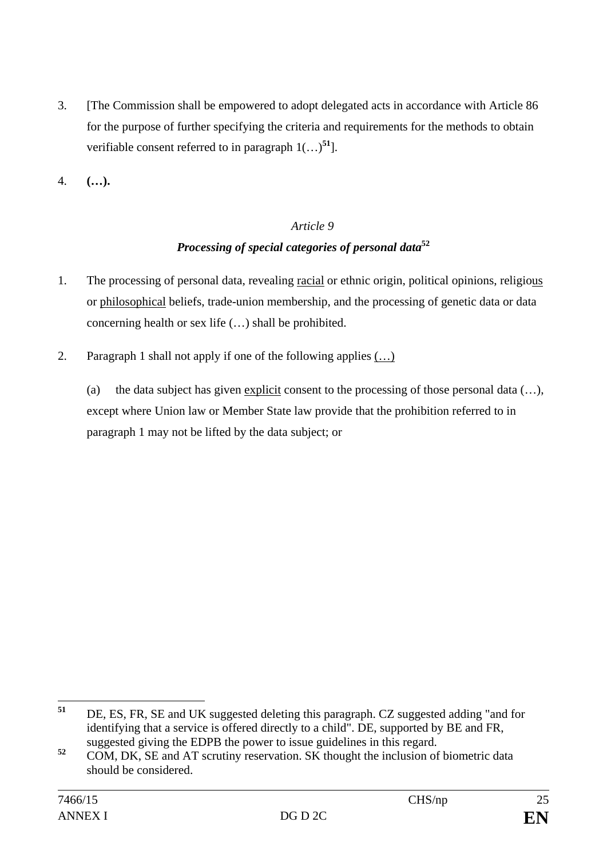- 3. [The Commission shall be empowered to adopt delegated acts in accordance with Article 86 for the purpose of further specifying the criteria and requirements for the methods to obtain verifiable consent referred to in paragraph  $1(...)^{51}$ .
- 4. **(…).**

## *Article 9 Processing of special categories of personal data***<sup>52</sup>**

- 1. The processing of personal data, revealing racial or ethnic origin, political opinions, religious or philosophical beliefs, trade-union membership, and the processing of genetic data or data concerning health or sex life (…) shall be prohibited.
- 2. Paragraph 1 shall not apply if one of the following applies (…)

(a) the data subject has given explicit consent to the processing of those personal data  $(\ldots)$ , except where Union law or Member State law provide that the prohibition referred to in paragraph 1 may not be lifted by the data subject; or

 $51$ **<sup>51</sup>** DE, ES, FR, SE and UK suggested deleting this paragraph. CZ suggested adding "and for identifying that a service is offered directly to a child". DE, supported by BE and FR, suggested giving the EDPB the power to issue guidelines in this regard.

**<sup>52</sup>** COM, DK, SE and AT scrutiny reservation. SK thought the inclusion of biometric data should be considered.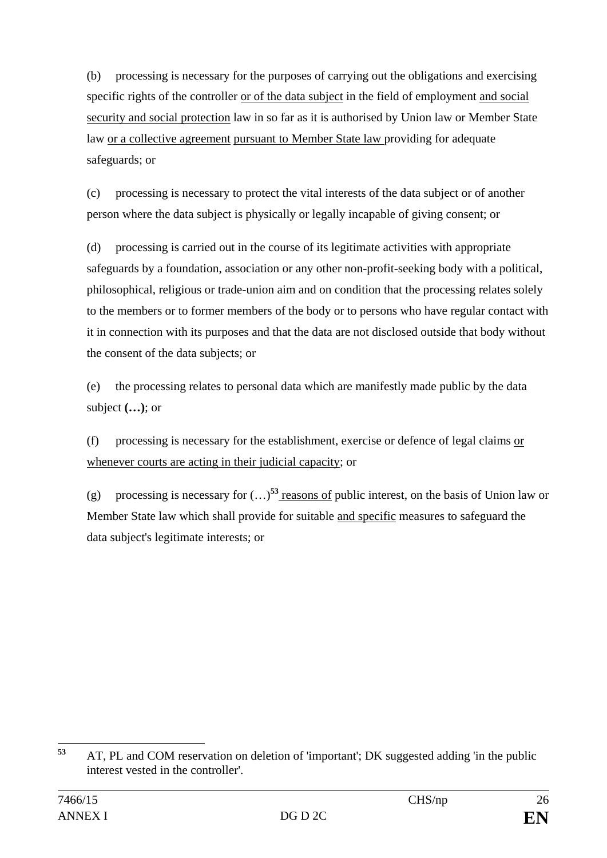(b) processing is necessary for the purposes of carrying out the obligations and exercising specific rights of the controller or of the data subject in the field of employment and social security and social protection law in so far as it is authorised by Union law or Member State law or a collective agreement pursuant to Member State law providing for adequate safeguards; or

(c) processing is necessary to protect the vital interests of the data subject or of another person where the data subject is physically or legally incapable of giving consent; or

(d) processing is carried out in the course of its legitimate activities with appropriate safeguards by a foundation, association or any other non-profit-seeking body with a political, philosophical, religious or trade-union aim and on condition that the processing relates solely to the members or to former members of the body or to persons who have regular contact with it in connection with its purposes and that the data are not disclosed outside that body without the consent of the data subjects; or

(e) the processing relates to personal data which are manifestly made public by the data subject **(…)**; or

(f) processing is necessary for the establishment, exercise or defence of legal claims or whenever courts are acting in their judicial capacity; or

(g) processing is necessary for  $(...)^{53}$  reasons of public interest, on the basis of Union law or Member State law which shall provide for suitable and specific measures to safeguard the data subject's legitimate interests; or

<sup>53</sup> **<sup>53</sup>** AT, PL and COM reservation on deletion of 'important'; DK suggested adding 'in the public interest vested in the controller'.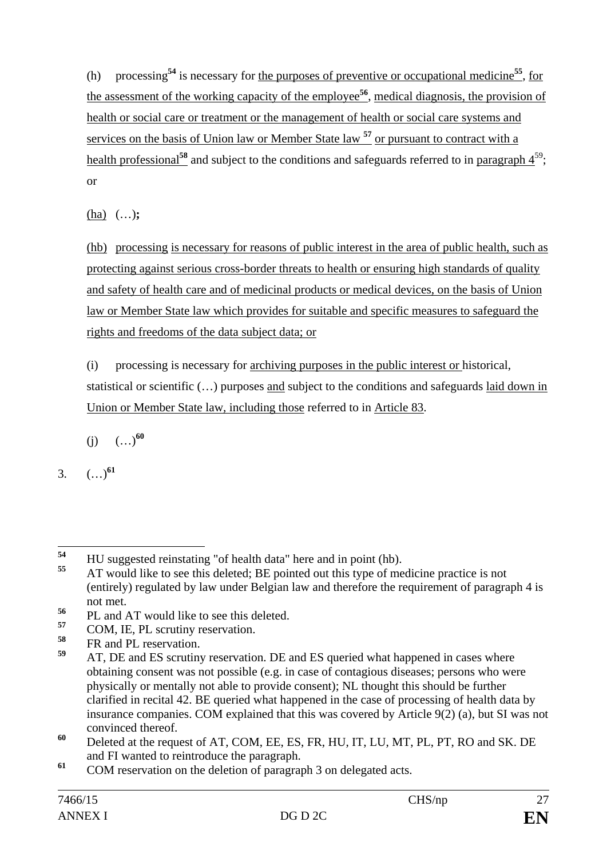(h) processing**<sup>54</sup>** is necessary for the purposes of preventive or occupational medicine**<sup>55</sup>**, for the assessment of the working capacity of the employee**<sup>56</sup>**, medical diagnosis, the provision of health or social care or treatment or the management of health or social care systems and services on the basis of Union law or Member State law **<sup>57</sup>** or pursuant to contract with a health professional<sup>58</sup> and subject to the conditions and safeguards referred to in paragraph  $4^{59}$ ; or

(ha) (…)**;** 

(hb) processing is necessary for reasons of public interest in the area of public health, such as protecting against serious cross-border threats to health or ensuring high standards of quality and safety of health care and of medicinal products or medical devices, on the basis of Union law or Member State law which provides for suitable and specific measures to safeguard the rights and freedoms of the data subject data; or

(i) processing is necessary for archiving purposes in the public interest or historical, statistical or scientific (…) purposes and subject to the conditions and safeguards laid down in Union or Member State law, including those referred to in Article 83.

 $(i)$   $( ...)^{60}$ 

3. (…)**<sup>61</sup>**

<sup>54</sup> <sup>54</sup> HU suggested reinstating "of health data" here and in point (hb).

**<sup>55</sup>** AT would like to see this deleted; BE pointed out this type of medicine practice is not (entirely) regulated by law under Belgian law and therefore the requirement of paragraph 4 is not met.

<sup>&</sup>lt;sup>56</sup> PL and AT would like to see this deleted.

<sup>&</sup>lt;sup>57</sup> COM, IE, PL scrutiny reservation.

<sup>&</sup>lt;sup>58</sup> FR and PL reservation.

**<sup>59</sup>** AT, DE and ES scrutiny reservation. DE and ES queried what happened in cases where obtaining consent was not possible (e.g. in case of contagious diseases; persons who were physically or mentally not able to provide consent); NL thought this should be further clarified in recital 42. BE queried what happened in the case of processing of health data by insurance companies. COM explained that this was covered by Article 9(2) (a), but SI was not convinced thereof.

**<sup>60</sup>** Deleted at the request of AT, COM, EE, ES, FR, HU, IT, LU, MT, PL, PT, RO and SK. DE and FI wanted to reintroduce the paragraph.

**<sup>61</sup>** COM reservation on the deletion of paragraph 3 on delegated acts.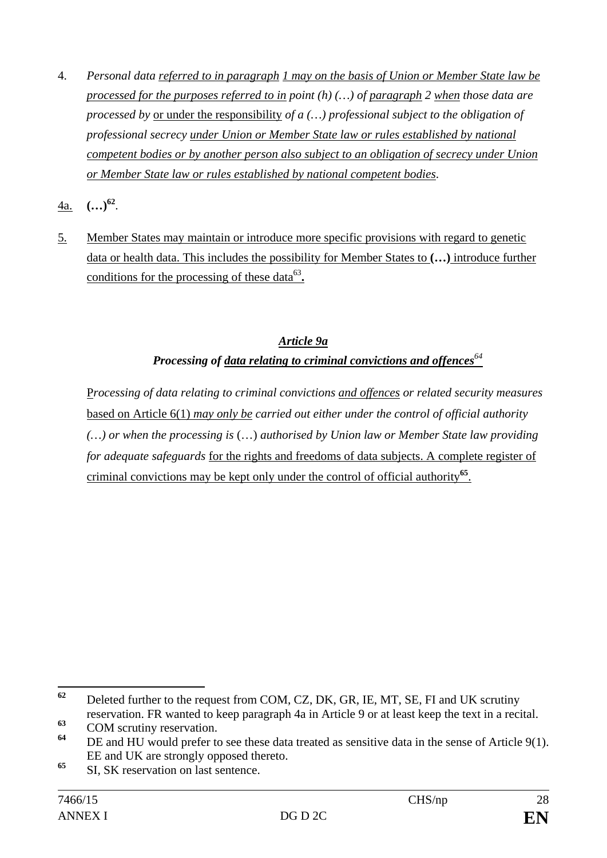4. *Personal data referred to in paragraph 1 may on the basis of Union or Member State law be processed for the purposes referred to in point (h) (…) of paragraph 2 when those data are processed by* or under the responsibility *of a (…) professional subject to the obligation of professional secrecy under Union or Member State law or rules established by national competent bodies or by another person also subject to an obligation of secrecy under Union or Member State law or rules established by national competent bodies*.

4a. **(…)62**.

5. Member States may maintain or introduce more specific provisions with regard to genetic data or health data. This includes the possibility for Member States to **(…)** introduce further conditions for the processing of these data<sup>63</sup>.

### *Article 9a Processing of data relating to criminal convictions and offences<sup>64</sup>*

P*rocessing of data relating to criminal convictions and offences or related security measures*  based on Article 6(1) *may only be carried out either under the control of official authority (…) or when the processing is* (…) *authorised by Union law or Member State law providing for adequate safeguards* for the rights and freedoms of data subjects. A complete register of criminal convictions may be kept only under the control of official authority**<sup>65</sup>**.

 $62$ Deleted further to the request from COM, CZ, DK, GR, IE, MT, SE, FI and UK scrutiny reservation. FR wanted to keep paragraph 4a in Article 9 or at least keep the text in a recital.

<sup>&</sup>lt;sup>63</sup> COM scrutiny reservation.

DE and HU would prefer to see these data treated as sensitive data in the sense of Article 9(1). EE and UK are strongly opposed thereto.

**<sup>65</sup>** SI, SK reservation on last sentence.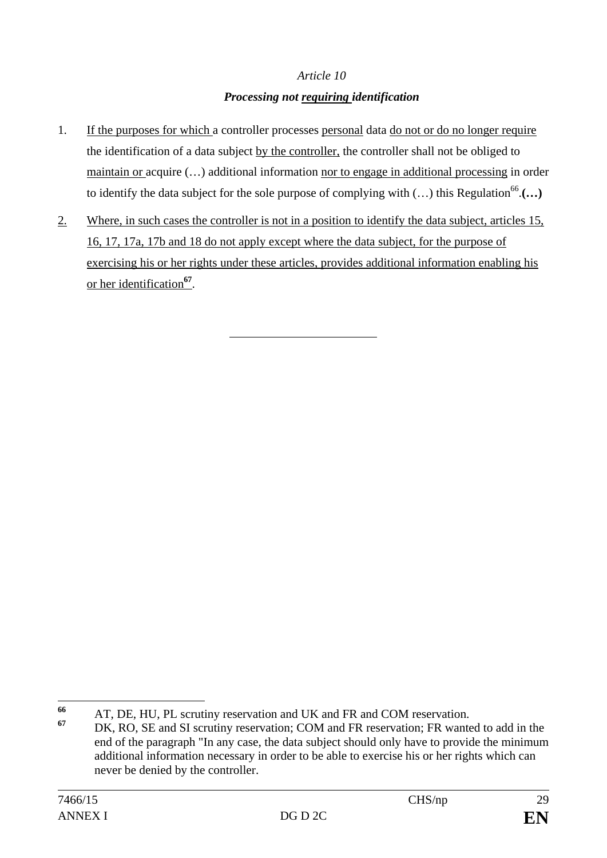# *Article 10*

### *Processing not requiring identification*

- 1. If the purposes for which a controller processes personal data do not or do no longer require the identification of a data subject by the controller, the controller shall not be obliged to maintain or acquire (…) additional information nor to engage in additional processing in order to identify the data subject for the sole purpose of complying with  $(...)$  this Regulation<sup>66</sup>....
- 2. Where, in such cases the controller is not in a position to identify the data subject, articles 15, 16, 17, 17a, 17b and 18 do not apply except where the data subject, for the purpose of exercising his or her rights under these articles, provides additional information enabling his or her identification**<sup>67</sup>**.

<sup>66</sup> <sup>66</sup> AT, DE, HU, PL scrutiny reservation and UK and FR and COM reservation.<br><sup>67</sup> DK, BO, SE and SI services reservation. COM and FR reservation. FR went

DK, RO, SE and SI scrutiny reservation; COM and FR reservation; FR wanted to add in the end of the paragraph "In any case, the data subject should only have to provide the minimum additional information necessary in order to be able to exercise his or her rights which can never be denied by the controller.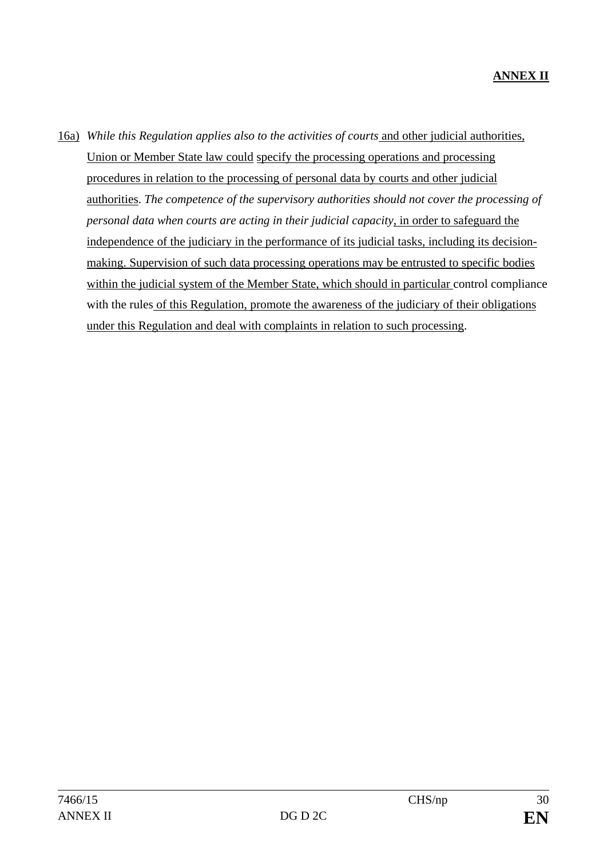16a) *While this Regulation applies also to the activities of courts* and other judicial authorities, Union or Member State law could specify the processing operations and processing procedures in relation to the processing of personal data by courts and other judicial authorities. *The competence of the supervisory authorities should not cover the processing of personal data when courts are acting in their judicial capacity*, in order to safeguard the independence of the judiciary in the performance of its judicial tasks, including its decisionmaking. Supervision of such data processing operations may be entrusted to specific bodies within the judicial system of the Member State, which should in particular control compliance with the rules of this Regulation, promote the awareness of the judiciary of their obligations under this Regulation and deal with complaints in relation to such processing.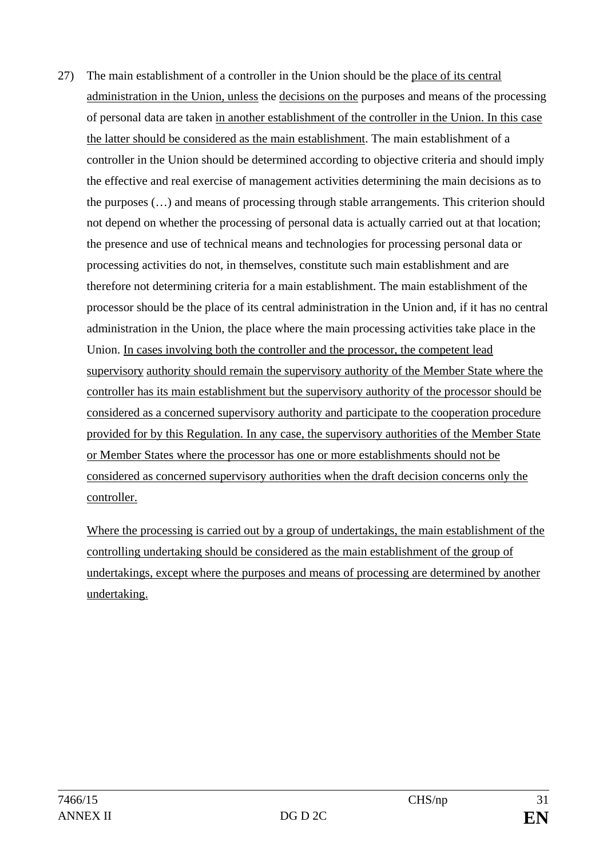27) The main establishment of a controller in the Union should be the place of its central administration in the Union, unless the decisions on the purposes and means of the processing of personal data are taken in another establishment of the controller in the Union. In this case the latter should be considered as the main establishment. The main establishment of a controller in the Union should be determined according to objective criteria and should imply the effective and real exercise of management activities determining the main decisions as to the purposes (…) and means of processing through stable arrangements. This criterion should not depend on whether the processing of personal data is actually carried out at that location; the presence and use of technical means and technologies for processing personal data or processing activities do not, in themselves, constitute such main establishment and are therefore not determining criteria for a main establishment. The main establishment of the processor should be the place of its central administration in the Union and, if it has no central administration in the Union, the place where the main processing activities take place in the Union. In cases involving both the controller and the processor, the competent lead supervisory authority should remain the supervisory authority of the Member State where the controller has its main establishment but the supervisory authority of the processor should be considered as a concerned supervisory authority and participate to the cooperation procedure provided for by this Regulation. In any case, the supervisory authorities of the Member State or Member States where the processor has one or more establishments should not be considered as concerned supervisory authorities when the draft decision concerns only the controller.

Where the processing is carried out by a group of undertakings, the main establishment of the controlling undertaking should be considered as the main establishment of the group of undertakings, except where the purposes and means of processing are determined by another undertaking.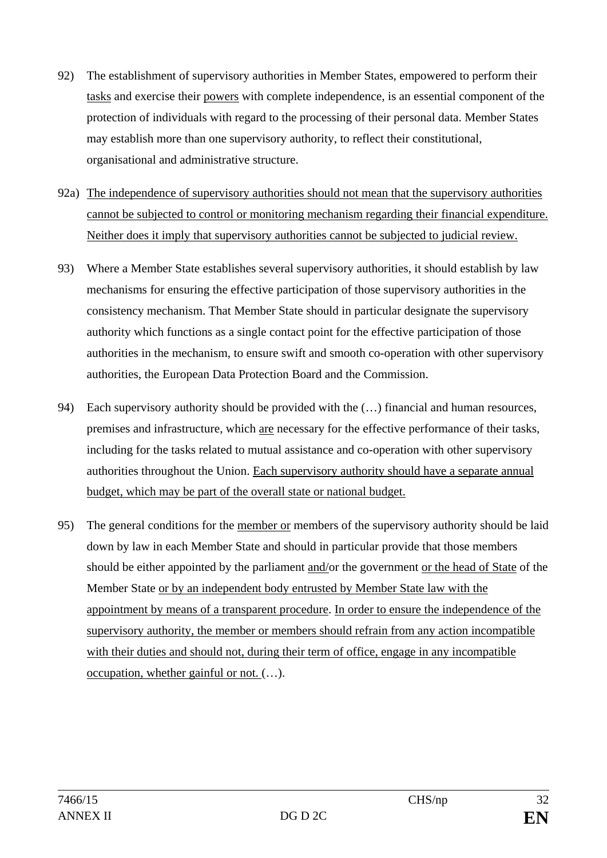- 92) The establishment of supervisory authorities in Member States, empowered to perform their tasks and exercise their powers with complete independence, is an essential component of the protection of individuals with regard to the processing of their personal data. Member States may establish more than one supervisory authority, to reflect their constitutional, organisational and administrative structure.
- 92a) The independence of supervisory authorities should not mean that the supervisory authorities cannot be subjected to control or monitoring mechanism regarding their financial expenditure. Neither does it imply that supervisory authorities cannot be subjected to judicial review.
- 93) Where a Member State establishes several supervisory authorities, it should establish by law mechanisms for ensuring the effective participation of those supervisory authorities in the consistency mechanism. That Member State should in particular designate the supervisory authority which functions as a single contact point for the effective participation of those authorities in the mechanism, to ensure swift and smooth co-operation with other supervisory authorities, the European Data Protection Board and the Commission.
- 94) Each supervisory authority should be provided with the (…) financial and human resources, premises and infrastructure, which are necessary for the effective performance of their tasks, including for the tasks related to mutual assistance and co-operation with other supervisory authorities throughout the Union. Each supervisory authority should have a separate annual budget, which may be part of the overall state or national budget.
- 95) The general conditions for the member or members of the supervisory authority should be laid down by law in each Member State and should in particular provide that those members should be either appointed by the parliament and/or the government or the head of State of the Member State or by an independent body entrusted by Member State law with the appointment by means of a transparent procedure. In order to ensure the independence of the supervisory authority, the member or members should refrain from any action incompatible with their duties and should not, during their term of office, engage in any incompatible occupation, whether gainful or not. (…).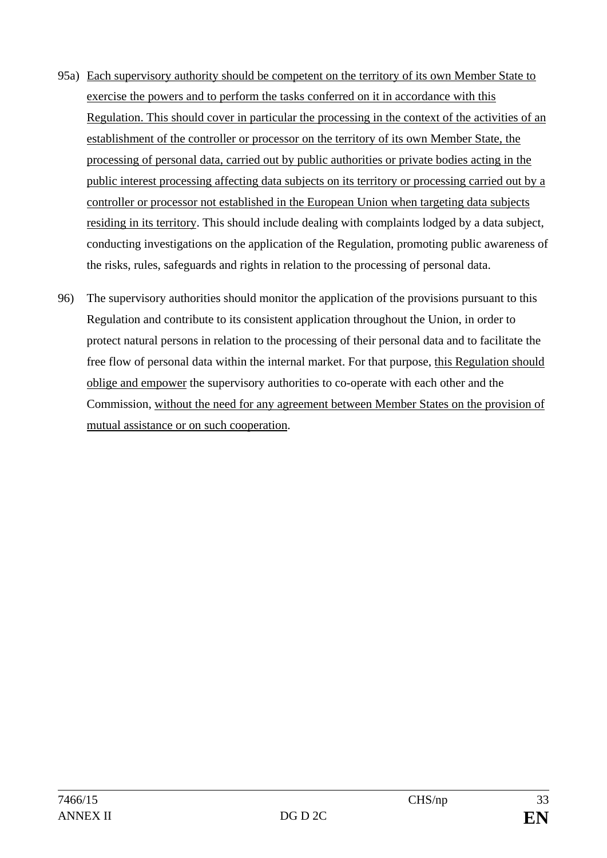- 95a) Each supervisory authority should be competent on the territory of its own Member State to exercise the powers and to perform the tasks conferred on it in accordance with this Regulation. This should cover in particular the processing in the context of the activities of an establishment of the controller or processor on the territory of its own Member State, the processing of personal data, carried out by public authorities or private bodies acting in the public interest processing affecting data subjects on its territory or processing carried out by a controller or processor not established in the European Union when targeting data subjects residing in its territory. This should include dealing with complaints lodged by a data subject, conducting investigations on the application of the Regulation, promoting public awareness of the risks, rules, safeguards and rights in relation to the processing of personal data.
- 96) The supervisory authorities should monitor the application of the provisions pursuant to this Regulation and contribute to its consistent application throughout the Union, in order to protect natural persons in relation to the processing of their personal data and to facilitate the free flow of personal data within the internal market. For that purpose, this Regulation should oblige and empower the supervisory authorities to co-operate with each other and the Commission, without the need for any agreement between Member States on the provision of mutual assistance or on such cooperation.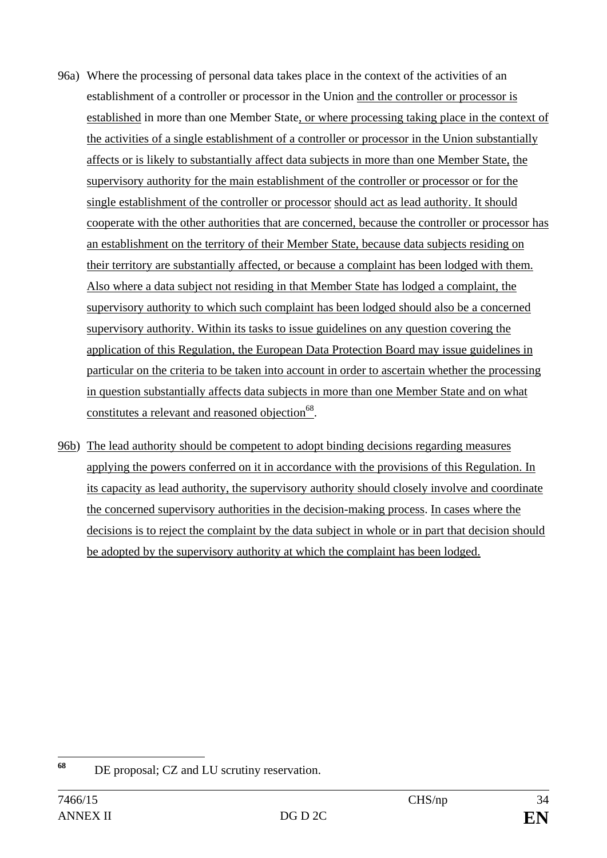- 96a) Where the processing of personal data takes place in the context of the activities of an establishment of a controller or processor in the Union and the controller or processor is established in more than one Member State, or where processing taking place in the context of the activities of a single establishment of a controller or processor in the Union substantially affects or is likely to substantially affect data subjects in more than one Member State, the supervisory authority for the main establishment of the controller or processor or for the single establishment of the controller or processor should act as lead authority. It should cooperate with the other authorities that are concerned, because the controller or processor has an establishment on the territory of their Member State, because data subjects residing on their territory are substantially affected, or because a complaint has been lodged with them. Also where a data subject not residing in that Member State has lodged a complaint, the supervisory authority to which such complaint has been lodged should also be a concerned supervisory authority. Within its tasks to issue guidelines on any question covering the application of this Regulation, the European Data Protection Board may issue guidelines in particular on the criteria to be taken into account in order to ascertain whether the processing in question substantially affects data subjects in more than one Member State and on what constitutes a relevant and reasoned objection<sup>68</sup>.
- 96b) The lead authority should be competent to adopt binding decisions regarding measures applying the powers conferred on it in accordance with the provisions of this Regulation. In its capacity as lead authority, the supervisory authority should closely involve and coordinate the concerned supervisory authorities in the decision-making process. In cases where the decisions is to reject the complaint by the data subject in whole or in part that decision should be adopted by the supervisory authority at which the complaint has been lodged.

<sup>68</sup> DE proposal; CZ and LU scrutiny reservation.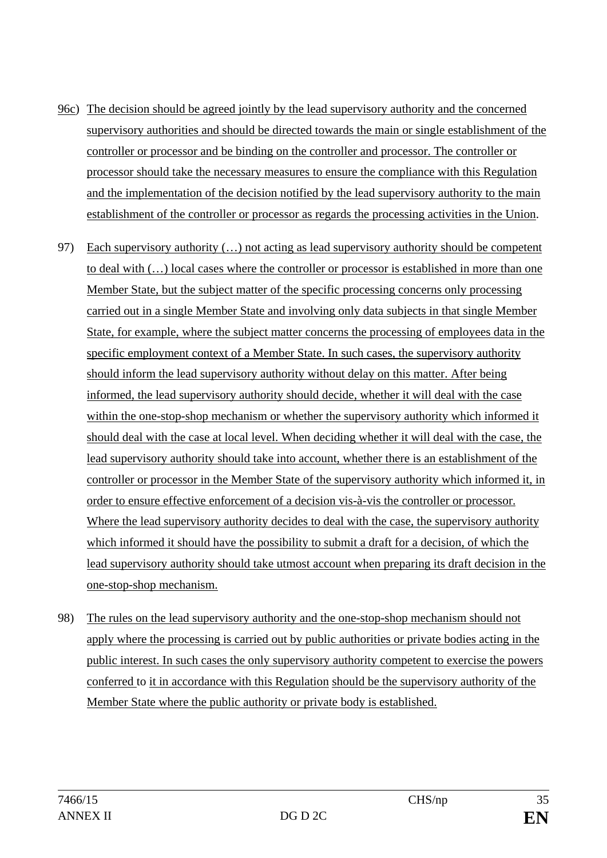- 96c) The decision should be agreed jointly by the lead supervisory authority and the concerned supervisory authorities and should be directed towards the main or single establishment of the controller or processor and be binding on the controller and processor. The controller or processor should take the necessary measures to ensure the compliance with this Regulation and the implementation of the decision notified by the lead supervisory authority to the main establishment of the controller or processor as regards the processing activities in the Union.
- 97) Each supervisory authority (…) not acting as lead supervisory authority should be competent to deal with (…) local cases where the controller or processor is established in more than one Member State, but the subject matter of the specific processing concerns only processing carried out in a single Member State and involving only data subjects in that single Member State, for example, where the subject matter concerns the processing of employees data in the specific employment context of a Member State. In such cases, the supervisory authority should inform the lead supervisory authority without delay on this matter. After being informed, the lead supervisory authority should decide, whether it will deal with the case within the one-stop-shop mechanism or whether the supervisory authority which informed it should deal with the case at local level. When deciding whether it will deal with the case, the lead supervisory authority should take into account, whether there is an establishment of the controller or processor in the Member State of the supervisory authority which informed it, in order to ensure effective enforcement of a decision vis-à-vis the controller or processor. Where the lead supervisory authority decides to deal with the case, the supervisory authority which informed it should have the possibility to submit a draft for a decision, of which the lead supervisory authority should take utmost account when preparing its draft decision in the one-stop-shop mechanism.
- 98) The rules on the lead supervisory authority and the one-stop-shop mechanism should not apply where the processing is carried out by public authorities or private bodies acting in the public interest. In such cases the only supervisory authority competent to exercise the powers conferred to it in accordance with this Regulation should be the supervisory authority of the Member State where the public authority or private body is established.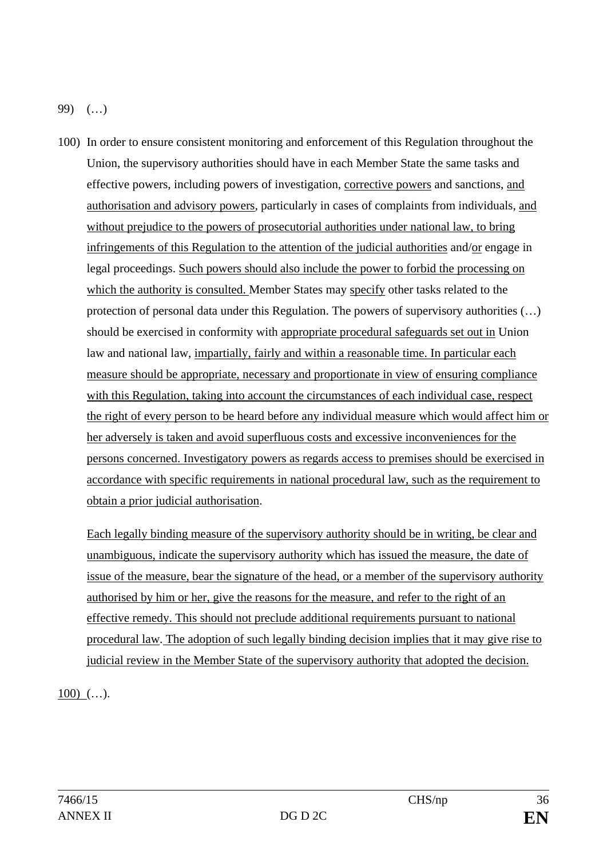### 99) (…)

100) In order to ensure consistent monitoring and enforcement of this Regulation throughout the Union, the supervisory authorities should have in each Member State the same tasks and effective powers, including powers of investigation, corrective powers and sanctions, and authorisation and advisory powers, particularly in cases of complaints from individuals, and without prejudice to the powers of prosecutorial authorities under national law, to bring infringements of this Regulation to the attention of the judicial authorities and/or engage in legal proceedings. Such powers should also include the power to forbid the processing on which the authority is consulted. Member States may specify other tasks related to the protection of personal data under this Regulation. The powers of supervisory authorities (…) should be exercised in conformity with appropriate procedural safeguards set out in Union law and national law, impartially, fairly and within a reasonable time. In particular each measure should be appropriate, necessary and proportionate in view of ensuring compliance with this Regulation, taking into account the circumstances of each individual case, respect the right of every person to be heard before any individual measure which would affect him or her adversely is taken and avoid superfluous costs and excessive inconveniences for the persons concerned. Investigatory powers as regards access to premises should be exercised in accordance with specific requirements in national procedural law, such as the requirement to obtain a prior judicial authorisation.

Each legally binding measure of the supervisory authority should be in writing, be clear and unambiguous, indicate the supervisory authority which has issued the measure, the date of issue of the measure, bear the signature of the head, or a member of the supervisory authority authorised by him or her, give the reasons for the measure, and refer to the right of an effective remedy. This should not preclude additional requirements pursuant to national procedural law. The adoption of such legally binding decision implies that it may give rise to judicial review in the Member State of the supervisory authority that adopted the decision.

 $100)$  (...).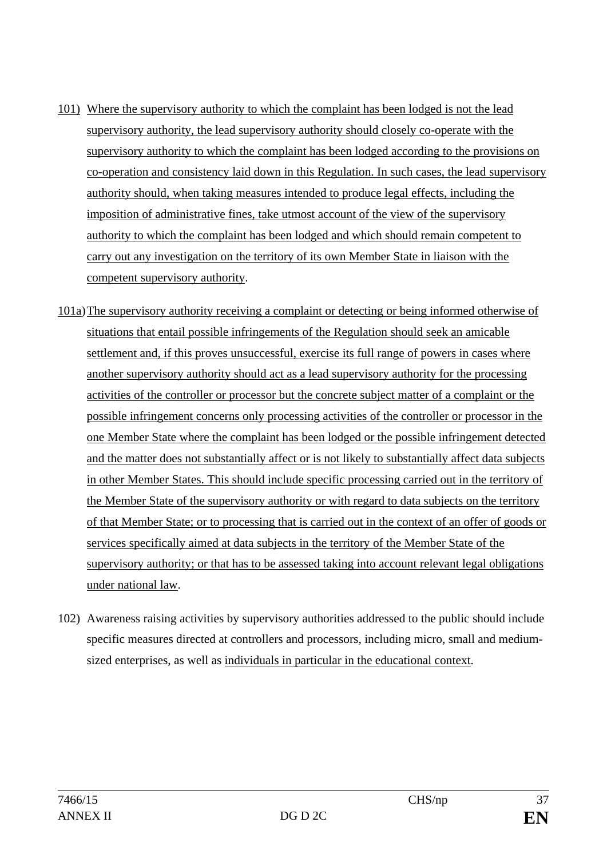- 101) Where the supervisory authority to which the complaint has been lodged is not the lead supervisory authority, the lead supervisory authority should closely co-operate with the supervisory authority to which the complaint has been lodged according to the provisions on co-operation and consistency laid down in this Regulation. In such cases, the lead supervisory authority should, when taking measures intended to produce legal effects, including the imposition of administrative fines, take utmost account of the view of the supervisory authority to which the complaint has been lodged and which should remain competent to carry out any investigation on the territory of its own Member State in liaison with the competent supervisory authority.
- 101a) The supervisory authority receiving a complaint or detecting or being informed otherwise of situations that entail possible infringements of the Regulation should seek an amicable settlement and, if this proves unsuccessful, exercise its full range of powers in cases where another supervisory authority should act as a lead supervisory authority for the processing activities of the controller or processor but the concrete subject matter of a complaint or the possible infringement concerns only processing activities of the controller or processor in the one Member State where the complaint has been lodged or the possible infringement detected and the matter does not substantially affect or is not likely to substantially affect data subjects in other Member States. This should include specific processing carried out in the territory of the Member State of the supervisory authority or with regard to data subjects on the territory of that Member State; or to processing that is carried out in the context of an offer of goods or services specifically aimed at data subjects in the territory of the Member State of the supervisory authority; or that has to be assessed taking into account relevant legal obligations under national law.
- 102) Awareness raising activities by supervisory authorities addressed to the public should include specific measures directed at controllers and processors, including micro, small and mediumsized enterprises, as well as individuals in particular in the educational context.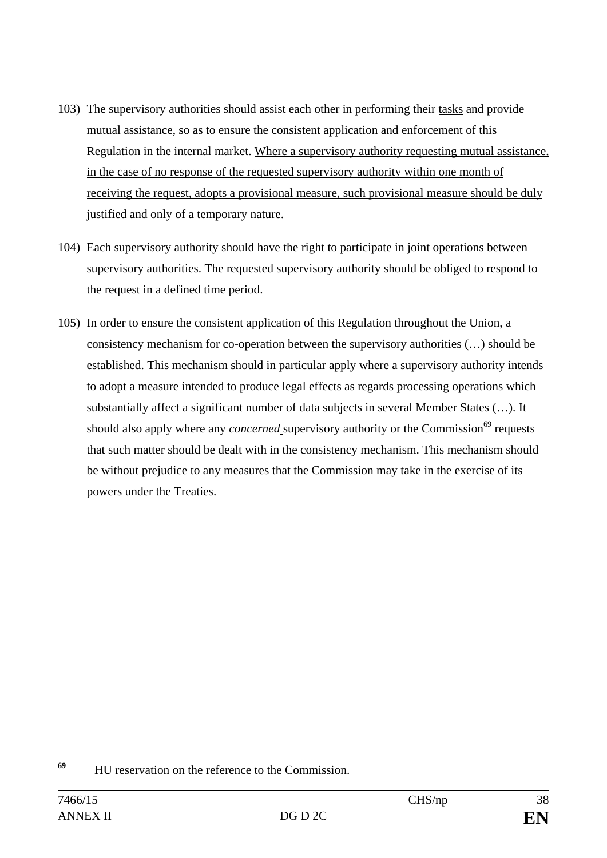- 103) The supervisory authorities should assist each other in performing their tasks and provide mutual assistance, so as to ensure the consistent application and enforcement of this Regulation in the internal market. Where a supervisory authority requesting mutual assistance, in the case of no response of the requested supervisory authority within one month of receiving the request, adopts a provisional measure, such provisional measure should be duly justified and only of a temporary nature.
- 104) Each supervisory authority should have the right to participate in joint operations between supervisory authorities. The requested supervisory authority should be obliged to respond to the request in a defined time period.
- 105) In order to ensure the consistent application of this Regulation throughout the Union, a consistency mechanism for co-operation between the supervisory authorities (…) should be established. This mechanism should in particular apply where a supervisory authority intends to adopt a measure intended to produce legal effects as regards processing operations which substantially affect a significant number of data subjects in several Member States (…). It should also apply where any *concerned* supervisory authority or the Commission<sup>69</sup> requests that such matter should be dealt with in the consistency mechanism. This mechanism should be without prejudice to any measures that the Commission may take in the exercise of its powers under the Treaties.

<sup>69</sup> **<sup>69</sup>** HU reservation on the reference to the Commission.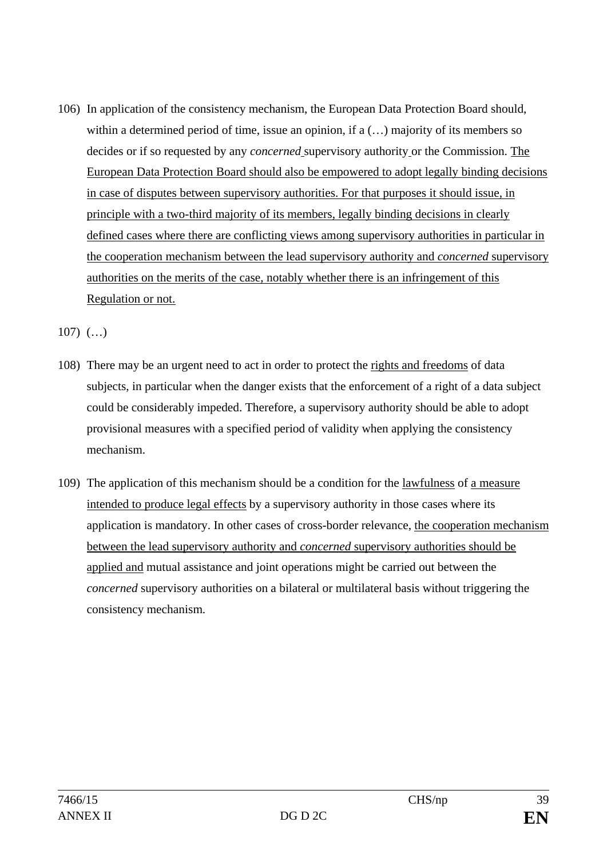106) In application of the consistency mechanism, the European Data Protection Board should, within a determined period of time, issue an opinion, if a (...) majority of its members so decides or if so requested by any *concerned* supervisory authority or the Commission. The European Data Protection Board should also be empowered to adopt legally binding decisions in case of disputes between supervisory authorities. For that purposes it should issue, in principle with a two-third majority of its members, legally binding decisions in clearly defined cases where there are conflicting views among supervisory authorities in particular in the cooperation mechanism between the lead supervisory authority and *concerned* supervisory authorities on the merits of the case, notably whether there is an infringement of this Regulation or not.

 $107)$  (...)

- 108) There may be an urgent need to act in order to protect the rights and freedoms of data subjects, in particular when the danger exists that the enforcement of a right of a data subject could be considerably impeded. Therefore, a supervisory authority should be able to adopt provisional measures with a specified period of validity when applying the consistency mechanism.
- 109) The application of this mechanism should be a condition for the lawfulness of a measure intended to produce legal effects by a supervisory authority in those cases where its application is mandatory. In other cases of cross-border relevance, the cooperation mechanism between the lead supervisory authority and *concerned* supervisory authorities should be applied and mutual assistance and joint operations might be carried out between the *concerned* supervisory authorities on a bilateral or multilateral basis without triggering the consistency mechanism.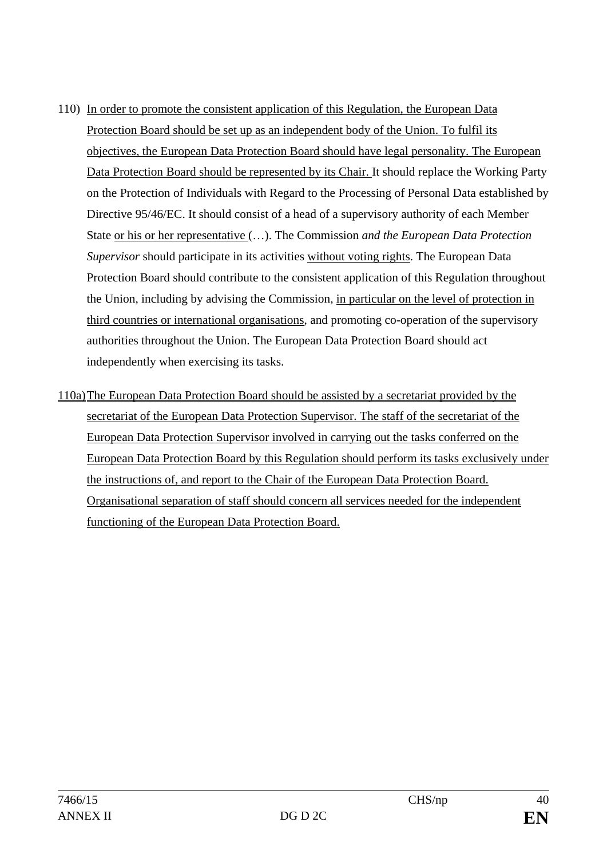- 110) In order to promote the consistent application of this Regulation, the European Data Protection Board should be set up as an independent body of the Union. To fulfil its objectives, the European Data Protection Board should have legal personality. The European Data Protection Board should be represented by its Chair. It should replace the Working Party on the Protection of Individuals with Regard to the Processing of Personal Data established by Directive 95/46/EC. It should consist of a head of a supervisory authority of each Member State or his or her representative (…). The Commission *and the European Data Protection Supervisor* should participate in its activities without voting rights. The European Data Protection Board should contribute to the consistent application of this Regulation throughout the Union, including by advising the Commission, in particular on the level of protection in third countries or international organisations, and promoting co-operation of the supervisory authorities throughout the Union. The European Data Protection Board should act independently when exercising its tasks.
- 110a) The European Data Protection Board should be assisted by a secretariat provided by the secretariat of the European Data Protection Supervisor. The staff of the secretariat of the European Data Protection Supervisor involved in carrying out the tasks conferred on the European Data Protection Board by this Regulation should perform its tasks exclusively under the instructions of, and report to the Chair of the European Data Protection Board. Organisational separation of staff should concern all services needed for the independent functioning of the European Data Protection Board.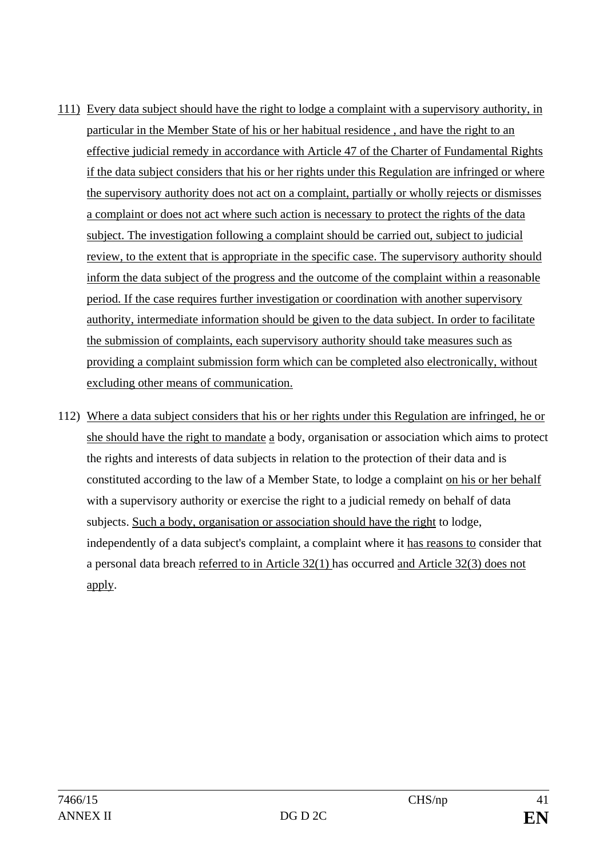- 111) Every data subject should have the right to lodge a complaint with a supervisory authority, in particular in the Member State of his or her habitual residence , and have the right to an effective judicial remedy in accordance with Article 47 of the Charter of Fundamental Rights if the data subject considers that his or her rights under this Regulation are infringed or where the supervisory authority does not act on a complaint, partially or wholly rejects or dismisses a complaint or does not act where such action is necessary to protect the rights of the data subject. The investigation following a complaint should be carried out, subject to judicial review, to the extent that is appropriate in the specific case. The supervisory authority should inform the data subject of the progress and the outcome of the complaint within a reasonable period. If the case requires further investigation or coordination with another supervisory authority, intermediate information should be given to the data subject. In order to facilitate the submission of complaints, each supervisory authority should take measures such as providing a complaint submission form which can be completed also electronically, without excluding other means of communication.
- 112) Where a data subject considers that his or her rights under this Regulation are infringed, he or she should have the right to mandate a body, organisation or association which aims to protect the rights and interests of data subjects in relation to the protection of their data and is constituted according to the law of a Member State, to lodge a complaint on his or her behalf with a supervisory authority or exercise the right to a judicial remedy on behalf of data subjects. Such a body, organisation or association should have the right to lodge, independently of a data subject's complaint, a complaint where it has reasons to consider that a personal data breach referred to in Article 32(1) has occurred and Article 32(3) does not apply.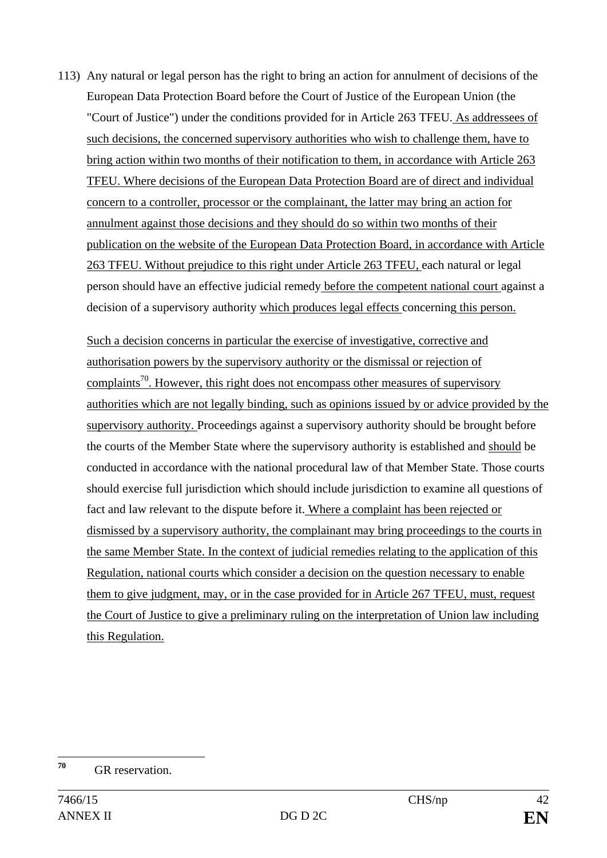113) Any natural or legal person has the right to bring an action for annulment of decisions of the European Data Protection Board before the Court of Justice of the European Union (the "Court of Justice") under the conditions provided for in Article 263 TFEU. As addressees of such decisions, the concerned supervisory authorities who wish to challenge them, have to bring action within two months of their notification to them, in accordance with Article 263 TFEU. Where decisions of the European Data Protection Board are of direct and individual concern to a controller, processor or the complainant, the latter may bring an action for annulment against those decisions and they should do so within two months of their publication on the website of the European Data Protection Board, in accordance with Article 263 TFEU. Without prejudice to this right under Article 263 TFEU, each natural or legal person should have an effective judicial remedy before the competent national court against a decision of a supervisory authority which produces legal effects concerning this person.

Such a decision concerns in particular the exercise of investigative, corrective and authorisation powers by the supervisory authority or the dismissal or rejection of complaints<sup>70</sup>. However, this right does not encompass other measures of supervisory authorities which are not legally binding, such as opinions issued by or advice provided by the supervisory authority. Proceedings against a supervisory authority should be brought before the courts of the Member State where the supervisory authority is established and should be conducted in accordance with the national procedural law of that Member State. Those courts should exercise full jurisdiction which should include jurisdiction to examine all questions of fact and law relevant to the dispute before it. Where a complaint has been rejected or dismissed by a supervisory authority, the complainant may bring proceedings to the courts in the same Member State. In the context of judicial remedies relating to the application of this Regulation, national courts which consider a decision on the question necessary to enable them to give judgment, may, or in the case provided for in Article 267 TFEU, must, request the Court of Justice to give a preliminary ruling on the interpretation of Union law including this Regulation.

<sup>70</sup> **<sup>70</sup>** GR reservation.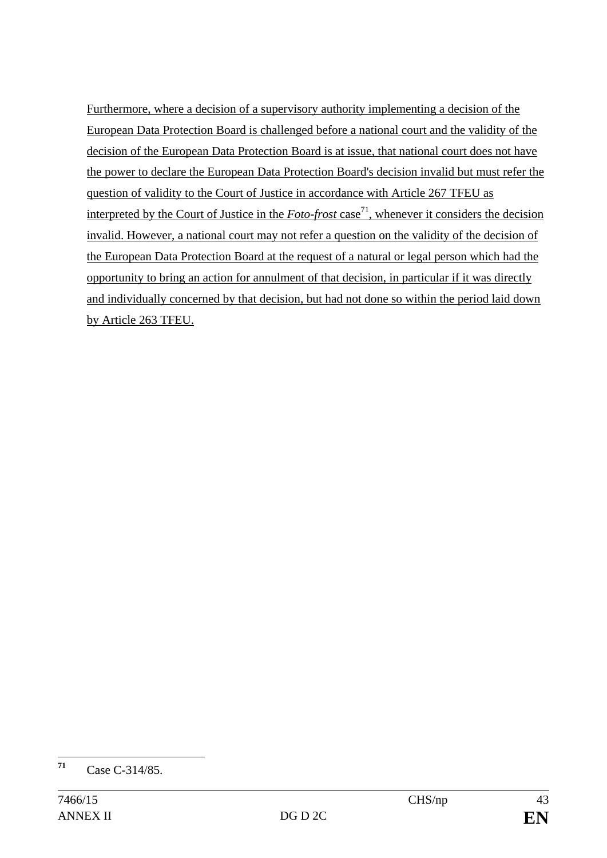Furthermore, where a decision of a supervisory authority implementing a decision of the European Data Protection Board is challenged before a national court and the validity of the decision of the European Data Protection Board is at issue, that national court does not have the power to declare the European Data Protection Board's decision invalid but must refer the question of validity to the Court of Justice in accordance with Article 267 TFEU as interpreted by the Court of Justice in the  $Foto\text{-}frost\, \text{case}^{71}$ , whenever it considers the decision invalid. However, a national court may not refer a question on the validity of the decision of the European Data Protection Board at the request of a natural or legal person which had the opportunity to bring an action for annulment of that decision, in particular if it was directly and individually concerned by that decision, but had not done so within the period laid down by Article 263 TFEU.

 $71$ **<sup>71</sup>** Case C-314/85.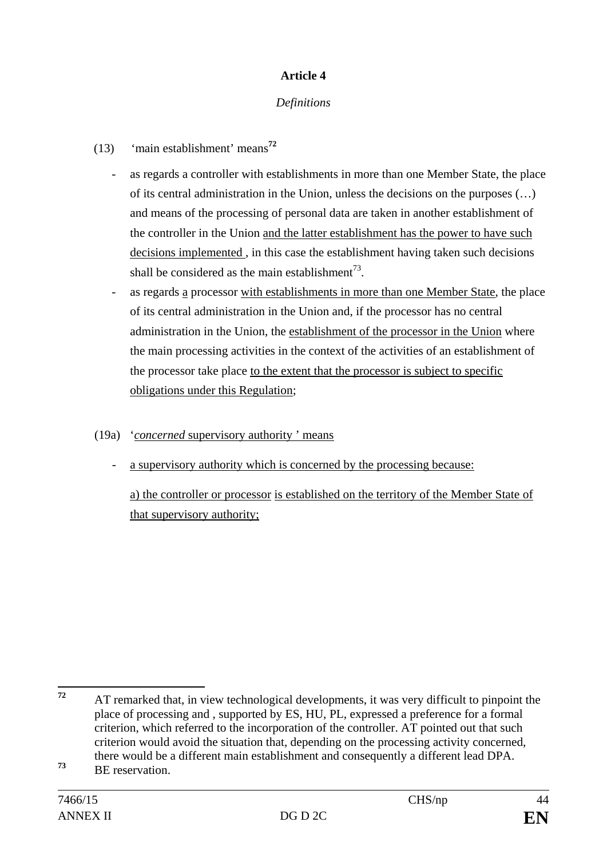### *Definitions*

- (13) 'main establishment' means**<sup>72</sup>**
	- as regards a controller with establishments in more than one Member State, the place of its central administration in the Union, unless the decisions on the purposes (…) and means of the processing of personal data are taken in another establishment of the controller in the Union and the latter establishment has the power to have such decisions implemented , in this case the establishment having taken such decisions shall be considered as the main establishment<sup>73</sup>.
	- as regards a processor with establishments in more than one Member State, the place of its central administration in the Union and, if the processor has no central administration in the Union, the establishment of the processor in the Union where the main processing activities in the context of the activities of an establishment of the processor take place to the extent that the processor is subject to specific obligations under this Regulation;
- (19a) '*concerned* supervisory authority ' means
	- a supervisory authority which is concerned by the processing because:

 a) the controller or processor is established on the territory of the Member State of that supervisory authority;

<sup>72</sup> **<sup>72</sup>** AT remarked that, in view technological developments, it was very difficult to pinpoint the place of processing and , supported by ES, HU, PL, expressed a preference for a formal criterion, which referred to the incorporation of the controller. AT pointed out that such criterion would avoid the situation that, depending on the processing activity concerned, there would be a different main establishment and consequently a different lead DPA.

**<sup>73</sup>** BE reservation.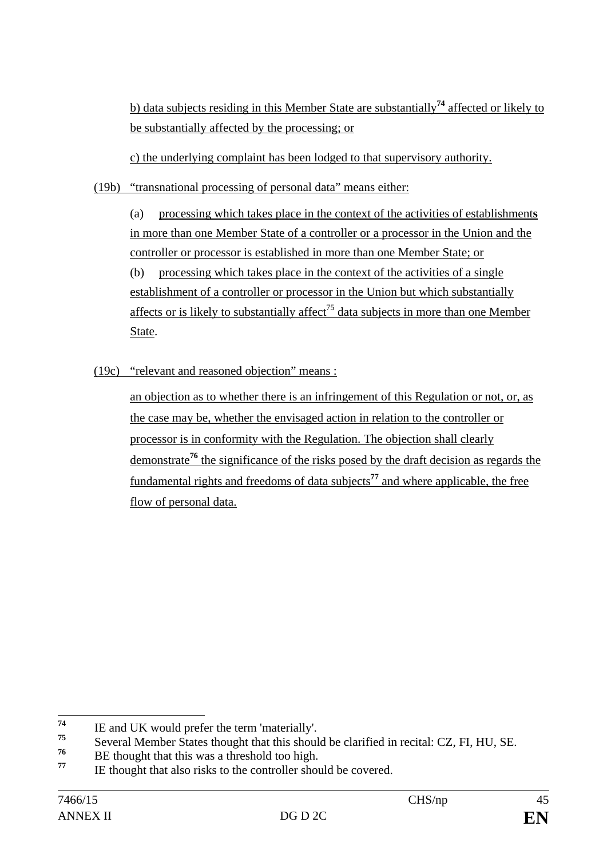b) data subjects residing in this Member State are substantially**<sup>74</sup>** affected or likely to be substantially affected by the processing; or

c) the underlying complaint has been lodged to that supervisory authority.

(19b) "transnational processing of personal data" means either:

(a) processing which takes place in the context of the activities of establishment**s**  in more than one Member State of a controller or a processor in the Union and the controller or processor is established in more than one Member State; or

(b) processing which takes place in the context of the activities of a single establishment of a controller or processor in the Union but which substantially affects or is likely to substantially affect<sup>75</sup> data subjects in more than one Member State.

(19c) "relevant and reasoned objection" means :

an objection as to whether there is an infringement of this Regulation or not, or, as the case may be, whether the envisaged action in relation to the controller or processor is in conformity with the Regulation. The objection shall clearly demonstrate**<sup>76</sup>** the significance of the risks posed by the draft decision as regards the fundamental rights and freedoms of data subjects**<sup>77</sup>** and where applicable, the free flow of personal data.

<sup>74</sup>  $^{74}$  IE and UK would prefer the term 'materially'.

<sup>&</sup>lt;sup>75</sup> Several Member States thought that this should be clarified in recital: CZ, FI, HU, SE.

 $\frac{76}{77}$  BE thought that this was a threshold too high.

IE thought that also risks to the controller should be covered.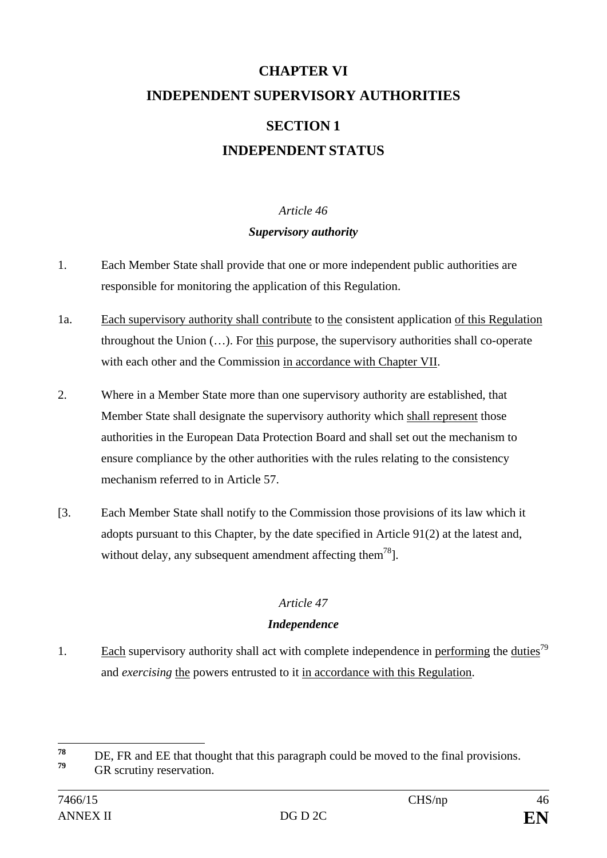# **CHAPTER VI INDEPENDENT SUPERVISORY AUTHORITIES**

## **SECTION 1**

### **INDEPENDENT STATUS**

#### *Article 46*

#### *Supervisory authority*

- 1. Each Member State shall provide that one or more independent public authorities are responsible for monitoring the application of this Regulation.
- 1a. Each supervisory authority shall contribute to the consistent application of this Regulation throughout the Union (…). For this purpose, the supervisory authorities shall co-operate with each other and the Commission in accordance with Chapter VII.
- 2. Where in a Member State more than one supervisory authority are established, that Member State shall designate the supervisory authority which shall represent those authorities in the European Data Protection Board and shall set out the mechanism to ensure compliance by the other authorities with the rules relating to the consistency mechanism referred to in Article 57.
- [3. Each Member State shall notify to the Commission those provisions of its law which it adopts pursuant to this Chapter, by the date specified in Article 91(2) at the latest and, without delay, any subsequent amendment affecting them<sup>78</sup>l.

#### *Article 47*

#### *Independence*

1. Each supervisory authority shall act with complete independence in performing the duties<sup>79</sup> and *exercising* the powers entrusted to it in accordance with this Regulation.

<sup>78</sup> <sup>78</sup> DE, FR and EE that thought that this paragraph could be moved to the final provisions.

GR scrutiny reservation.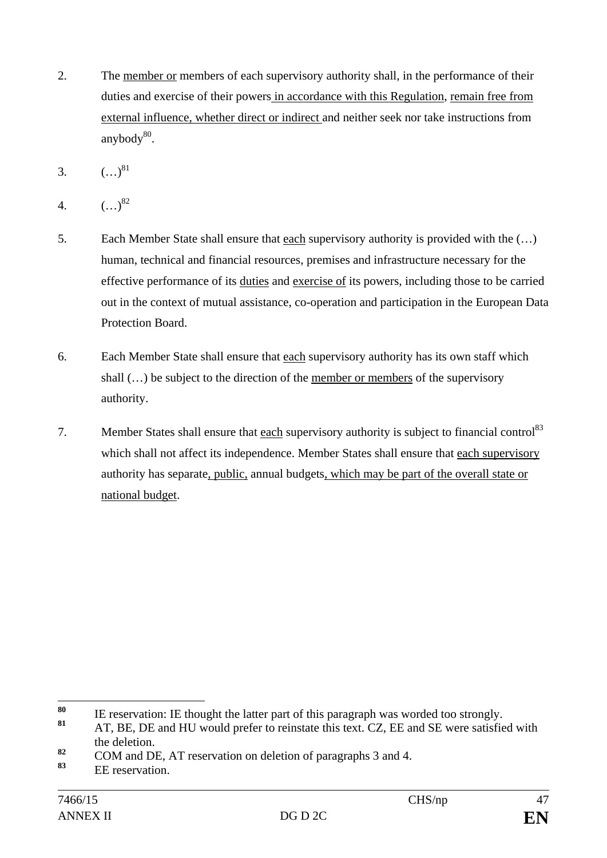- 2. The member or members of each supervisory authority shall, in the performance of their duties and exercise of their powers in accordance with this Regulation, remain free from external influence, whether direct or indirect and neither seek nor take instructions from anybody<sup>80</sup>.
- 3.  $(\ldots)^{81}$
- 4.  $(\ldots)^{82}$
- 5. Each Member State shall ensure that each supervisory authority is provided with the (…) human, technical and financial resources, premises and infrastructure necessary for the effective performance of its duties and exercise of its powers, including those to be carried out in the context of mutual assistance, co-operation and participation in the European Data Protection Board.
- 6. Each Member State shall ensure that each supervisory authority has its own staff which shall  $(...)$  be subject to the direction of the member or members of the supervisory authority.
- 7. Member States shall ensure that each supervisory authority is subject to financial control<sup>83</sup> which shall not affect its independence. Member States shall ensure that each supervisory authority has separate, public, annual budgets, which may be part of the overall state or national budget.

<sup>80</sup> <sup>80</sup> IE reservation: IE thought the latter part of this paragraph was worded too strongly.<br><sup>81</sup> AT PE PE and HH morth and profession installed this test. CZ FE and SE mass patients

**<sup>81</sup>** AT, BE, DE and HU would prefer to reinstate this text. CZ, EE and SE were satisfied with the deletion.

**<sup>82</sup>** COM and DE, AT reservation on deletion of paragraphs 3 and 4.

**<sup>83</sup>** EE reservation.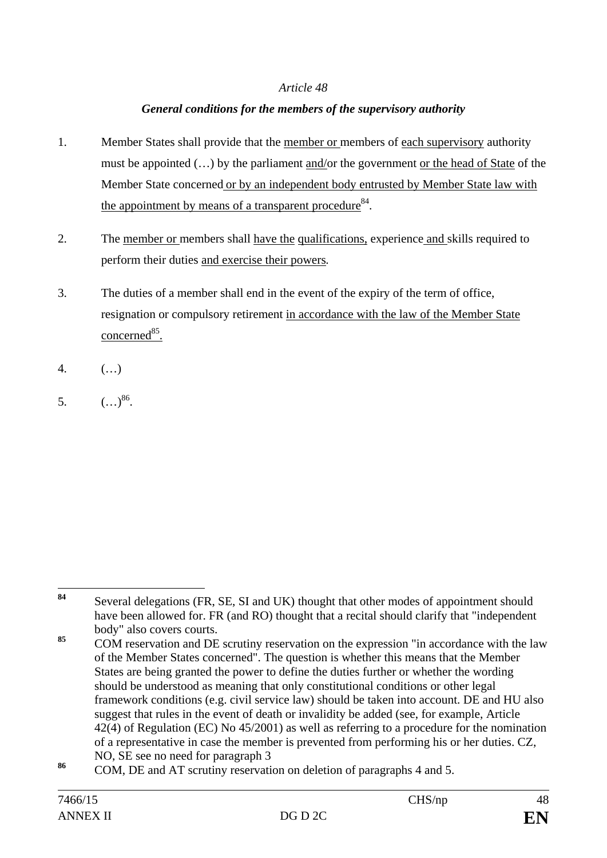#### *General conditions for the members of the supervisory authority*

- 1. Member States shall provide that the member or members of each supervisory authority must be appointed (…) by the parliament and/or the government or the head of State of the Member State concerned or by an independent body entrusted by Member State law with the appointment by means of a transparent procedure  $84$ .
- 2. The member or members shall have the qualifications, experience and skills required to perform their duties and exercise their powers*.*
- 3. The duties of a member shall end in the event of the expiry of the term of office, resignation or compulsory retirement in accordance with the law of the Member State concerned $^{85}$ .
- 4. (…)
- 5.  $\left(1\right)^{86}$ .

<sup>84</sup> **<sup>84</sup>** Several delegations (FR, SE, SI and UK) thought that other modes of appointment should have been allowed for. FR (and RO) thought that a recital should clarify that "independent body" also covers courts.

<sup>&</sup>lt;sup>85</sup> COM reservation and DE scrutiny reservation on the expression "in accordance with the law of the Member States concerned". The question is whether this means that the Member States are being granted the power to define the duties further or whether the wording should be understood as meaning that only constitutional conditions or other legal framework conditions (e.g. civil service law) should be taken into account. DE and HU also suggest that rules in the event of death or invalidity be added (see, for example, Article 42(4) of Regulation (EC) No 45/2001) as well as referring to a procedure for the nomination of a representative in case the member is prevented from performing his or her duties. CZ, NO, SE see no need for paragraph 3

**<sup>86</sup>** COM, DE and AT scrutiny reservation on deletion of paragraphs 4 and 5.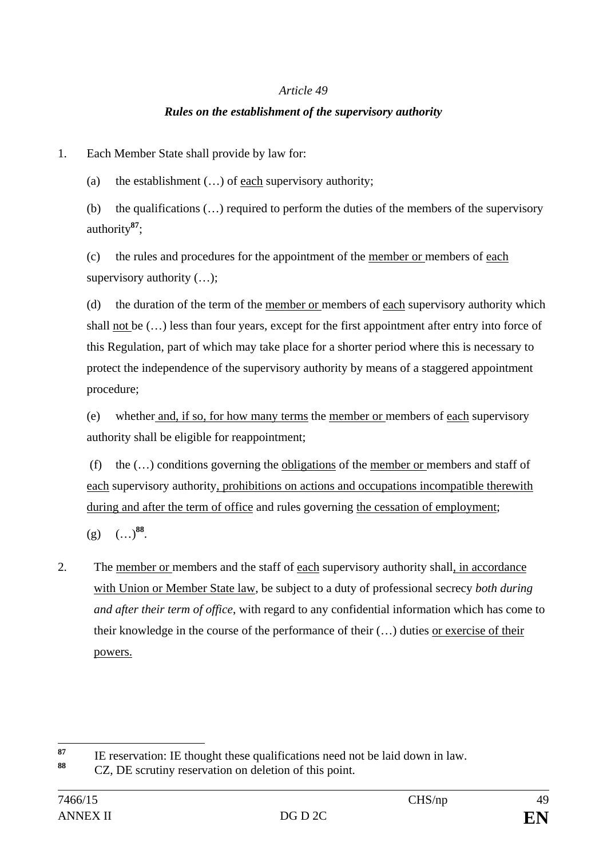## *Article 49 Rules on the establishment of the supervisory authority*

1. Each Member State shall provide by law for:

(a) the establishment (…) of each supervisory authority;

(b) the qualifications  $(\ldots)$  required to perform the duties of the members of the supervisory authority**<sup>87</sup>**;

(c) the rules and procedures for the appointment of the member or members of each supervisory authority (…);

(d) the duration of the term of the member or members of each supervisory authority which shall not be (…) less than four years, except for the first appointment after entry into force of this Regulation, part of which may take place for a shorter period where this is necessary to protect the independence of the supervisory authority by means of a staggered appointment procedure;

(e) whether and, if so, for how many terms the member or members of each supervisory authority shall be eligible for reappointment;

 (f) the (…) conditions governing the obligations of the member or members and staff of each supervisory authority, prohibitions on actions and occupations incompatible therewith during and after the term of office and rules governing the cessation of employment;

(g) (…)**<sup>88</sup>**.

2. The member or members and the staff of each supervisory authority shall, in accordance with Union or Member State law, be subject to a duty of professional secrecy *both during and after their term of office*, with regard to any confidential information which has come to their knowledge in the course of the performance of their (…) duties or exercise of their powers.

 $\mathbf{Q}$ <sup>87</sup> IE reservation: IE thought these qualifications need not be laid down in law.

**<sup>88</sup>** CZ, DE scrutiny reservation on deletion of this point.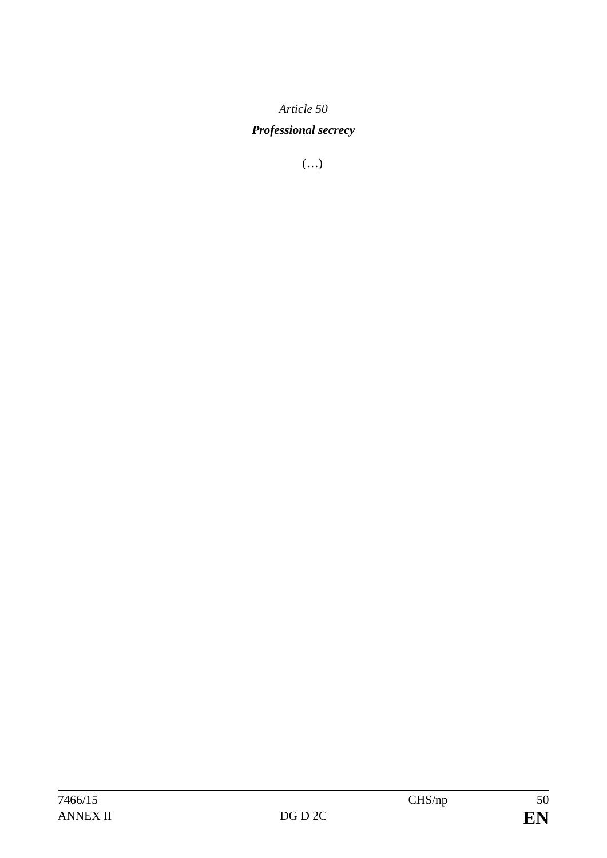### *Professional secrecy*

(…)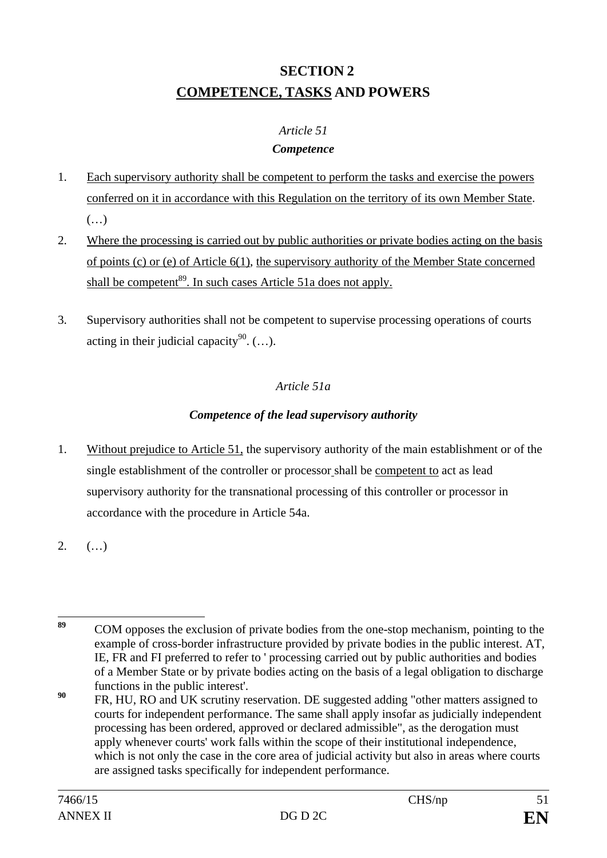## **SECTION 2 COMPETENCE, TASKS AND POWERS**

#### *Article 51 Competence*

- 1. Each supervisory authority shall be competent to perform the tasks and exercise the powers conferred on it in accordance with this Regulation on the territory of its own Member State. (…)
- 2. Where the processing is carried out by public authorities or private bodies acting on the basis of points (c) or (e) of Article 6(1), the supervisory authority of the Member State concerned shall be competent<sup>89</sup>. In such cases Article 51a does not apply.
- 3. Supervisory authorities shall not be competent to supervise processing operations of courts acting in their judicial capacity<sup>90</sup>.  $(...)$ .

### *Article 51a*

#### *Competence of the lead supervisory authority*

- 1. Without prejudice to Article 51, the supervisory authority of the main establishment or of the single establishment of the controller or processor shall be competent to act as lead supervisory authority for the transnational processing of this controller or processor in accordance with the procedure in Article 54a.
- $2.$  (...)

<sup>89</sup> **<sup>89</sup>** COM opposes the exclusion of private bodies from the one-stop mechanism, pointing to the example of cross-border infrastructure provided by private bodies in the public interest. AT, IE, FR and FI preferred to refer to ' processing carried out by public authorities and bodies of a Member State or by private bodies acting on the basis of a legal obligation to discharge functions in the public interest'.

**<sup>90</sup>** FR, HU, RO and UK scrutiny reservation. DE suggested adding "other matters assigned to courts for independent performance. The same shall apply insofar as judicially independent processing has been ordered, approved or declared admissible", as the derogation must apply whenever courts' work falls within the scope of their institutional independence, which is not only the case in the core area of judicial activity but also in areas where courts are assigned tasks specifically for independent performance.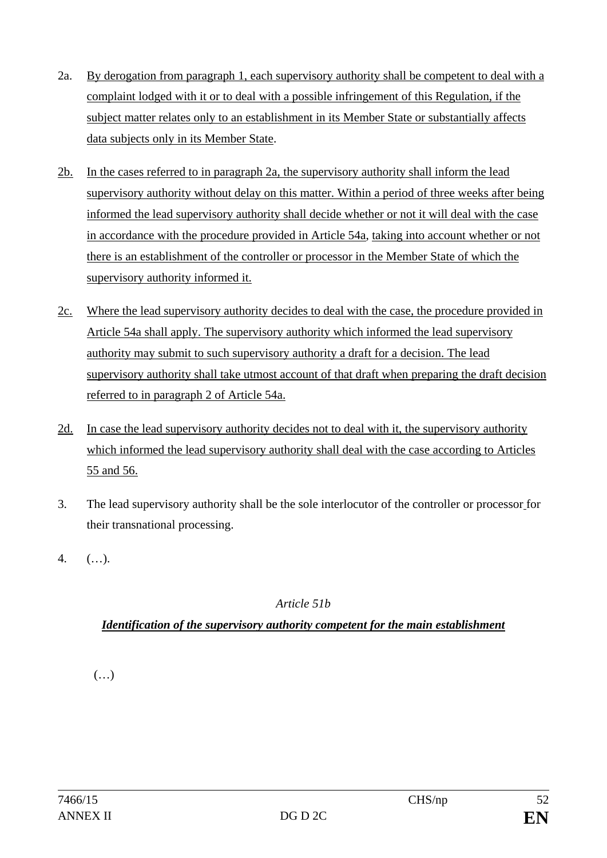- 2a. By derogation from paragraph 1, each supervisory authority shall be competent to deal with a complaint lodged with it or to deal with a possible infringement of this Regulation, if the subject matter relates only to an establishment in its Member State or substantially affects data subjects only in its Member State.
- 2b. In the cases referred to in paragraph 2a, the supervisory authority shall inform the lead supervisory authority without delay on this matter. Within a period of three weeks after being informed the lead supervisory authority shall decide whether or not it will deal with the case in accordance with the procedure provided in Article 54a, taking into account whether or not there is an establishment of the controller or processor in the Member State of which the supervisory authority informed it.
- 2c. Where the lead supervisory authority decides to deal with the case, the procedure provided in Article 54a shall apply. The supervisory authority which informed the lead supervisory authority may submit to such supervisory authority a draft for a decision. The lead supervisory authority shall take utmost account of that draft when preparing the draft decision referred to in paragraph 2 of Article 54a.
- 2d. In case the lead supervisory authority decides not to deal with it, the supervisory authority which informed the lead supervisory authority shall deal with the case according to Articles 55 and 56.
- 3. The lead supervisory authority shall be the sole interlocutor of the controller or processor for their transnational processing.
- 4. (…).

### *Article 51b*

### *Identification of the supervisory authority competent for the main establishment*

(…)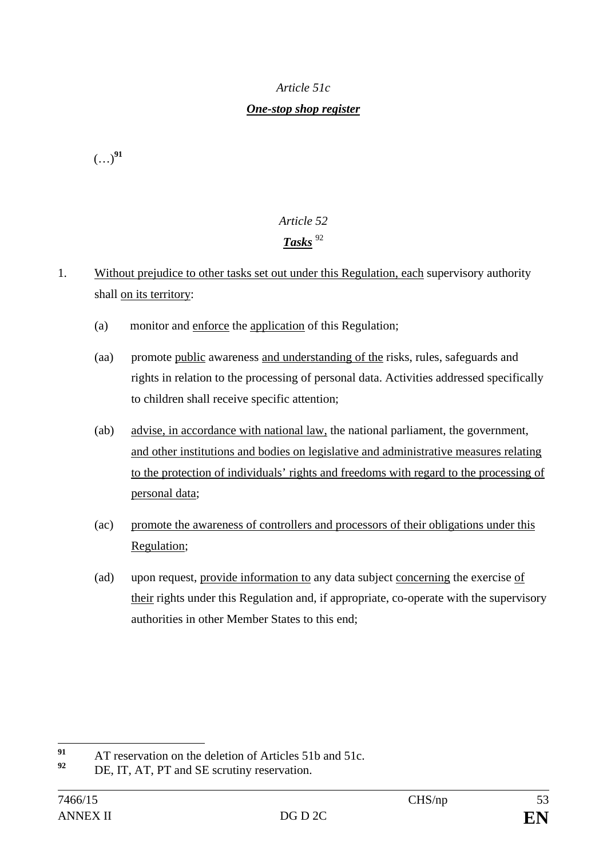## *Article 51c*

### *One-stop shop register*

 $(...)^{91}$ 

## *Article 52*   $Tasks$ <sup>92</sup>

- 1. Without prejudice to other tasks set out under this Regulation, each supervisory authority shall on its territory:
	- (a) monitor and enforce the application of this Regulation;
	- (aa) promote public awareness and understanding of the risks, rules, safeguards and rights in relation to the processing of personal data. Activities addressed specifically to children shall receive specific attention;
	- (ab) advise, in accordance with national law, the national parliament, the government, and other institutions and bodies on legislative and administrative measures relating to the protection of individuals' rights and freedoms with regard to the processing of personal data;
	- (ac) promote the awareness of controllers and processors of their obligations under this Regulation;
	- (ad) upon request, provide information to any data subject concerning the exercise of their rights under this Regulation and, if appropriate, co-operate with the supervisory authorities in other Member States to this end;

 $91$ <sup>91</sup> AT reservation on the deletion of Articles 51b and 51c.

DE, IT, AT, PT and SE scrutiny reservation.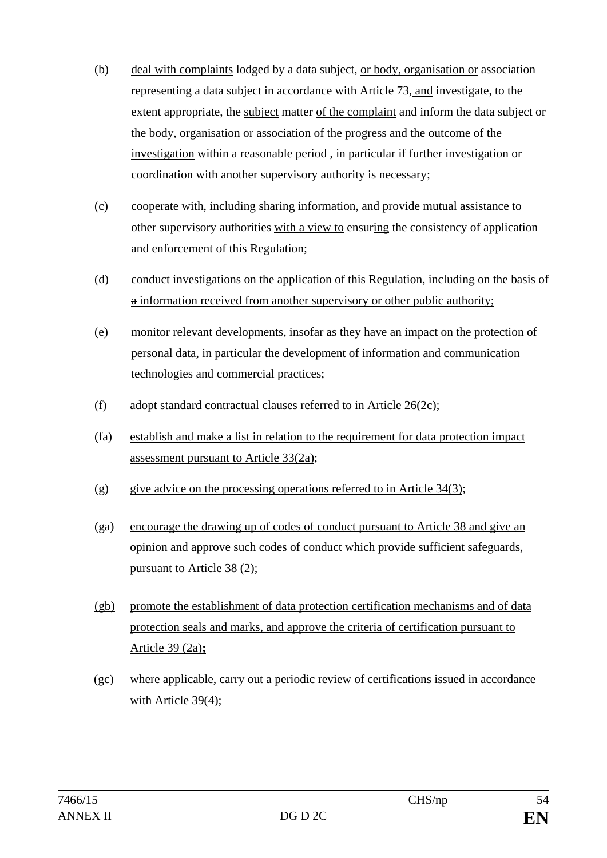- (b) deal with complaints lodged by a data subject, or body, organisation or association representing a data subject in accordance with Article 73, and investigate, to the extent appropriate, the subject matter of the complaint and inform the data subject or the body, organisation or association of the progress and the outcome of the investigation within a reasonable period , in particular if further investigation or coordination with another supervisory authority is necessary;
- (c) cooperate with, including sharing information, and provide mutual assistance to other supervisory authorities with a view to ensuring the consistency of application and enforcement of this Regulation;
- (d) conduct investigations on the application of this Regulation, including on the basis of a information received from another supervisory or other public authority;
- (e) monitor relevant developments, insofar as they have an impact on the protection of personal data, in particular the development of information and communication technologies and commercial practices;
- (f) adopt standard contractual clauses referred to in Article  $26(2c)$ ;
- (fa) establish and make a list in relation to the requirement for data protection impact assessment pursuant to Article 33(2a);
- (g) give advice on the processing operations referred to in Article  $34(3)$ ;
- (ga) encourage the drawing up of codes of conduct pursuant to Article 38 and give an opinion and approve such codes of conduct which provide sufficient safeguards, pursuant to Article 38 (2);
- (gb) promote the establishment of data protection certification mechanisms and of data protection seals and marks, and approve the criteria of certification pursuant to Article 39 (2a)**;**
- (gc) where applicable, carry out a periodic review of certifications issued in accordance with Article 39(4);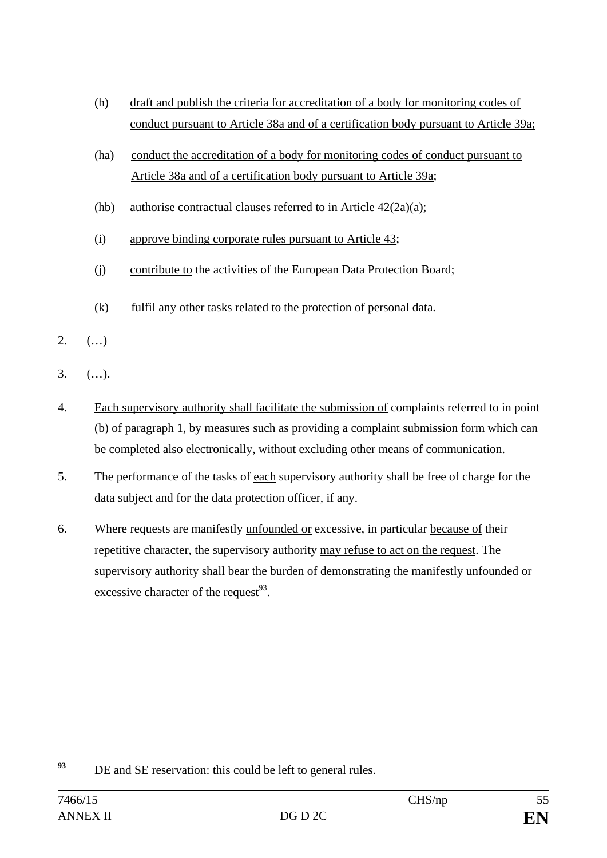- (h) draft and publish the criteria for accreditation of a body for monitoring codes of conduct pursuant to Article 38a and of a certification body pursuant to Article 39a;
- (ha) conduct the accreditation of a body for monitoring codes of conduct pursuant to Article 38a and of a certification body pursuant to Article 39a;
- (hb) authorise contractual clauses referred to in Article  $42(2a)(a)$ ;
- (i) approve binding corporate rules pursuant to Article 43;
- (j) contribute to the activities of the European Data Protection Board;
- (k) fulfil any other tasks related to the protection of personal data.
- 2.  $(...)$
- 3. (…).
- 4. Each supervisory authority shall facilitate the submission of complaints referred to in point (b) of paragraph 1, by measures such as providing a complaint submission form which can be completed also electronically, without excluding other means of communication.
- 5. The performance of the tasks of each supervisory authority shall be free of charge for the data subject and for the data protection officer, if any.
- 6. Where requests are manifestly unfounded or excessive, in particular because of their repetitive character, the supervisory authority may refuse to act on the request. The supervisory authority shall bear the burden of demonstrating the manifestly unfounded or excessive character of the request<sup>93</sup>.

 $93$ DE and SE reservation: this could be left to general rules.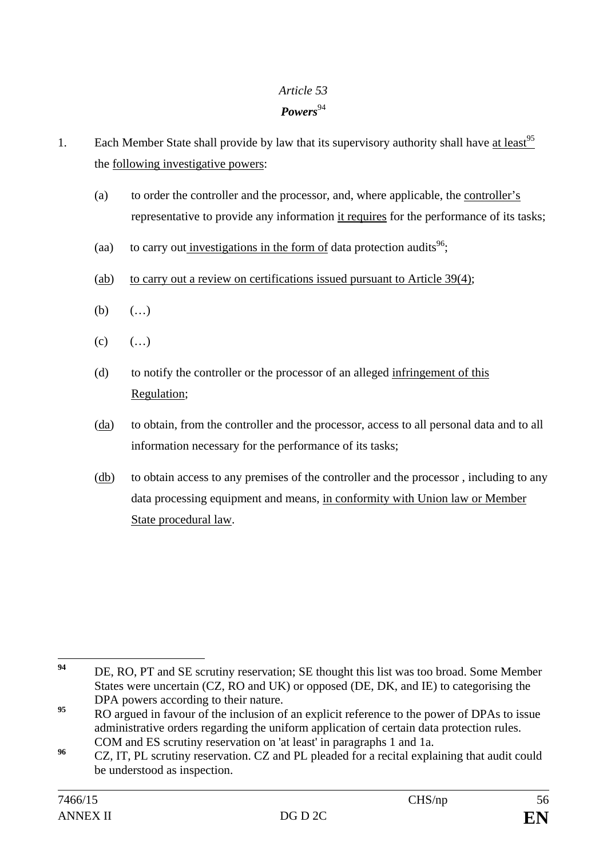## *Article 53*   $Powers<sup>94</sup>$

1. Each Member State shall provide by law that its supervisory authority shall have at least  $95$ the following investigative powers:

- (a) to order the controller and the processor, and, where applicable, the controller's representative to provide any information it requires for the performance of its tasks;
- (aa) to carry out investigations in the form of data protection audits<sup>96</sup>;
- (ab) to carry out a review on certifications issued pursuant to Article 39(4);
- (b)  $(...)$
- $(c)$   $(...)$
- (d) to notify the controller or the processor of an alleged infringement of this Regulation;
- (da) to obtain, from the controller and the processor, access to all personal data and to all information necessary for the performance of its tasks;
- (db) to obtain access to any premises of the controller and the processor , including to any data processing equipment and means, in conformity with Union law or Member State procedural law.

 $94$ DE, RO, PT and SE scrutiny reservation; SE thought this list was too broad. Some Member States were uncertain (CZ, RO and UK) or opposed (DE, DK, and IE) to categorising the DPA powers according to their nature.

<sup>&</sup>lt;sup>95</sup> RO argued in favour of the inclusion of an explicit reference to the power of DPAs to issue administrative orders regarding the uniform application of certain data protection rules. COM and ES scrutiny reservation on 'at least' in paragraphs 1 and 1a.

**<sup>96</sup>** CZ, IT, PL scrutiny reservation. CZ and PL pleaded for a recital explaining that audit could be understood as inspection.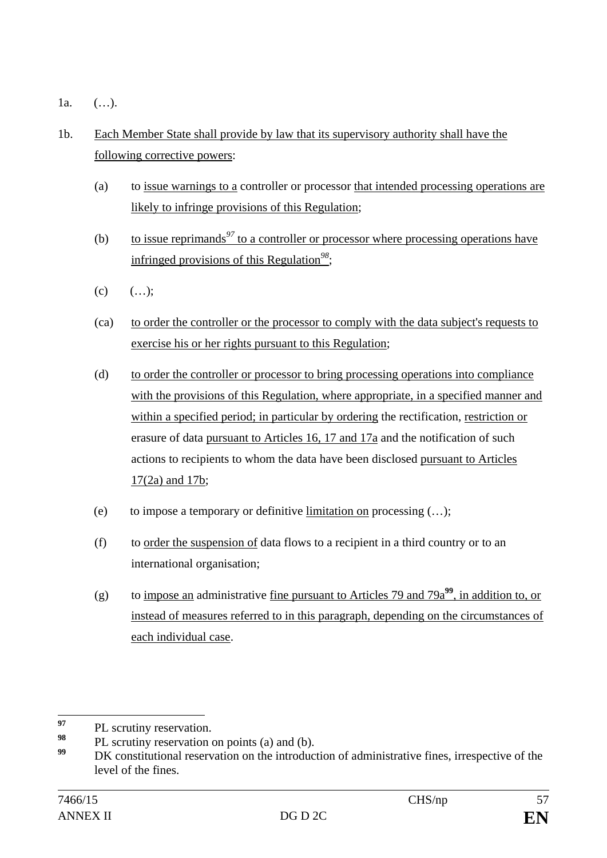- 1a. (…).
- 1b. Each Member State shall provide by law that its supervisory authority shall have the following corrective powers:
	- (a) to issue warnings to a controller or processor that intended processing operations are likely to infringe provisions of this Regulation;
	- (b) to issue reprimands*<sup>97</sup>* to a controller or processor where processing operations have infringed provisions of this Regulation*<sup>98</sup>*;
	- $(c)$   $(...);$
	- (ca) to order the controller or the processor to comply with the data subject's requests to exercise his or her rights pursuant to this Regulation;
	- (d) to order the controller or processor to bring processing operations into compliance with the provisions of this Regulation, where appropriate, in a specified manner and within a specified period; in particular by ordering the rectification, restriction or erasure of data pursuant to Articles 16, 17 and 17a and the notification of such actions to recipients to whom the data have been disclosed pursuant to Articles 17(2a) and 17b;
	- (e) to impose a temporary or definitive limitation on processing  $(...);$
	- (f) to order the suspension of data flows to a recipient in a third country or to an international organisation;
	- (g) to impose an administrative fine pursuant to Articles 79 and 79a**<sup>99</sup>**, in addition to, or instead of measures referred to in this paragraph, depending on the circumstances of each individual case.

<sup>97</sup> <sup>97</sup> PL scrutiny reservation.

**<sup>98</sup>** PL scrutiny reservation on points (a) and (b).

DK constitutional reservation on the introduction of administrative fines, irrespective of the level of the fines.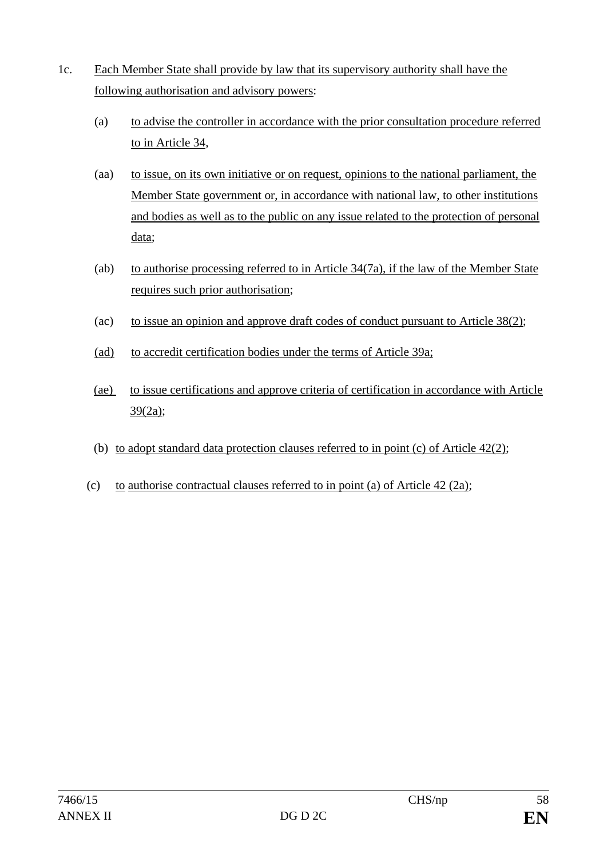- 1c. Each Member State shall provide by law that its supervisory authority shall have the following authorisation and advisory powers:
	- (a) to advise the controller in accordance with the prior consultation procedure referred to in Article 34,
	- (aa) to issue, on its own initiative or on request, opinions to the national parliament, the Member State government or, in accordance with national law, to other institutions and bodies as well as to the public on any issue related to the protection of personal data;
	- (ab) to authorise processing referred to in Article  $34(7a)$ , if the law of the Member State requires such prior authorisation;
	- (ac) to issue an opinion and approve draft codes of conduct pursuant to Article 38(2);
	- (ad) to accredit certification bodies under the terms of Article 39a;
	- (ae) to issue certifications and approve criteria of certification in accordance with Article 39(2a);
	- (b) to adopt standard data protection clauses referred to in point (c) of Article 42(2);
	- (c) to authorise contractual clauses referred to in point (a) of Article  $42$  (2a);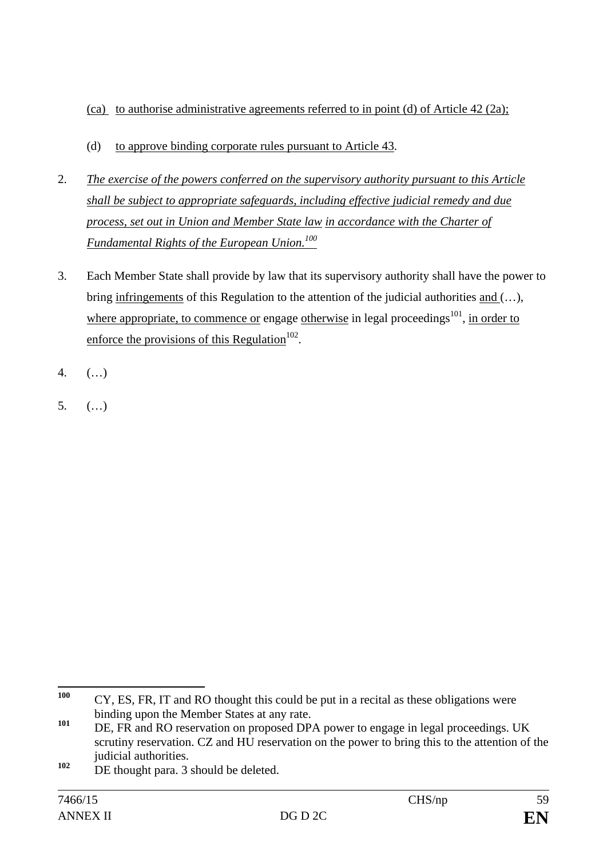(ca) to authorise administrative agreements referred to in point (d) of Article 42 (2a);

- (d) to approve binding corporate rules pursuant to Article 43.
- 2. *The exercise of the powers conferred on the supervisory authority pursuant to this Article shall be subject to appropriate safeguards, including effective judicial remedy and due process, set out in Union and Member State law in accordance with the Charter of Fundamental Rights of the European Union.100*
- 3. Each Member State shall provide by law that its supervisory authority shall have the power to bring infringements of this Regulation to the attention of the judicial authorities and (...). where appropriate, to commence or engage otherwise in legal proceedings<sup>101</sup>, in order to enforce the provisions of this Regulation<sup>102</sup>.
- 4. (…)
- 5. (…)

<sup>102</sup> DE thought para. 3 should be deleted.

<sup>100</sup> **<sup>100</sup>** CY, ES, FR, IT and RO thought this could be put in a recital as these obligations were binding upon the Member States at any rate.

<sup>&</sup>lt;sup>101</sup> DE, FR and RO reservation on proposed DPA power to engage in legal proceedings. UK scrutiny reservation. CZ and HU reservation on the power to bring this to the attention of the judicial authorities.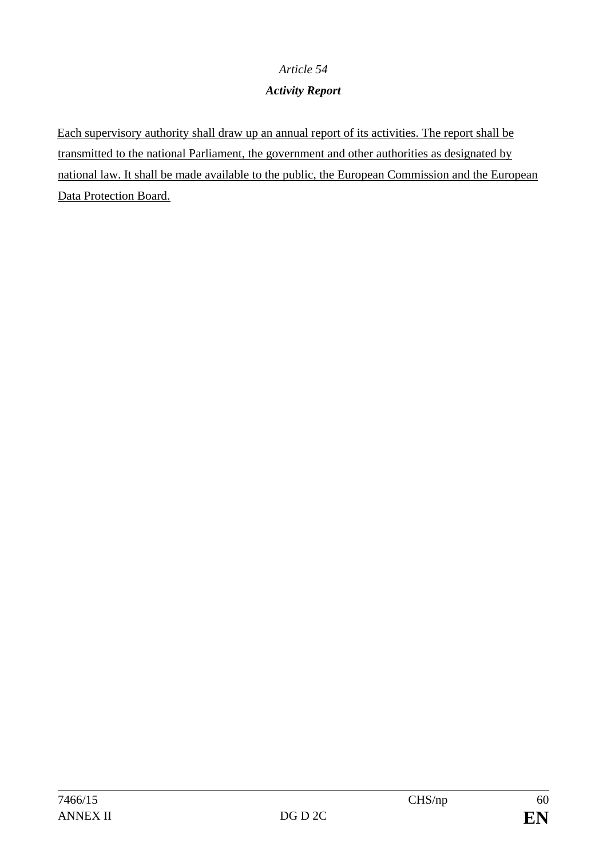### *Activity Report*

Each supervisory authority shall draw up an annual report of its activities. The report shall be transmitted to the national Parliament, the government and other authorities as designated by national law. It shall be made available to the public, the European Commission and the European Data Protection Board.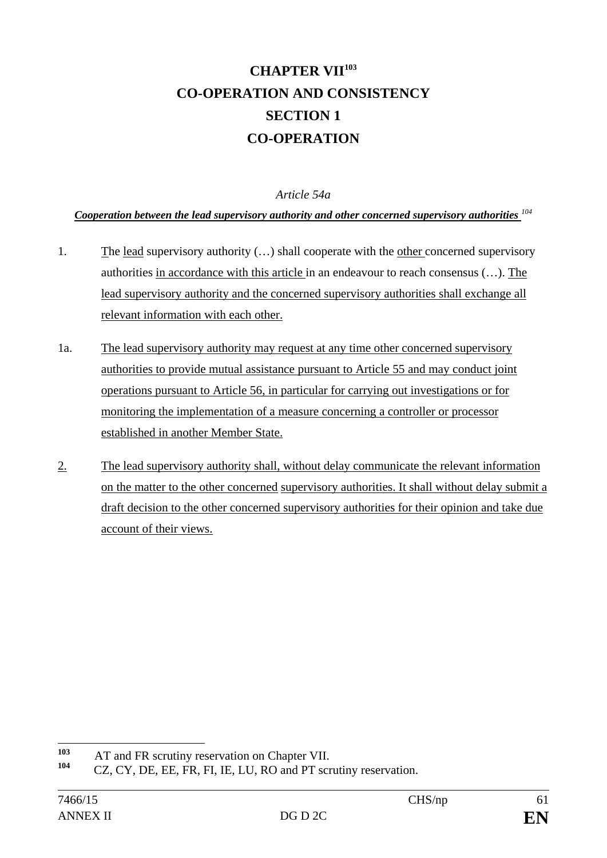## **CHAPTER VII103 CO-OPERATION AND CONSISTENCY SECTION 1 CO-OPERATION**

#### *Article 54a*

#### *Cooperation between the lead supervisory authority and other concerned supervisory authorities <sup>104</sup>*

- 1. The lead supervisory authority (…) shall cooperate with the other concerned supervisory authorities in accordance with this article in an endeavour to reach consensus (…). The lead supervisory authority and the concerned supervisory authorities shall exchange all relevant information with each other.
- 1a. The lead supervisory authority may request at any time other concerned supervisory authorities to provide mutual assistance pursuant to Article 55 and may conduct joint operations pursuant to Article 56, in particular for carrying out investigations or for monitoring the implementation of a measure concerning a controller or processor established in another Member State.
- 2. The lead supervisory authority shall, without delay communicate the relevant information on the matter to the other concerned supervisory authorities. It shall without delay submit a draft decision to the other concerned supervisory authorities for their opinion and take due account of their views.

<sup>103</sup> <sup>103</sup> AT and FR scrutiny reservation on Chapter VII.

**<sup>104</sup>** CZ, CY, DE, EE, FR, FI, IE, LU, RO and PT scrutiny reservation.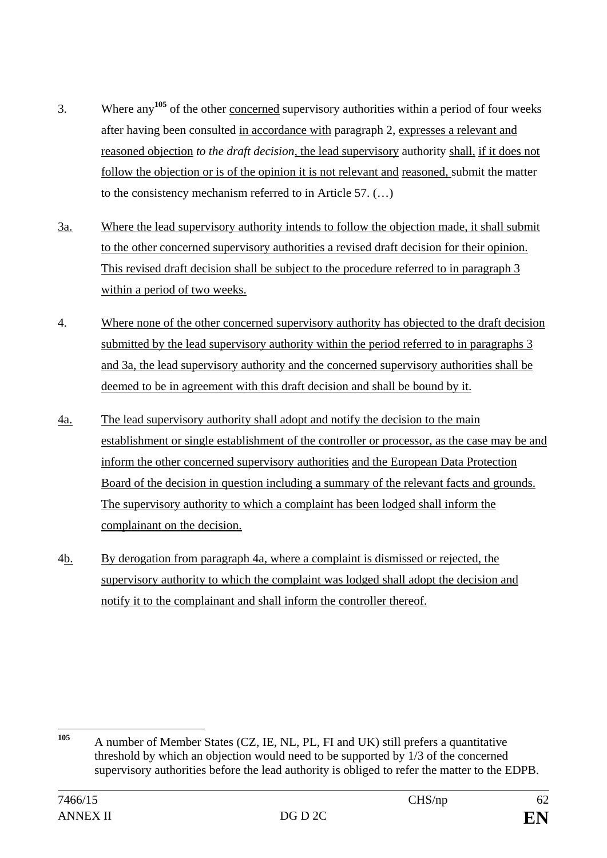- 3. Where any**<sup>105</sup>** of the other concerned supervisory authorities within a period of four weeks after having been consulted in accordance with paragraph 2, expresses a relevant and reasoned objection *to the draft decision*, the lead supervisory authority shall, if it does not follow the objection or is of the opinion it is not relevant and reasoned, submit the matter to the consistency mechanism referred to in Article 57. (…)
- 3a. Where the lead supervisory authority intends to follow the objection made, it shall submit to the other concerned supervisory authorities a revised draft decision for their opinion. This revised draft decision shall be subject to the procedure referred to in paragraph 3 within a period of two weeks.
- 4. Where none of the other concerned supervisory authority has objected to the draft decision submitted by the lead supervisory authority within the period referred to in paragraphs 3 and 3a, the lead supervisory authority and the concerned supervisory authorities shall be deemed to be in agreement with this draft decision and shall be bound by it.
- 4a. The lead supervisory authority shall adopt and notify the decision to the main establishment or single establishment of the controller or processor, as the case may be and inform the other concerned supervisory authorities and the European Data Protection Board of the decision in question including a summary of the relevant facts and grounds. The supervisory authority to which a complaint has been lodged shall inform the complainant on the decision.
- 4b. By derogation from paragraph 4a, where a complaint is dismissed or rejected, the supervisory authority to which the complaint was lodged shall adopt the decision and notify it to the complainant and shall inform the controller thereof.

<sup>105</sup> **<sup>105</sup>** A number of Member States (CZ, IE, NL, PL, FI and UK) still prefers a quantitative threshold by which an objection would need to be supported by 1/3 of the concerned supervisory authorities before the lead authority is obliged to refer the matter to the EDPB.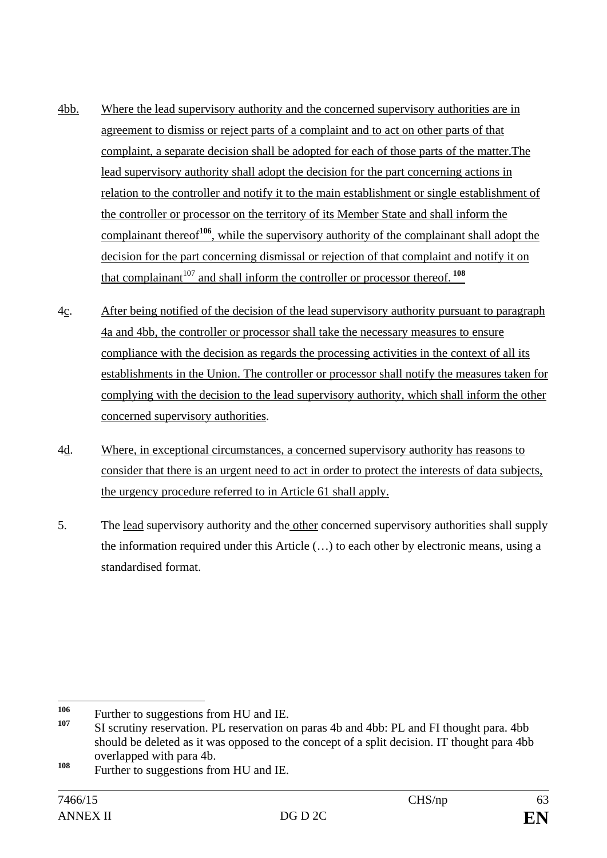- 4bb. Where the lead supervisory authority and the concerned supervisory authorities are in agreement to dismiss or reject parts of a complaint and to act on other parts of that complaint, a separate decision shall be adopted for each of those parts of the matter.The lead supervisory authority shall adopt the decision for the part concerning actions in relation to the controller and notify it to the main establishment or single establishment of the controller or processor on the territory of its Member State and shall inform the complainant thereof**<sup>106</sup>**, while the supervisory authority of the complainant shall adopt the decision for the part concerning dismissal or rejection of that complaint and notify it on that complainant<sup> $107$ </sup> and shall inform the controller or processor thereof.<sup>108</sup>
- 4c. After being notified of the decision of the lead supervisory authority pursuant to paragraph 4a and 4bb, the controller or processor shall take the necessary measures to ensure compliance with the decision as regards the processing activities in the context of all its establishments in the Union. The controller or processor shall notify the measures taken for complying with the decision to the lead supervisory authority, which shall inform the other concerned supervisory authorities.
- 4d. Where, in exceptional circumstances, a concerned supervisory authority has reasons to consider that there is an urgent need to act in order to protect the interests of data subjects, the urgency procedure referred to in Article 61 shall apply.
- 5. The lead supervisory authority and the other concerned supervisory authorities shall supply the information required under this Article (…) to each other by electronic means, using a standardised format.

<sup>106</sup> <sup>106</sup> Further to suggestions from HU and IE.

**<sup>107</sup>** SI scrutiny reservation. PL reservation on paras 4b and 4bb: PL and FI thought para. 4bb should be deleted as it was opposed to the concept of a split decision. IT thought para 4bb overlapped with para 4b.

**<sup>108</sup>** Further to suggestions from HU and IE.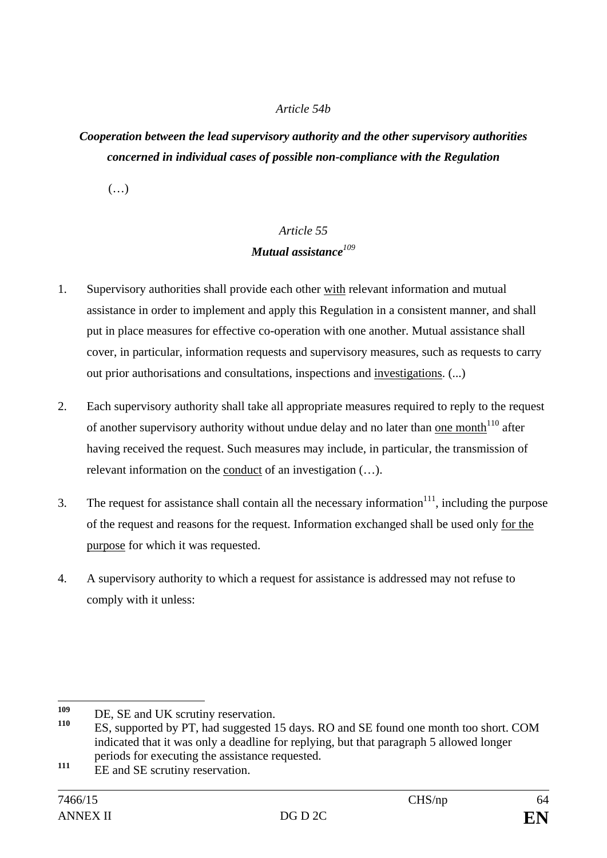#### *Article 54b*

## *Cooperation between the lead supervisory authority and the other supervisory authorities concerned in individual cases of possible non-compliance with the Regulation*

(…)

## *Article 55 Mutual assistance<sup>109</sup>*

- 1. Supervisory authorities shall provide each other with relevant information and mutual assistance in order to implement and apply this Regulation in a consistent manner, and shall put in place measures for effective co-operation with one another. Mutual assistance shall cover, in particular, information requests and supervisory measures, such as requests to carry out prior authorisations and consultations, inspections and investigations. (...)
- 2. Each supervisory authority shall take all appropriate measures required to reply to the request of another supervisory authority without undue delay and no later than one month $110$  after having received the request. Such measures may include, in particular, the transmission of relevant information on the conduct of an investigation (…).
- 3. The request for assistance shall contain all the necessary information<sup>111</sup>, including the purpose of the request and reasons for the request. Information exchanged shall be used only for the purpose for which it was requested.
- 4. A supervisory authority to which a request for assistance is addressed may not refuse to comply with it unless:

<sup>109</sup> <sup>109</sup> DE, SE and UK scrutiny reservation.

**<sup>110</sup>** ES, supported by PT, had suggested 15 days. RO and SE found one month too short. COM indicated that it was only a deadline for replying, but that paragraph 5 allowed longer periods for executing the assistance requested.

<sup>&</sup>lt;sup>111</sup> EE and SE scrutiny reservation.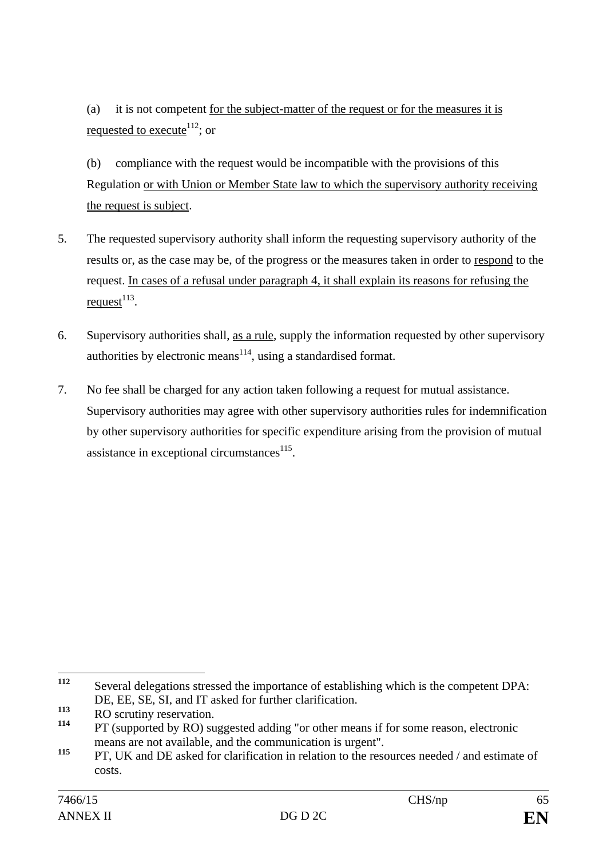(a) it is not competent for the subject-matter of the request or for the measures it is <u>requested to execute<sup>112</sup>;</u> or

(b) compliance with the request would be incompatible with the provisions of this Regulation or with Union or Member State law to which the supervisory authority receiving the request is subject.

- 5. The requested supervisory authority shall inform the requesting supervisory authority of the results or, as the case may be, of the progress or the measures taken in order to respond to the request. In cases of a refusal under paragraph 4, it shall explain its reasons for refusing the request $^{113}$ .
- 6. Supervisory authorities shall, as a rule, supply the information requested by other supervisory authorities by electronic means $^{114}$ , using a standardised format.
- 7. No fee shall be charged for any action taken following a request for mutual assistance. Supervisory authorities may agree with other supervisory authorities rules for indemnification by other supervisory authorities for specific expenditure arising from the provision of mutual assistance in exceptional circumstances $^{115}$ .

<sup>112</sup> Several delegations stressed the importance of establishing which is the competent DPA: DE, EE, SE, SI, and IT asked for further clarification.

 $113$  RO scrutiny reservation.<br>  $114$  RO scruting reservation.

PT (supported by RO) suggested adding "or other means if for some reason, electronic means are not available, and the communication is urgent".

<sup>&</sup>lt;sup>115</sup> PT, UK and DE asked for clarification in relation to the resources needed / and estimate of costs.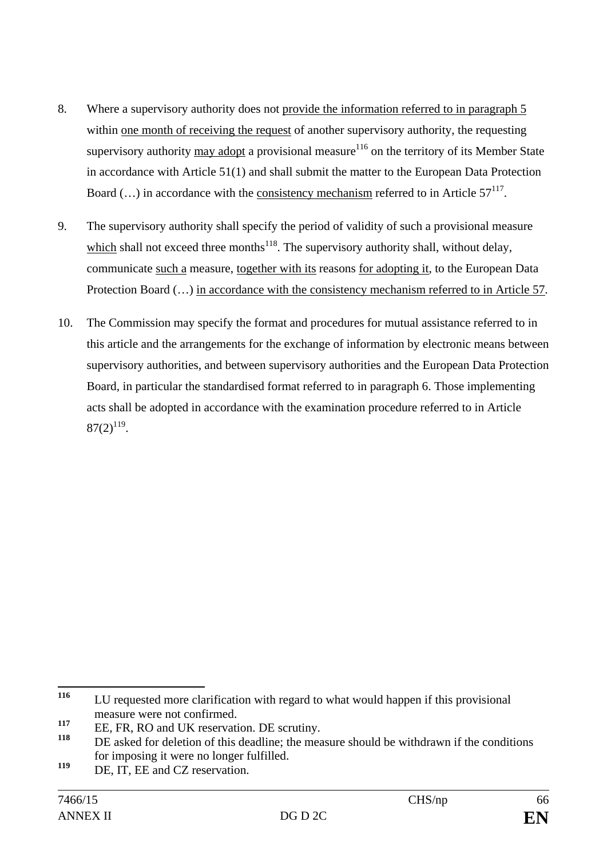- 8. Where a supervisory authority does not provide the information referred to in paragraph 5 within one month of receiving the request of another supervisory authority, the requesting supervisory authority may adopt a provisional measure<sup>116</sup> on the territory of its Member State in accordance with Article 51(1) and shall submit the matter to the European Data Protection Board  $(...)$  in accordance with the consistency mechanism referred to in Article  $57^{117}$ .
- 9. The supervisory authority shall specify the period of validity of such a provisional measure which shall not exceed three months<sup>118</sup>. The supervisory authority shall, without delay, communicate such a measure, together with its reasons for adopting it, to the European Data Protection Board  $(...)$  in accordance with the consistency mechanism referred to in Article 57.
- 10. The Commission may specify the format and procedures for mutual assistance referred to in this article and the arrangements for the exchange of information by electronic means between supervisory authorities, and between supervisory authorities and the European Data Protection Board, in particular the standardised format referred to in paragraph 6. Those implementing acts shall be adopted in accordance with the examination procedure referred to in Article  $87(2)^{119}$ .

<sup>116</sup> **<sup>116</sup>** LU requested more clarification with regard to what would happen if this provisional measure were not confirmed.

**<sup>117</sup>** EE, FR, RO and UK reservation. DE scrutiny.

**<sup>118</sup>** DE asked for deletion of this deadline; the measure should be withdrawn if the conditions for imposing it were no longer fulfilled.

<sup>&</sup>lt;sup>119</sup> DE. IT, EE and CZ reservation.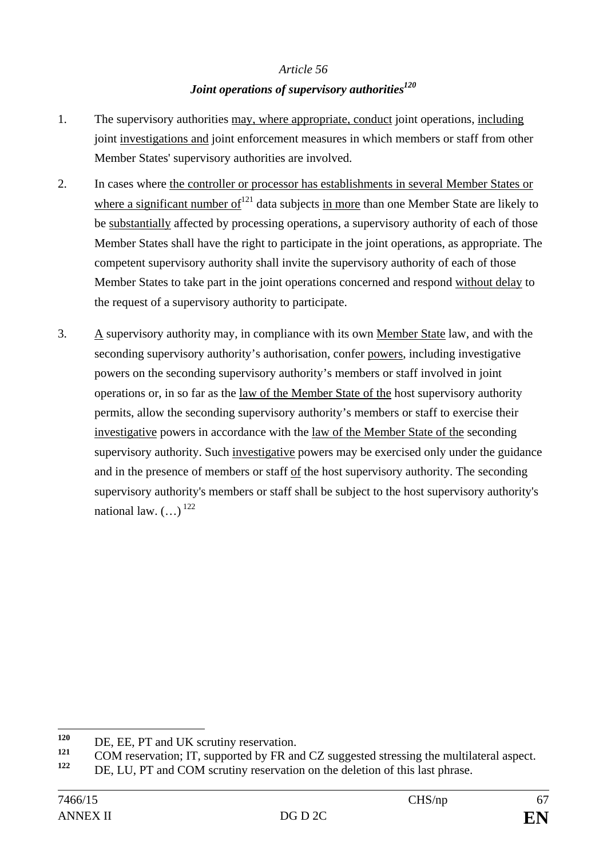### *Joint operations of supervisory authorities*<sup>120</sup>

- 1. The supervisory authorities may, where appropriate, conduct joint operations, including joint investigations and joint enforcement measures in which members or staff from other Member States' supervisory authorities are involved.
- 2. In cases where the controller or processor has establishments in several Member States or where a significant number of  $121$  data subjects in more than one Member State are likely to be substantially affected by processing operations, a supervisory authority of each of those Member States shall have the right to participate in the joint operations, as appropriate. The competent supervisory authority shall invite the supervisory authority of each of those Member States to take part in the joint operations concerned and respond without delay to the request of a supervisory authority to participate.
- 3. A supervisory authority may, in compliance with its own Member State law, and with the seconding supervisory authority's authorisation, confer powers, including investigative powers on the seconding supervisory authority's members or staff involved in joint operations or, in so far as the law of the Member State of the host supervisory authority permits, allow the seconding supervisory authority's members or staff to exercise their investigative powers in accordance with the law of the Member State of the seconding supervisory authority. Such investigative powers may be exercised only under the guidance and in the presence of members or staff of the host supervisory authority. The seconding supervisory authority's members or staff shall be subject to the host supervisory authority's national law.  $(...)$ <sup>122</sup>

<sup>120</sup> <sup>120</sup> DE, EE, PT and UK scrutiny reservation.

**<sup>121</sup>** COM reservation; IT, supported by FR and CZ suggested stressing the multilateral aspect.

DE, LU, PT and COM scrutiny reservation on the deletion of this last phrase.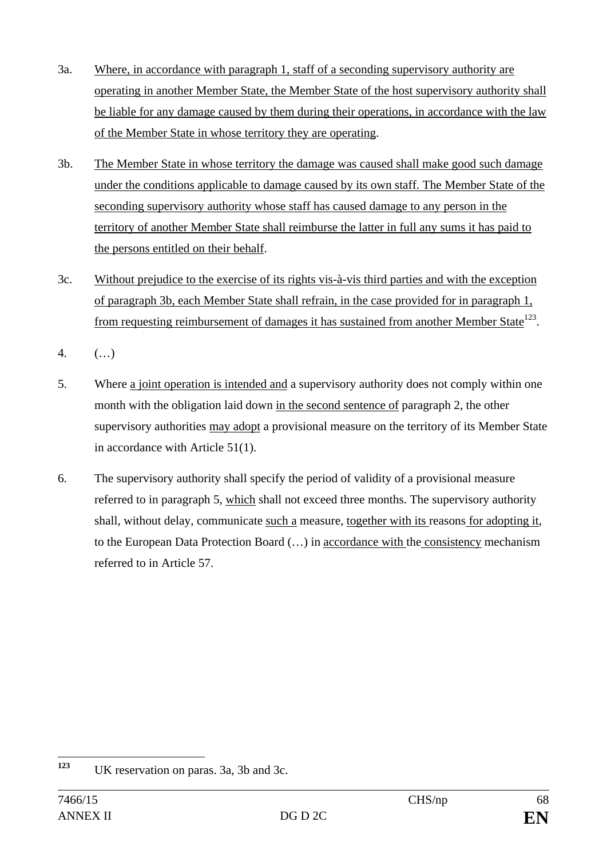- 3a. Where, in accordance with paragraph 1, staff of a seconding supervisory authority are operating in another Member State, the Member State of the host supervisory authority shall be liable for any damage caused by them during their operations, in accordance with the law of the Member State in whose territory they are operating.
- 3b. The Member State in whose territory the damage was caused shall make good such damage under the conditions applicable to damage caused by its own staff. The Member State of the seconding supervisory authority whose staff has caused damage to any person in the territory of another Member State shall reimburse the latter in full any sums it has paid to the persons entitled on their behalf.
- 3c. Without prejudice to the exercise of its rights vis-à-vis third parties and with the exception of paragraph 3b, each Member State shall refrain, in the case provided for in paragraph 1, from requesting reimbursement of damages it has sustained from another Member State<sup>123</sup>.
- 4. (…)
- 5. Where a joint operation is intended and a supervisory authority does not comply within one month with the obligation laid down in the second sentence of paragraph 2, the other supervisory authorities may adopt a provisional measure on the territory of its Member State in accordance with Article 51(1).
- 6. The supervisory authority shall specify the period of validity of a provisional measure referred to in paragraph 5, which shall not exceed three months. The supervisory authority shall, without delay, communicate such a measure, together with its reasons for adopting it, to the European Data Protection Board (…) in accordance with the consistency mechanism referred to in Article 57.

 $123$ **<sup>123</sup>** UK reservation on paras. 3a, 3b and 3c.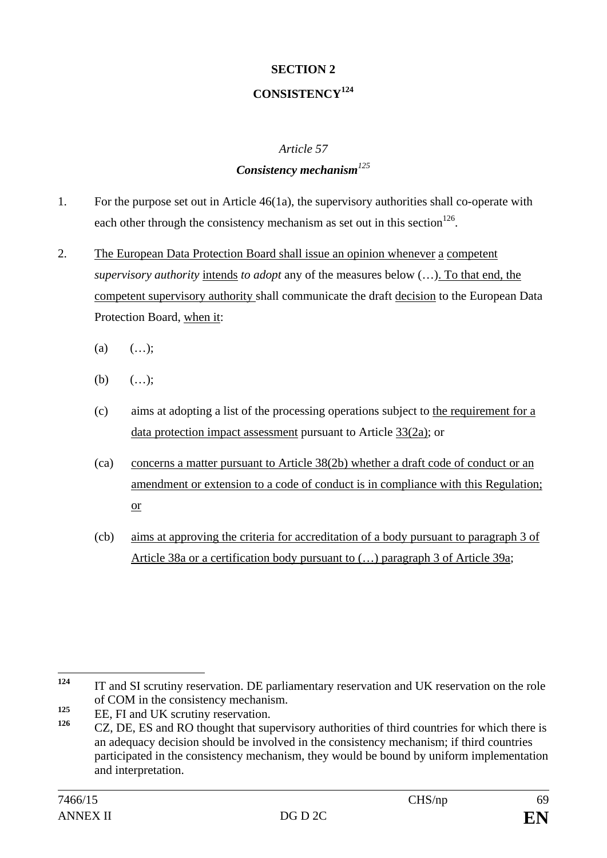## **SECTION 2**

#### **CONSISTENCY<sup>124</sup>**

## *Article 57 Consistency mechanism<sup>125</sup>*

- 1. For the purpose set out in Article 46(1a), the supervisory authorities shall co-operate with each other through the consistency mechanism as set out in this section<sup>126</sup>.
- 2. The European Data Protection Board shall issue an opinion whenever a competent *supervisory authority* intends *to adopt* any of the measures below (…). To that end, the competent supervisory authority shall communicate the draft decision to the European Data Protection Board, when it:
	- (a)  $(...);$
	- (b)  $(...);$
	- (c) aims at adopting a list of the processing operations subject to the requirement for a data protection impact assessment pursuant to Article 33(2a); or
	- (ca) concerns a matter pursuant to Article 38(2b) whether a draft code of conduct or an amendment or extension to a code of conduct is in compliance with this Regulation; or
	- (cb) aims at approving the criteria for accreditation of a body pursuant to paragraph 3 of Article 38a or a certification body pursuant to (…) paragraph 3 of Article 39a;

<sup>124</sup> **<sup>124</sup>** IT and SI scrutiny reservation. DE parliamentary reservation and UK reservation on the role of COM in the consistency mechanism.

<sup>&</sup>lt;sup>125</sup> EE, FI and UK scrutiny reservation.

**<sup>126</sup>** CZ, DE, ES and RO thought that supervisory authorities of third countries for which there is an adequacy decision should be involved in the consistency mechanism; if third countries participated in the consistency mechanism, they would be bound by uniform implementation and interpretation.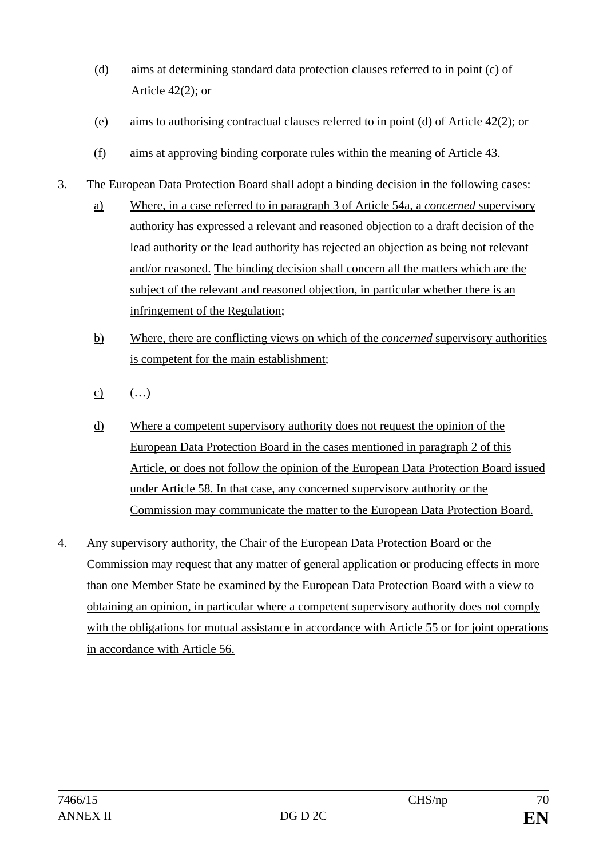- (d) aims at determining standard data protection clauses referred to in point (c) of Article 42(2); or
- (e) aims to authorising contractual clauses referred to in point (d) of Article 42(2); or
- (f) aims at approving binding corporate rules within the meaning of Article 43.
- 3. The European Data Protection Board shall adopt a binding decision in the following cases:
	- a) Where, in a case referred to in paragraph 3 of Article 54a, a *concerned* supervisory authority has expressed a relevant and reasoned objection to a draft decision of the lead authority or the lead authority has rejected an objection as being not relevant and/or reasoned. The binding decision shall concern all the matters which are the subject of the relevant and reasoned objection, in particular whether there is an infringement of the Regulation;
	- b) Where, there are conflicting views on which of the *concerned* supervisory authorities is competent for the main establishment;
	- c)  $\qquad \qquad (\ldots)$
	- d) Where a competent supervisory authority does not request the opinion of the European Data Protection Board in the cases mentioned in paragraph 2 of this Article, or does not follow the opinion of the European Data Protection Board issued under Article 58. In that case, any concerned supervisory authority or the Commission may communicate the matter to the European Data Protection Board.
- 4. Any supervisory authority, the Chair of the European Data Protection Board or the Commission may request that any matter of general application or producing effects in more than one Member State be examined by the European Data Protection Board with a view to obtaining an opinion, in particular where a competent supervisory authority does not comply with the obligations for mutual assistance in accordance with Article 55 or for joint operations in accordance with Article 56.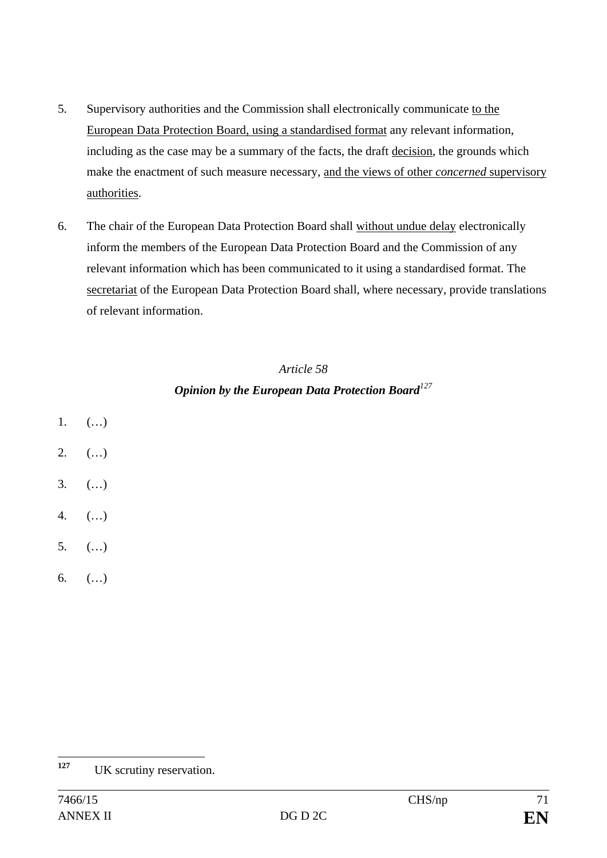- 5. Supervisory authorities and the Commission shall electronically communicate to the European Data Protection Board, using a standardised format any relevant information, including as the case may be a summary of the facts, the draft decision, the grounds which make the enactment of such measure necessary, and the views of other *concerned* supervisory authorities.
- 6. The chair of the European Data Protection Board shall without undue delay electronically inform the members of the European Data Protection Board and the Commission of any relevant information which has been communicated to it using a standardised format. The secretariat of the European Data Protection Board shall, where necessary, provide translations of relevant information.

#### *Opinion by the European Data Protection Board<sup>127</sup>*

- $1.$   $($ ...)
- 2.  $(...)$
- 3. (…)
- 4. (…)
- 5. (…)
- 6. (…)

<sup>127</sup> UK scrutiny reservation.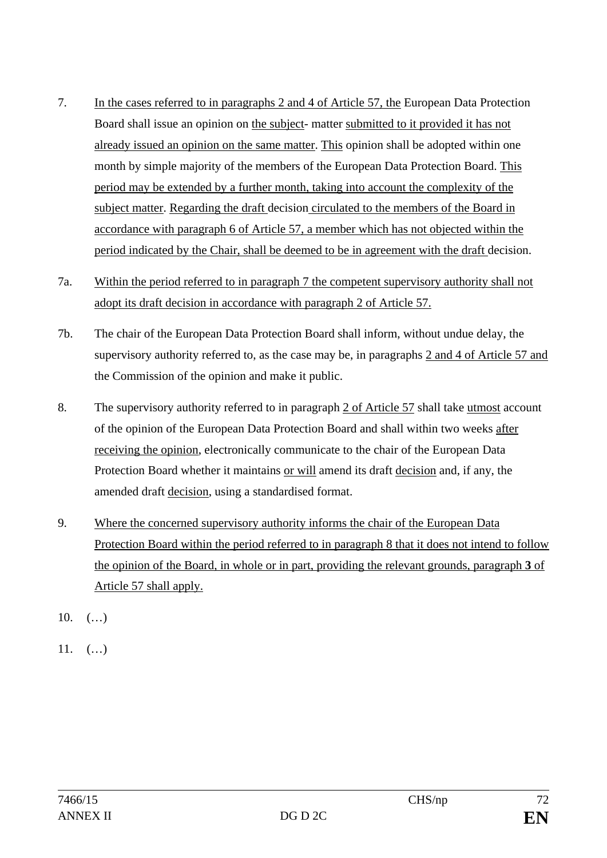- 7. In the cases referred to in paragraphs 2 and 4 of Article 57, the European Data Protection Board shall issue an opinion on the subject- matter submitted to it provided it has not already issued an opinion on the same matter. This opinion shall be adopted within one month by simple majority of the members of the European Data Protection Board. This period may be extended by a further month, taking into account the complexity of the subject matter. Regarding the draft decision circulated to the members of the Board in accordance with paragraph 6 of Article 57, a member which has not objected within the period indicated by the Chair, shall be deemed to be in agreement with the draft decision.
- 7a. Within the period referred to in paragraph 7 the competent supervisory authority shall not adopt its draft decision in accordance with paragraph 2 of Article 57.
- 7b. The chair of the European Data Protection Board shall inform, without undue delay, the supervisory authority referred to, as the case may be, in paragraphs 2 and 4 of Article 57 and the Commission of the opinion and make it public.
- 8. The supervisory authority referred to in paragraph 2 of Article 57 shall take utmost account of the opinion of the European Data Protection Board and shall within two weeks after receiving the opinion, electronically communicate to the chair of the European Data Protection Board whether it maintains or will amend its draft decision and, if any, the amended draft decision, using a standardised format.
- 9. Where the concerned supervisory authority informs the chair of the European Data Protection Board within the period referred to in paragraph 8 that it does not intend to follow the opinion of the Board, in whole or in part, providing the relevant grounds, paragraph **3** of Article 57 shall apply.
- $10.$   $($ ...)
- $11.$  (...)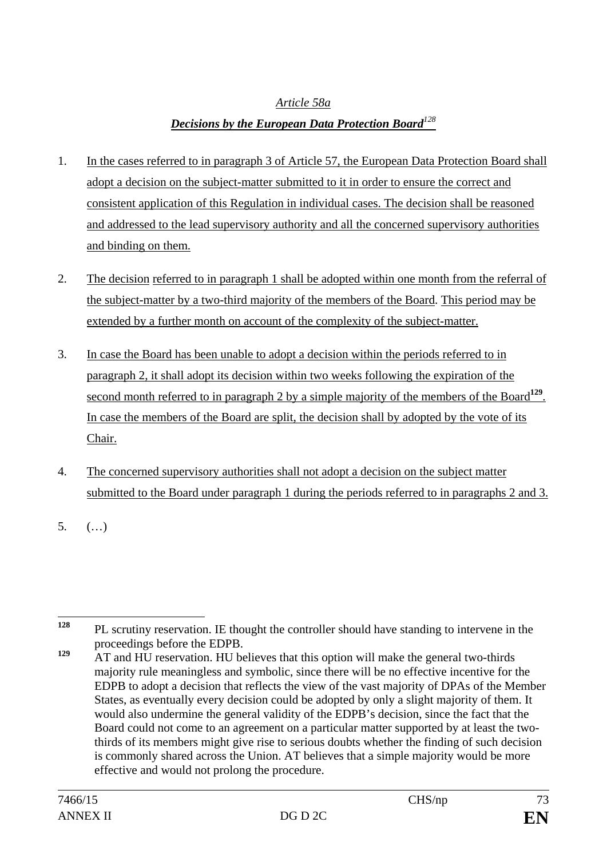### *Article 58a Decisions by the European Data Protection Board<sup>128</sup>*

- 1. In the cases referred to in paragraph 3 of Article 57, the European Data Protection Board shall adopt a decision on the subject-matter submitted to it in order to ensure the correct and consistent application of this Regulation in individual cases. The decision shall be reasoned and addressed to the lead supervisory authority and all the concerned supervisory authorities and binding on them.
- 2. The decision referred to in paragraph 1 shall be adopted within one month from the referral of the subject-matter by a two-third majority of the members of the Board. This period may be extended by a further month on account of the complexity of the subject-matter.
- 3. In case the Board has been unable to adopt a decision within the periods referred to in paragraph 2, it shall adopt its decision within two weeks following the expiration of the second month referred to in paragraph 2 by a simple majority of the members of the Board<sup>129</sup>. In case the members of the Board are split, the decision shall by adopted by the vote of its Chair.
- 4. The concerned supervisory authorities shall not adopt a decision on the subject matter submitted to the Board under paragraph 1 during the periods referred to in paragraphs 2 and 3.
- 5. (…)

<sup>128</sup> **<sup>128</sup>** PL scrutiny reservation. IE thought the controller should have standing to intervene in the proceedings before the EDPB.

<sup>&</sup>lt;sup>129</sup> AT and HU reservation. HU believes that this option will make the general two-thirds majority rule meaningless and symbolic, since there will be no effective incentive for the EDPB to adopt a decision that reflects the view of the vast majority of DPAs of the Member States, as eventually every decision could be adopted by only a slight majority of them. It would also undermine the general validity of the EDPB's decision, since the fact that the Board could not come to an agreement on a particular matter supported by at least the twothirds of its members might give rise to serious doubts whether the finding of such decision is commonly shared across the Union. AT believes that a simple majority would be more effective and would not prolong the procedure.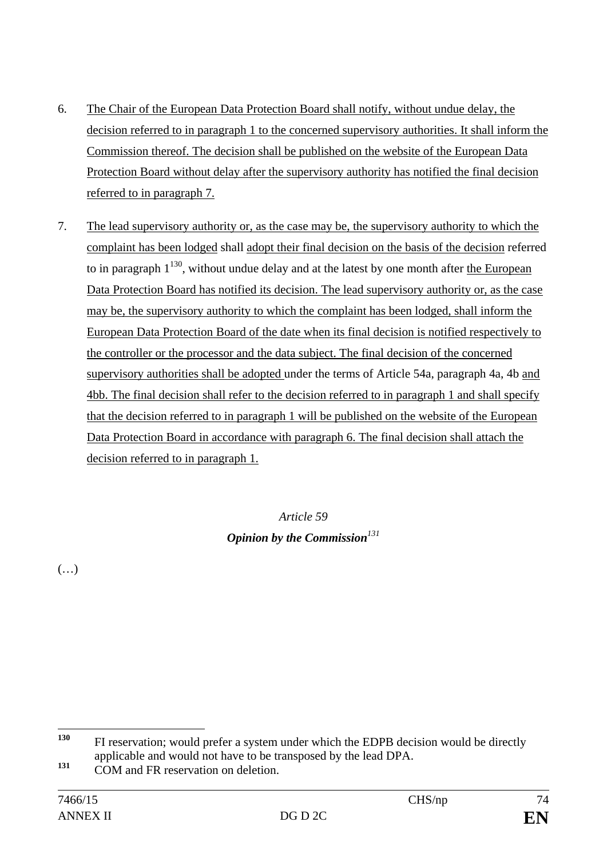- 6. The Chair of the European Data Protection Board shall notify, without undue delay, the decision referred to in paragraph 1 to the concerned supervisory authorities. It shall inform the Commission thereof. The decision shall be published on the website of the European Data Protection Board without delay after the supervisory authority has notified the final decision referred to in paragraph 7.
- 7. The lead supervisory authority or, as the case may be, the supervisory authority to which the complaint has been lodged shall adopt their final decision on the basis of the decision referred to in paragraph  $1^{130}$ , without undue delay and at the latest by one month after the European Data Protection Board has notified its decision. The lead supervisory authority or, as the case may be, the supervisory authority to which the complaint has been lodged, shall inform the European Data Protection Board of the date when its final decision is notified respectively to the controller or the processor and the data subject. The final decision of the concerned supervisory authorities shall be adopted under the terms of Article 54a, paragraph 4a, 4b and 4bb. The final decision shall refer to the decision referred to in paragraph 1 and shall specify that the decision referred to in paragraph 1 will be published on the website of the European Data Protection Board in accordance with paragraph 6. The final decision shall attach the decision referred to in paragraph 1.

### *Article 59 Opinion by the Commission<sup>131</sup>*

(…)

<sup>130</sup> **<sup>130</sup>** FI reservation; would prefer a system under which the EDPB decision would be directly applicable and would not have to be transposed by the lead DPA.

<sup>131</sup> COM and FR reservation on deletion.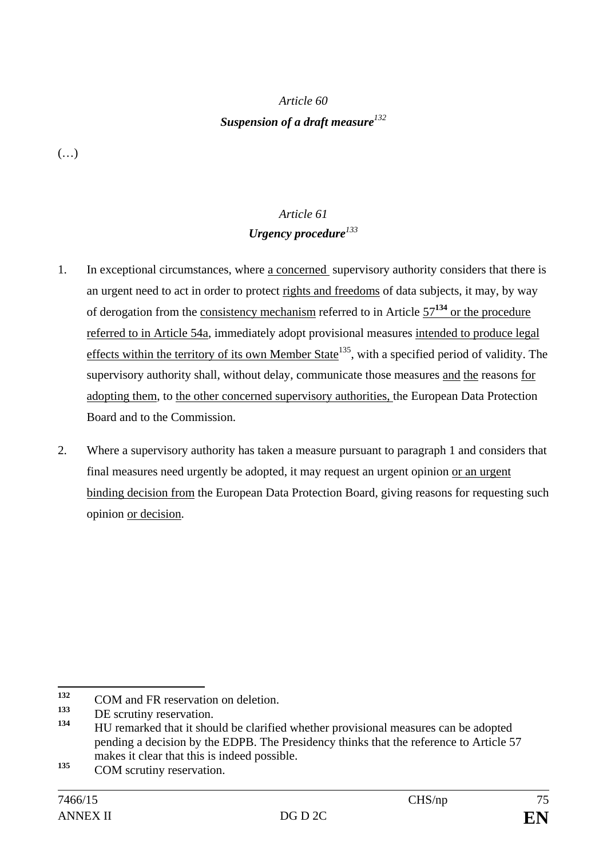### *Article 60 Suspension of a draft measure<sup>132</sup>*

(…)

### *Article 61 Urgency procedure<sup>133</sup>*

- 1. In exceptional circumstances, where a concerned supervisory authority considers that there is an urgent need to act in order to protect rights and freedoms of data subjects, it may, by way of derogation from the consistency mechanism referred to in Article 57**<sup>134</sup>** or the procedure referred to in Article 54a, immediately adopt provisional measures intended to produce legal effects within the territory of its own Member State<sup>135</sup>, with a specified period of validity. The supervisory authority shall, without delay, communicate those measures and the reasons for adopting them, to the other concerned supervisory authorities, the European Data Protection Board and to the Commission.
- 2. Where a supervisory authority has taken a measure pursuant to paragraph 1 and considers that final measures need urgently be adopted, it may request an urgent opinion or an urgent binding decision from the European Data Protection Board, giving reasons for requesting such opinion or decision.

<sup>132</sup> <sup>132</sup> COM and FR reservation on deletion.

<sup>&</sup>lt;sup>133</sup> DE scrutiny reservation.

**<sup>134</sup>** HU remarked that it should be clarified whether provisional measures can be adopted pending a decision by the EDPB. The Presidency thinks that the reference to Article 57 makes it clear that this is indeed possible.

<sup>135</sup> **COM** scrutiny reservation.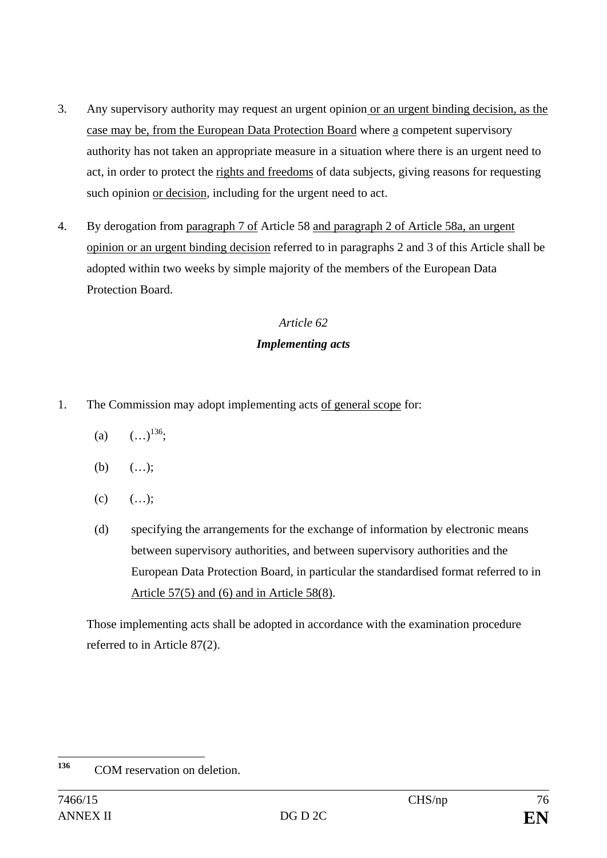- 3. Any supervisory authority may request an urgent opinion or an urgent binding decision, as the case may be, from the European Data Protection Board where a competent supervisory authority has not taken an appropriate measure in a situation where there is an urgent need to act, in order to protect the rights and freedoms of data subjects, giving reasons for requesting such opinion <u>or decision</u>, including for the urgent need to act.
- 4. By derogation from paragraph 7 of Article 58 and paragraph 2 of Article 58a, an urgent opinion or an urgent binding decision referred to in paragraphs 2 and 3 of this Article shall be adopted within two weeks by simple majority of the members of the European Data Protection Board.

### *Article 62 Implementing acts*

- 1. The Commission may adopt implementing acts of general scope for:
	- (a)  $(...)^{136}$ ;
	- (b)  $(...);$
	- $(c)$   $(...);$
	- (d) specifying the arrangements for the exchange of information by electronic means between supervisory authorities, and between supervisory authorities and the European Data Protection Board, in particular the standardised format referred to in Article 57(5) and (6) and in Article 58(8).

Those implementing acts shall be adopted in accordance with the examination procedure referred to in Article 87(2).

<sup>136</sup> **<sup>136</sup>** COM reservation on deletion.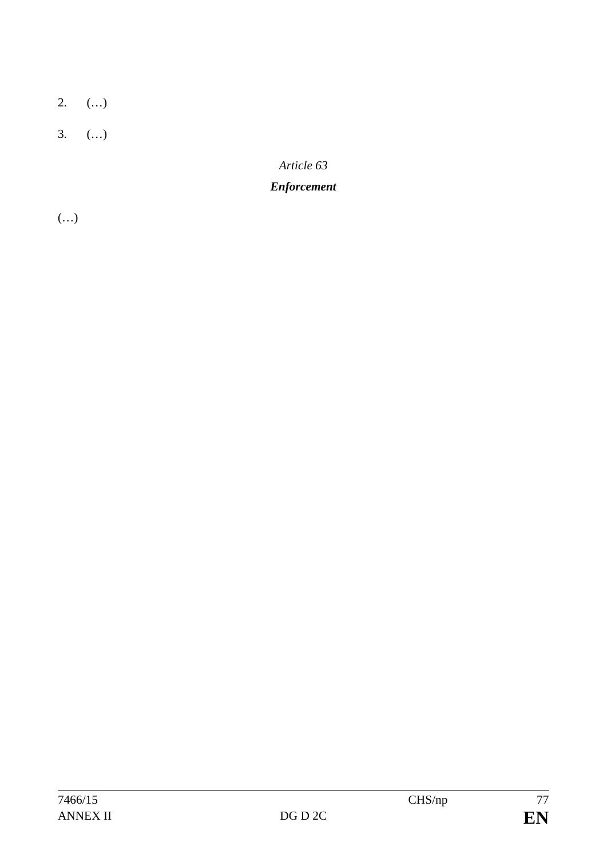- 2. (…)
- 3. (…)

### *Enforcement*

(…)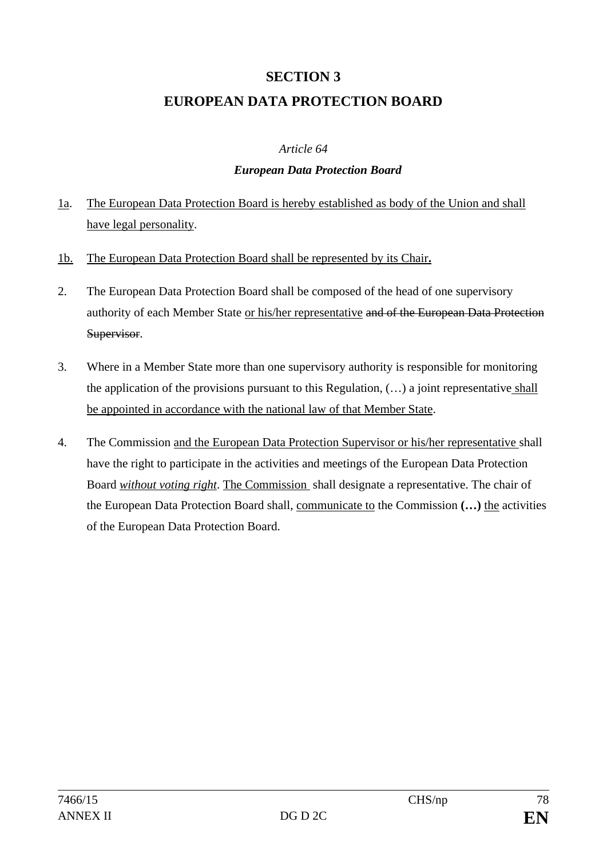## **SECTION 3 EUROPEAN DATA PROTECTION BOARD**

#### *Article 64*

#### *European Data Protection Board*

- 1a. The European Data Protection Board is hereby established as body of the Union and shall have legal personality.
- 1b. The European Data Protection Board shall be represented by its Chair**.**
- 2. The European Data Protection Board shall be composed of the head of one supervisory authority of each Member State or his/her representative and of the European Data Protection Supervisor.
- 3. Where in a Member State more than one supervisory authority is responsible for monitoring the application of the provisions pursuant to this Regulation, (…) a joint representative shall be appointed in accordance with the national law of that Member State.
- 4. The Commission and the European Data Protection Supervisor or his/her representative shall have the right to participate in the activities and meetings of the European Data Protection Board *without voting right*. The Commission shall designate a representative. The chair of the European Data Protection Board shall, communicate to the Commission **(…)** the activities of the European Data Protection Board.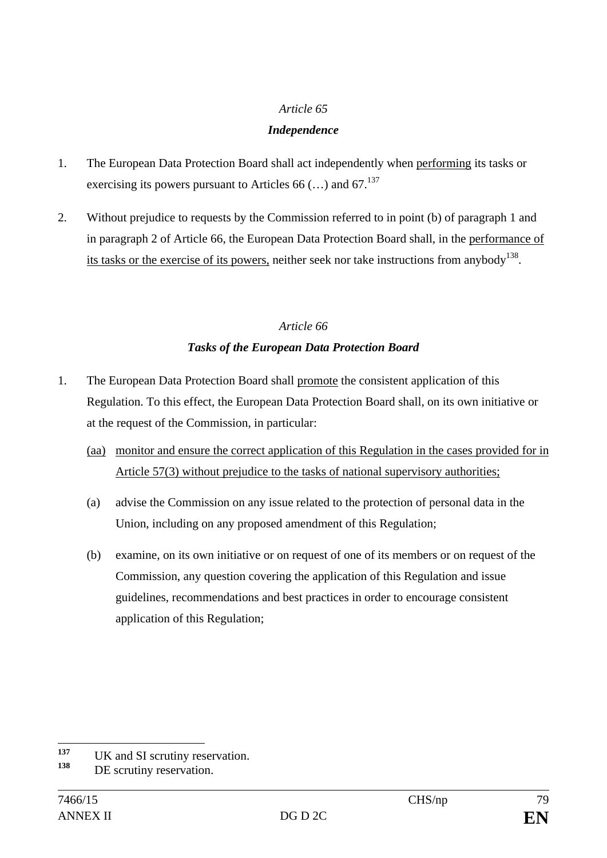#### *Independence*

- 1. The European Data Protection Board shall act independently when performing its tasks or exercising its powers pursuant to Articles 66  $(...)$  and 67.<sup>137</sup>
- 2. Without prejudice to requests by the Commission referred to in point (b) of paragraph 1 and in paragraph 2 of Article 66, the European Data Protection Board shall, in the performance of its tasks or the exercise of its powers, neither seek nor take instructions from anybody<sup>138</sup>.

### *Article 66 Tasks of the European Data Protection Board*

- 1. The European Data Protection Board shall promote the consistent application of this Regulation. To this effect, the European Data Protection Board shall, on its own initiative or at the request of the Commission, in particular:
	- (aa) monitor and ensure the correct application of this Regulation in the cases provided for in Article 57(3) without prejudice to the tasks of national supervisory authorities;
	- (a) advise the Commission on any issue related to the protection of personal data in the Union, including on any proposed amendment of this Regulation;
	- (b) examine, on its own initiative or on request of one of its members or on request of the Commission, any question covering the application of this Regulation and issue guidelines, recommendations and best practices in order to encourage consistent application of this Regulation;

<sup>137</sup> <sup>137</sup> **UK** and SI scrutiny reservation.

DE scrutiny reservation.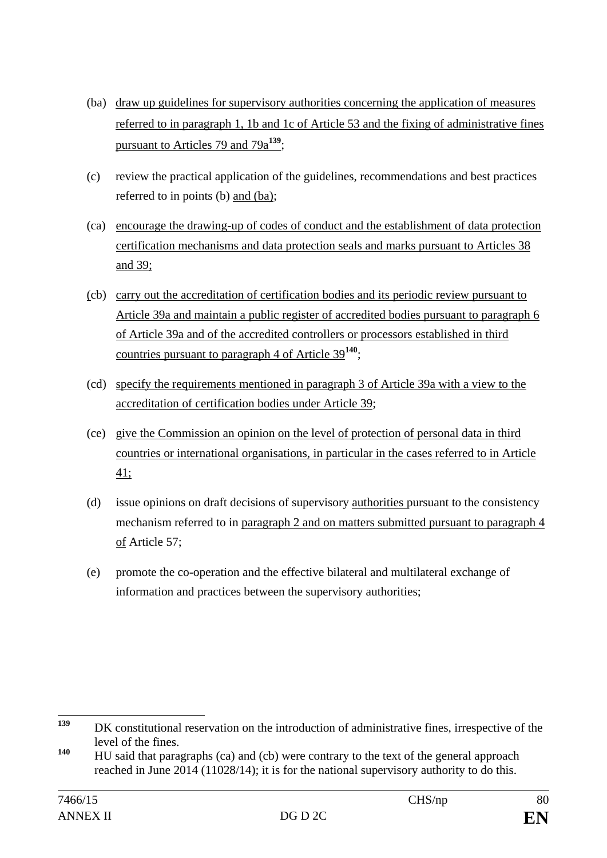- (ba) draw up guidelines for supervisory authorities concerning the application of measures referred to in paragraph 1, 1b and 1c of Article 53 and the fixing of administrative fines pursuant to Articles 79 and 79a**<sup>139</sup>**;
- (c) review the practical application of the guidelines, recommendations and best practices referred to in points (b) and (ba);
- (ca) encourage the drawing-up of codes of conduct and the establishment of data protection certification mechanisms and data protection seals and marks pursuant to Articles 38 and 39;
- (cb) carry out the accreditation of certification bodies and its periodic review pursuant to Article 39a and maintain a public register of accredited bodies pursuant to paragraph 6 of Article 39a and of the accredited controllers or processors established in third countries pursuant to paragraph 4 of Article 39**<sup>140</sup>**;
- (cd) specify the requirements mentioned in paragraph 3 of Article 39a with a view to the accreditation of certification bodies under Article 39;
- (ce) give the Commission an opinion on the level of protection of personal data in third countries or international organisations, in particular in the cases referred to in Article 41;
- (d) issue opinions on draft decisions of supervisory authorities pursuant to the consistency mechanism referred to in paragraph 2 and on matters submitted pursuant to paragraph 4 of Article 57;
- (e) promote the co-operation and the effective bilateral and multilateral exchange of information and practices between the supervisory authorities;

<sup>139</sup> DK constitutional reservation on the introduction of administrative fines, irrespective of the level of the fines.

<sup>&</sup>lt;sup>140</sup> HU said that paragraphs (ca) and (cb) were contrary to the text of the general approach reached in June 2014 (11028/14); it is for the national supervisory authority to do this.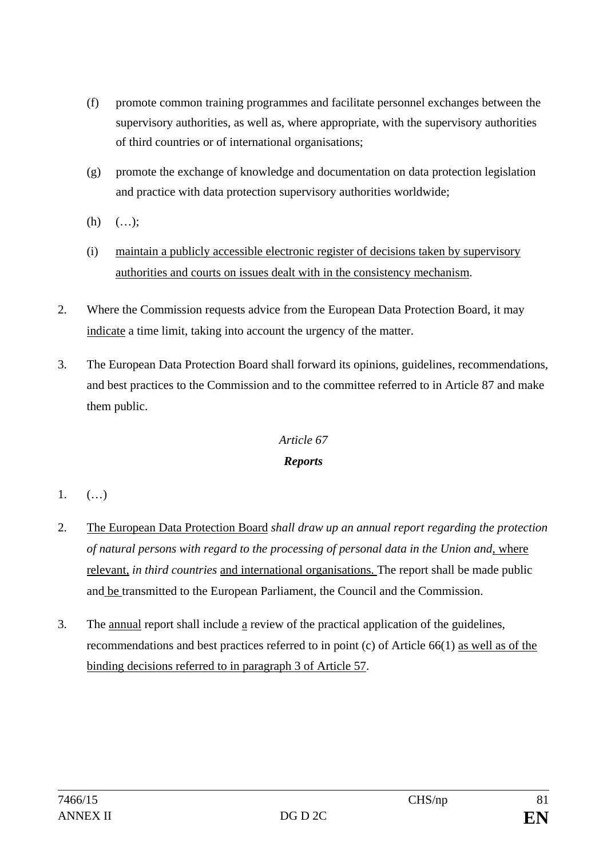- (f) promote common training programmes and facilitate personnel exchanges between the supervisory authorities, as well as, where appropriate, with the supervisory authorities of third countries or of international organisations;
- (g) promote the exchange of knowledge and documentation on data protection legislation and practice with data protection supervisory authorities worldwide;
- $(h)$   $($ ... $)$ :
- (i) maintain a publicly accessible electronic register of decisions taken by supervisory authorities and courts on issues dealt with in the consistency mechanism.
- 2. Where the Commission requests advice from the European Data Protection Board, it may indicate a time limit, taking into account the urgency of the matter.
- 3. The European Data Protection Board shall forward its opinions, guidelines, recommendations, and best practices to the Commission and to the committee referred to in Article 87 and make them public.

### *Reports*

- $1.$   $($ ...)
- 2. The European Data Protection Board *shall draw up an annual report regarding the protection of natural persons with regard to the processing of personal data in the Union and*, where relevant, *in third countries* and international organisations. The report shall be made public and be transmitted to the European Parliament, the Council and the Commission.
- 3. The annual report shall include a review of the practical application of the guidelines, recommendations and best practices referred to in point (c) of Article 66(1) as well as of the binding decisions referred to in paragraph 3 of Article 57.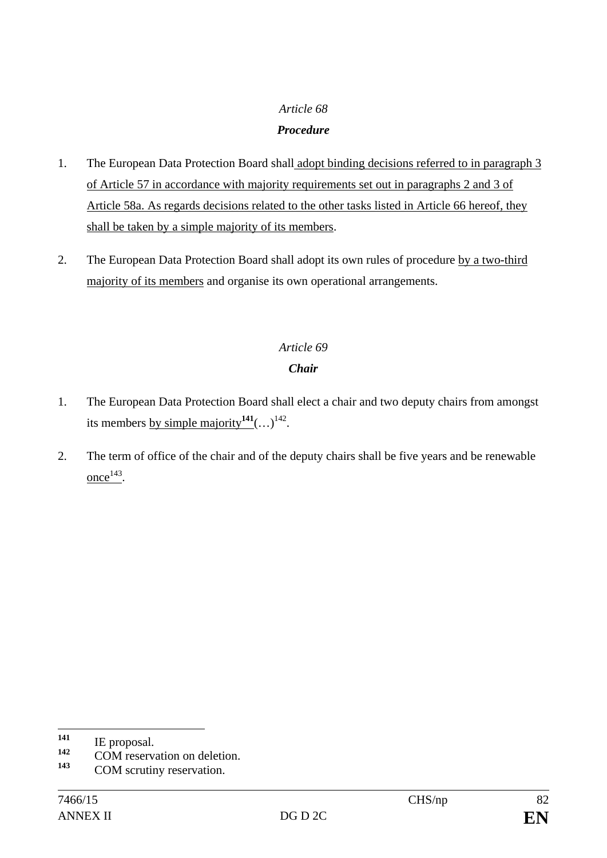### *Procedure*

- 1. The European Data Protection Board shall adopt binding decisions referred to in paragraph 3 of Article 57 in accordance with majority requirements set out in paragraphs 2 and 3 of Article 58a. As regards decisions related to the other tasks listed in Article 66 hereof, they shall be taken by a simple majority of its members.
- 2. The European Data Protection Board shall adopt its own rules of procedure by a two-third majority of its members and organise its own operational arrangements.

### *Article 69*

### *Chair*

- 1. The European Data Protection Board shall elect a chair and two deputy chairs from amongst its members <u>by simple majority</u><sup>141</sup>(...)<sup>142</sup>.
- 2. The term of office of the chair and of the deputy chairs shall be five years and be renewable once<sup>143</sup>.

<sup>141</sup>  $\begin{array}{cc} \n\frac{141}{142} & \text{IE proposal.} \\
\text{COM necessary:} \n\end{array}$ 

**<sup>142</sup>** COM reservation on deletion.

**<sup>143</sup>** COM scrutiny reservation.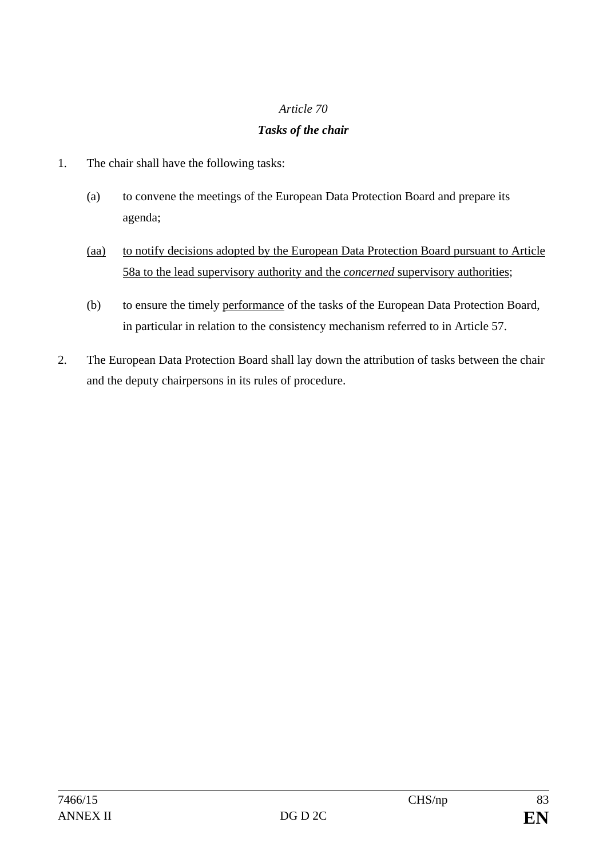### *Tasks of the chair*

- 1. The chair shall have the following tasks:
	- (a) to convene the meetings of the European Data Protection Board and prepare its agenda;
	- (aa) to notify decisions adopted by the European Data Protection Board pursuant to Article 58a to the lead supervisory authority and the *concerned* supervisory authorities;
	- (b) to ensure the timely performance of the tasks of the European Data Protection Board, in particular in relation to the consistency mechanism referred to in Article 57.
- 2. The European Data Protection Board shall lay down the attribution of tasks between the chair and the deputy chairpersons in its rules of procedure.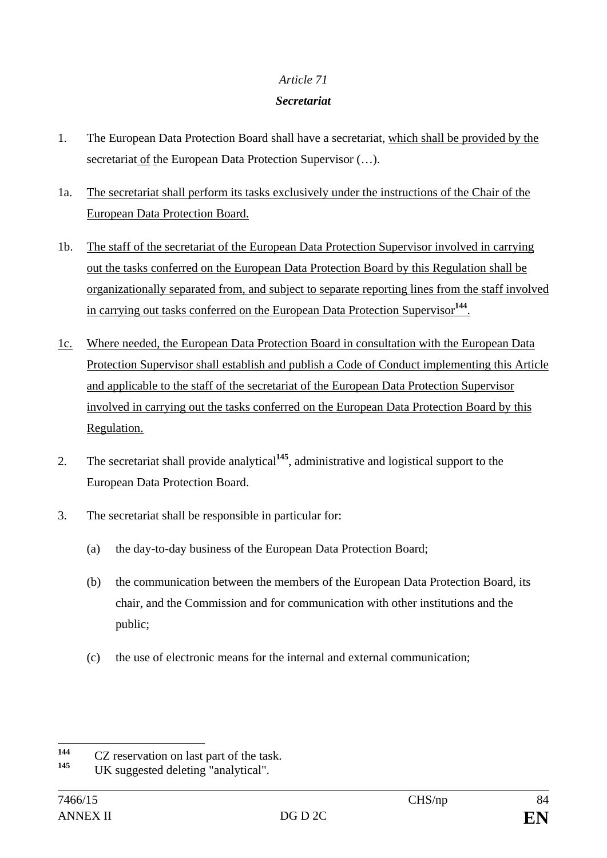#### *Article 71 Secretariat*

- 1. The European Data Protection Board shall have a secretariat, which shall be provided by the secretariat of the European Data Protection Supervisor (...).
- 1a. The secretariat shall perform its tasks exclusively under the instructions of the Chair of the European Data Protection Board.
- 1b. The staff of the secretariat of the European Data Protection Supervisor involved in carrying out the tasks conferred on the European Data Protection Board by this Regulation shall be organizationally separated from, and subject to separate reporting lines from the staff involved in carrying out tasks conferred on the European Data Protection Supervisor**<sup>144</sup>**.
- 1c. Where needed, the European Data Protection Board in consultation with the European Data Protection Supervisor shall establish and publish a Code of Conduct implementing this Article and applicable to the staff of the secretariat of the European Data Protection Supervisor involved in carrying out the tasks conferred on the European Data Protection Board by this Regulation.
- 2. The secretariat shall provide analytical**<sup>145</sup>**, administrative and logistical support to the European Data Protection Board.
- 3. The secretariat shall be responsible in particular for:
	- (a) the day-to-day business of the European Data Protection Board;
	- (b) the communication between the members of the European Data Protection Board, its chair, and the Commission and for communication with other institutions and the public;
	- (c) the use of electronic means for the internal and external communication;

 $144$ <sup>144</sup> CZ reservation on last part of the task.

UK suggested deleting "analytical".